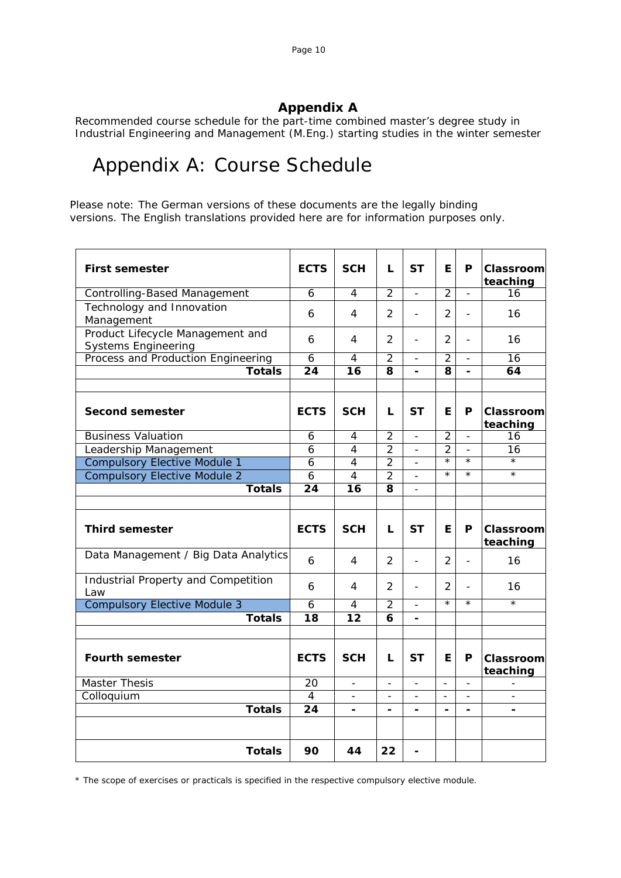### **Appendix A**

Recommended course schedule for the part-time combined master's degree study in Industrial Engineering and Management (M.Eng.) starting studies in the winter semester

## Appendix A: Course Schedule

Please note: The German versions of these documents are the legally binding versions. The English translations provided here are for information purposes only.

| <b>First semester</b>                                          | <b>ECTS</b>     | <b>SCH</b>               | L                       | <b>ST</b>                | E.                       | P                        | Classrooml<br>teaching       |
|----------------------------------------------------------------|-----------------|--------------------------|-------------------------|--------------------------|--------------------------|--------------------------|------------------------------|
| <b>Controlling-Based Management</b>                            | $\overline{6}$  | 4                        | $\overline{2}$          | $\overline{a}$           | $\overline{2}$           | $\overline{a}$           | 16                           |
| Technology and Innovation<br>Management                        | 6               | 4                        | $\overline{2}$          | $\overline{a}$           | $\overline{2}$           | $\overline{a}$           | 16                           |
| Product Lifecycle Management and<br><b>Systems Engineering</b> | 6               | 4                        | 2                       | $\overline{a}$           | $\overline{2}$           | $\overline{a}$           | 16                           |
| Process and Production Engineering                             | $\overline{6}$  | 4                        | $\overline{2}$          | $\overline{a}$           | $\overline{2}$           | $\blacksquare$           | $\overline{16}$              |
| <b>Totals</b>                                                  | $\overline{24}$ | $\overline{16}$          | $\overline{\mathbf{8}}$ | $\blacksquare$           | $\overline{\mathbf{8}}$  |                          | 64                           |
|                                                                |                 |                          |                         |                          |                          |                          |                              |
| <b>Second semester</b>                                         | <b>ECTS</b>     | <b>SCH</b>               | L                       | <b>ST</b>                | E.                       | P                        | <b>Classroom</b><br>teaching |
| <b>Business Valuation</b>                                      | 6               | 4                        | $\overline{2}$          | $\blacksquare$           | $\overline{2}$           | $\Box$                   | 16                           |
| Leadership Management                                          | 6               | 4                        | $\overline{2}$          | $\overline{a}$           | $\overline{2}$           | $\overline{\phantom{a}}$ | 16                           |
| <b>Compulsory Elective Module 1</b>                            | 6               | 4                        | $\overline{2}$          |                          | $\overline{\ast}$        | $\star$                  | $\overline{\ast}$            |
| <b>Compulsory Elective Module 2</b>                            | $\overline{6}$  | $\overline{4}$           | $\overline{2}$          |                          | $\star$                  | $\star$                  | $\overline{\ast}$            |
| <b>Totals</b>                                                  | $\overline{24}$ | $\overline{16}$          | 8                       |                          |                          |                          |                              |
|                                                                |                 |                          |                         |                          |                          |                          |                              |
| <b>Third semester</b>                                          | <b>ECTS</b>     | <b>SCH</b>               | L                       | <b>ST</b>                | E                        | P                        | <b>Classroom</b><br>teaching |
| Data Management / Big Data Analytics                           | 6               | 4                        | $\overline{2}$          | $\overline{a}$           | 2                        | $\overline{a}$           | 16                           |
| Industrial Property and Competition<br>Law                     | 6               | 4                        | 2                       | ÷,                       | 2                        | $\overline{\phantom{a}}$ | 16                           |
| <b>Compulsory Elective Module 3</b>                            | 6               | $\overline{4}$           | $\overline{2}$          |                          | $\overline{\ast}$        | $\star$                  | $\star$                      |
| <b>Totals</b>                                                  | $\overline{18}$ | $\overline{12}$          | $\overline{6}$          |                          |                          |                          |                              |
|                                                                |                 |                          |                         |                          |                          |                          |                              |
| <b>Fourth semester</b>                                         | <b>ECTS</b>     | <b>SCH</b>               | L                       | <b>ST</b>                | E                        | P                        | <b>Classroom</b><br>teaching |
| <b>Master Thesis</b>                                           | 20              | $\overline{\phantom{a}}$ |                         | $\overline{\phantom{0}}$ | $\overline{\phantom{a}}$ | $\blacksquare$           |                              |
| Colloquium                                                     | $\overline{4}$  |                          |                         |                          | $\overline{\phantom{a}}$ | $\overline{\phantom{a}}$ |                              |
| <b>Totals</b>                                                  | 24              |                          |                         |                          |                          |                          |                              |
|                                                                |                 |                          |                         |                          |                          |                          |                              |
| <b>Totals</b>                                                  | 90              | 44                       | 22                      | -                        |                          |                          |                              |

\* The scope of exercises or practicals is specified in the respective compulsory elective module.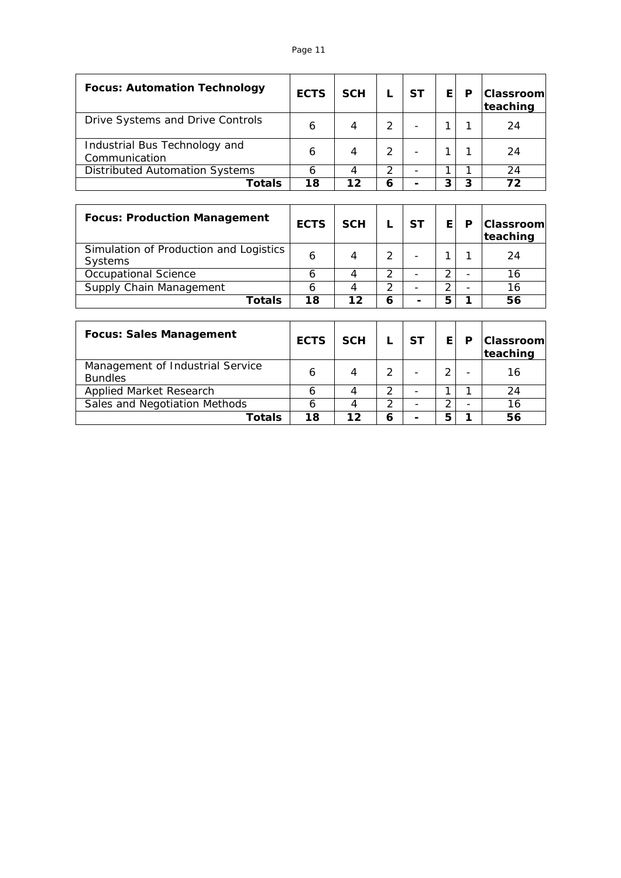#### Page 11

| <b>Focus: Automation Technology</b>            | <b>ECTS</b> | <b>SCH</b> |   | SТ | E. | P | <b>Classrooml</b><br>teaching |
|------------------------------------------------|-------------|------------|---|----|----|---|-------------------------------|
| Drive Systems and Drive Controls               | 6           |            |   |    |    |   | 24                            |
| Industrial Bus Technology and<br>Communication | 6           |            |   |    |    |   | 24                            |
| <b>Distributed Automation Systems</b>          |             |            |   |    |    |   | 24                            |
| Totals                                         | 18          | 12         | 6 |    |    | 3 | 72                            |

| <b>Focus: Production Management</b>               | <b>ECTS</b> | <b>SCH</b> |   | <b>ST</b> | E. | P | <b>Classroom</b><br>teaching |
|---------------------------------------------------|-------------|------------|---|-----------|----|---|------------------------------|
| Simulation of Production and Logistics<br>Systems | 6           |            |   |           |    |   | 24                           |
| Occupational Science                              |             |            |   |           |    |   | 16                           |
| Supply Chain Management                           |             |            | ົ |           |    |   | 16                           |
| Totals                                            | 18          | 12         | 6 | -         |    |   | 56                           |

| <b>Focus: Sales Management</b>                     | <b>ECTS</b> | <b>SCH</b> |   | <b>ST</b> | F. | Р                        | Classroom <br>teaching |
|----------------------------------------------------|-------------|------------|---|-----------|----|--------------------------|------------------------|
| Management of Industrial Service<br><b>Bundles</b> | 6           |            |   |           |    | $\overline{\phantom{0}}$ | 16                     |
| <b>Applied Market Research</b>                     |             |            |   |           |    |                          | 24                     |
| Sales and Negotiation Methods                      |             |            | っ |           |    |                          | 16                     |
| Totals                                             | 18          | 12         | 6 |           |    |                          | 56                     |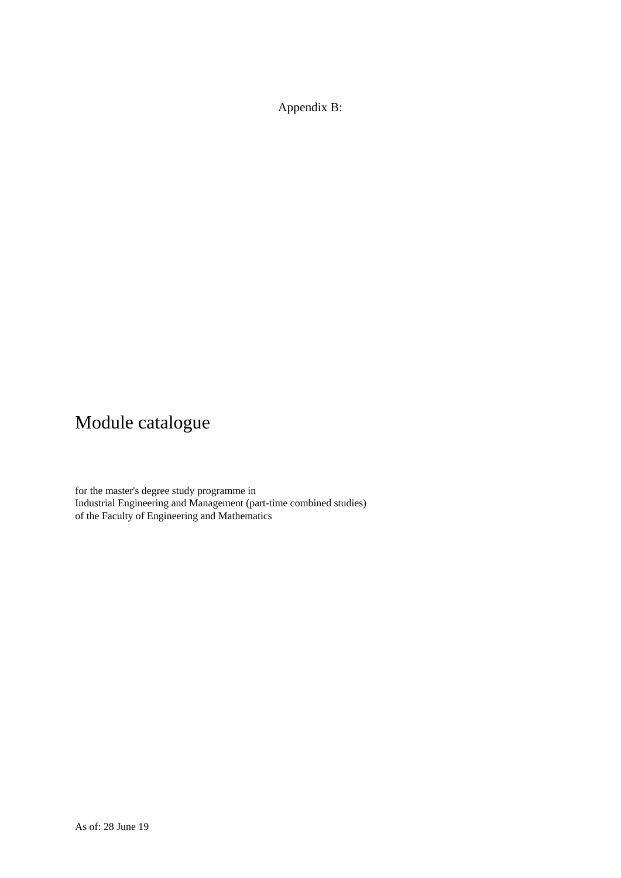Appendix B:

# Module catalogue

for the master's degree study programme in Industrial Engineering and Management (part-time combined studies) of the Faculty of Engineering and Mathematics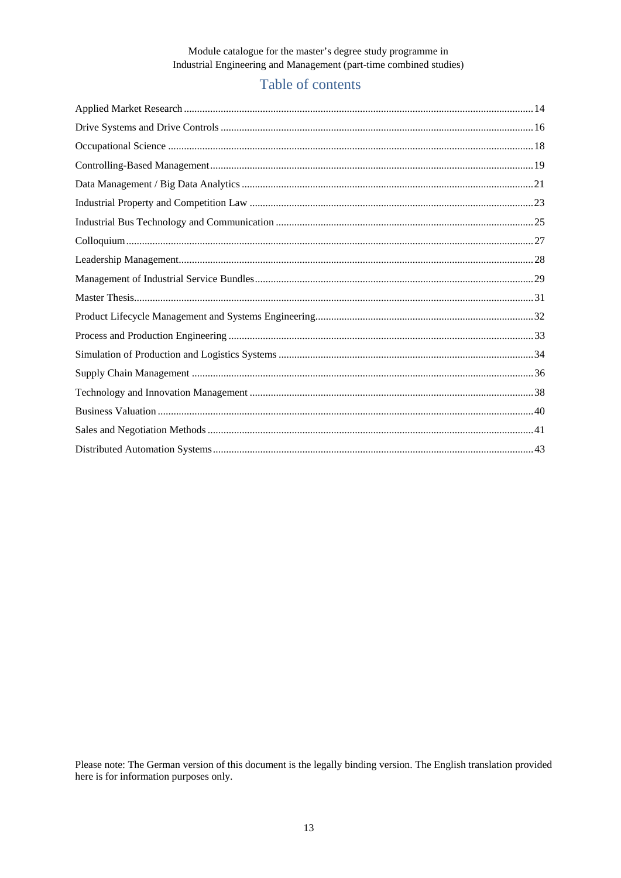### Table of contents

Please note: The German version of this document is the legally binding version. The English translation provided here is for information purposes only.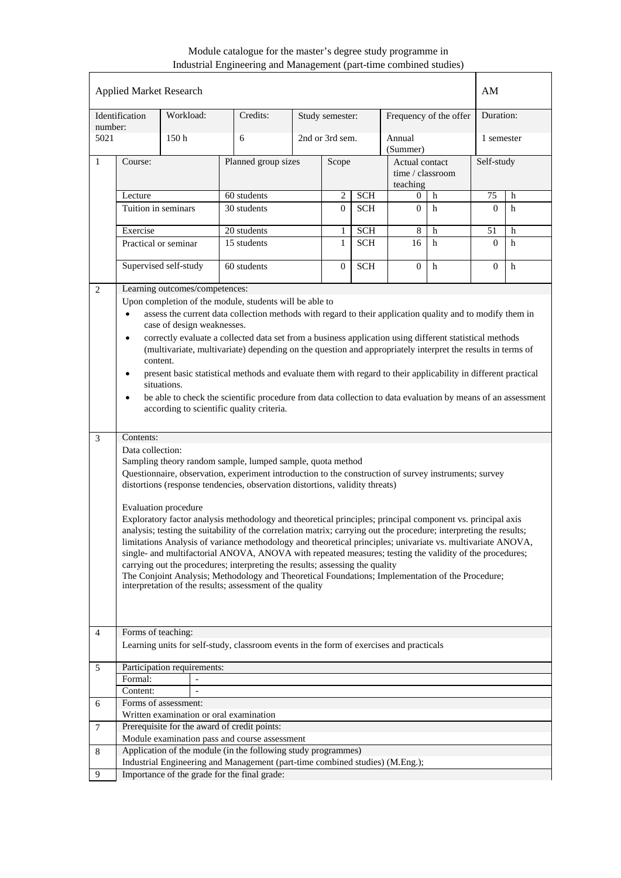| <b>Applied Market Research</b> |                                                                                                                                                                                                                                                                                                                                                                                                                                                                                                                                                                                                                                                                                                                                                                                                                                                                                                                                                                                                               |                                         |                                                                                         |  |                 |            |                                                | AM                     |            |            |  |
|--------------------------------|---------------------------------------------------------------------------------------------------------------------------------------------------------------------------------------------------------------------------------------------------------------------------------------------------------------------------------------------------------------------------------------------------------------------------------------------------------------------------------------------------------------------------------------------------------------------------------------------------------------------------------------------------------------------------------------------------------------------------------------------------------------------------------------------------------------------------------------------------------------------------------------------------------------------------------------------------------------------------------------------------------------|-----------------------------------------|-----------------------------------------------------------------------------------------|--|-----------------|------------|------------------------------------------------|------------------------|------------|------------|--|
| number:                        | Identification                                                                                                                                                                                                                                                                                                                                                                                                                                                                                                                                                                                                                                                                                                                                                                                                                                                                                                                                                                                                | Workload:                               | Credits:                                                                                |  | Study semester: |            |                                                | Frequency of the offer | Duration:  |            |  |
| 5021                           |                                                                                                                                                                                                                                                                                                                                                                                                                                                                                                                                                                                                                                                                                                                                                                                                                                                                                                                                                                                                               | 150 <sub>h</sub>                        | 6                                                                                       |  | 2nd or 3rd sem. |            | Annual<br>(Summer)                             |                        | 1 semester |            |  |
| 1                              | Course:                                                                                                                                                                                                                                                                                                                                                                                                                                                                                                                                                                                                                                                                                                                                                                                                                                                                                                                                                                                                       |                                         | Planned group sizes                                                                     |  | Scope           |            | Actual contact<br>time / classroom<br>teaching |                        |            | Self-study |  |
|                                | Lecture                                                                                                                                                                                                                                                                                                                                                                                                                                                                                                                                                                                                                                                                                                                                                                                                                                                                                                                                                                                                       |                                         | 60 students                                                                             |  | $\overline{c}$  | <b>SCH</b> | 0                                              | h                      | 75         | h          |  |
|                                | Tuition in seminars                                                                                                                                                                                                                                                                                                                                                                                                                                                                                                                                                                                                                                                                                                                                                                                                                                                                                                                                                                                           |                                         | 30 students                                                                             |  | $\overline{0}$  | <b>SCH</b> | $\Omega$                                       | h                      | $\Omega$   | h          |  |
|                                | Exercise                                                                                                                                                                                                                                                                                                                                                                                                                                                                                                                                                                                                                                                                                                                                                                                                                                                                                                                                                                                                      |                                         | 20 students                                                                             |  | 1               | SCH        | $\,$ 8 $\,$                                    | h                      | 51         | h          |  |
|                                |                                                                                                                                                                                                                                                                                                                                                                                                                                                                                                                                                                                                                                                                                                                                                                                                                                                                                                                                                                                                               | Practical or seminar                    | 15 students                                                                             |  | $\mathbf{1}$    | <b>SCH</b> | 16                                             | h                      | $\Omega$   | h          |  |
|                                |                                                                                                                                                                                                                                                                                                                                                                                                                                                                                                                                                                                                                                                                                                                                                                                                                                                                                                                                                                                                               |                                         |                                                                                         |  |                 |            |                                                |                        |            |            |  |
|                                |                                                                                                                                                                                                                                                                                                                                                                                                                                                                                                                                                                                                                                                                                                                                                                                                                                                                                                                                                                                                               | Supervised self-study                   | 60 students                                                                             |  | $\overline{0}$  | <b>SCH</b> | $\overline{0}$                                 | $\mathbf h$            | $\Omega$   | h          |  |
| 2                              |                                                                                                                                                                                                                                                                                                                                                                                                                                                                                                                                                                                                                                                                                                                                                                                                                                                                                                                                                                                                               | Learning outcomes/competences:          |                                                                                         |  |                 |            |                                                |                        |            |            |  |
| 3                              | Upon completion of the module, students will be able to<br>assess the current data collection methods with regard to their application quality and to modify them in<br>$\bullet$<br>case of design weaknesses.<br>correctly evaluate a collected data set from a business application using different statistical methods<br>$\bullet$<br>(multivariate, multivariate) depending on the question and appropriately interpret the results in terms of<br>content.<br>present basic statistical methods and evaluate them with regard to their applicability in different practical<br>٠<br>situations.<br>be able to check the scientific procedure from data collection to data evaluation by means of an assessment<br>$\bullet$<br>according to scientific quality criteria.<br>Contents:                                                                                                                                                                                                                  |                                         |                                                                                         |  |                 |            |                                                |                        |            |            |  |
|                                | Data collection:<br>Sampling theory random sample, lumped sample, quota method<br>Questionnaire, observation, experiment introduction to the construction of survey instruments; survey<br>distortions (response tendencies, observation distortions, validity threats)<br>Evaluation procedure<br>Exploratory factor analysis methodology and theoretical principles; principal component vs. principal axis<br>analysis; testing the suitability of the correlation matrix; carrying out the procedure; interpreting the results;<br>limitations Analysis of variance methodology and theoretical principles; univariate vs. multivariate ANOVA,<br>single- and multifactorial ANOVA, ANOVA with repeated measures; testing the validity of the procedures;<br>carrying out the procedures; interpreting the results; assessing the quality<br>The Conjoint Analysis; Methodology and Theoretical Foundations; Implementation of the Procedure;<br>interpretation of the results; assessment of the quality |                                         |                                                                                         |  |                 |            |                                                |                        |            |            |  |
| $\overline{4}$                 | Forms of teaching:                                                                                                                                                                                                                                                                                                                                                                                                                                                                                                                                                                                                                                                                                                                                                                                                                                                                                                                                                                                            |                                         |                                                                                         |  |                 |            |                                                |                        |            |            |  |
|                                |                                                                                                                                                                                                                                                                                                                                                                                                                                                                                                                                                                                                                                                                                                                                                                                                                                                                                                                                                                                                               |                                         | Learning units for self-study, classroom events in the form of exercises and practicals |  |                 |            |                                                |                        |            |            |  |
|                                |                                                                                                                                                                                                                                                                                                                                                                                                                                                                                                                                                                                                                                                                                                                                                                                                                                                                                                                                                                                                               |                                         |                                                                                         |  |                 |            |                                                |                        |            |            |  |
| 5                              |                                                                                                                                                                                                                                                                                                                                                                                                                                                                                                                                                                                                                                                                                                                                                                                                                                                                                                                                                                                                               | Participation requirements:             |                                                                                         |  |                 |            |                                                |                        |            |            |  |
|                                | Formal:                                                                                                                                                                                                                                                                                                                                                                                                                                                                                                                                                                                                                                                                                                                                                                                                                                                                                                                                                                                                       |                                         |                                                                                         |  |                 |            |                                                |                        |            |            |  |
|                                | Content:                                                                                                                                                                                                                                                                                                                                                                                                                                                                                                                                                                                                                                                                                                                                                                                                                                                                                                                                                                                                      |                                         |                                                                                         |  |                 |            |                                                |                        |            |            |  |
| 6                              |                                                                                                                                                                                                                                                                                                                                                                                                                                                                                                                                                                                                                                                                                                                                                                                                                                                                                                                                                                                                               | Forms of assessment:                    |                                                                                         |  |                 |            |                                                |                        |            |            |  |
|                                |                                                                                                                                                                                                                                                                                                                                                                                                                                                                                                                                                                                                                                                                                                                                                                                                                                                                                                                                                                                                               | Written examination or oral examination |                                                                                         |  |                 |            |                                                |                        |            |            |  |
| 7                              |                                                                                                                                                                                                                                                                                                                                                                                                                                                                                                                                                                                                                                                                                                                                                                                                                                                                                                                                                                                                               |                                         | Prerequisite for the award of credit points:                                            |  |                 |            |                                                |                        |            |            |  |
|                                |                                                                                                                                                                                                                                                                                                                                                                                                                                                                                                                                                                                                                                                                                                                                                                                                                                                                                                                                                                                                               |                                         | Module examination pass and course assessment                                           |  |                 |            |                                                |                        |            |            |  |
| 8                              |                                                                                                                                                                                                                                                                                                                                                                                                                                                                                                                                                                                                                                                                                                                                                                                                                                                                                                                                                                                                               |                                         | Application of the module (in the following study programmes)                           |  |                 |            |                                                |                        |            |            |  |
|                                |                                                                                                                                                                                                                                                                                                                                                                                                                                                                                                                                                                                                                                                                                                                                                                                                                                                                                                                                                                                                               |                                         | Industrial Engineering and Management (part-time combined studies) (M.Eng.);            |  |                 |            |                                                |                        |            |            |  |
| 9                              | Importance of the grade for the final grade:                                                                                                                                                                                                                                                                                                                                                                                                                                                                                                                                                                                                                                                                                                                                                                                                                                                                                                                                                                  |                                         |                                                                                         |  |                 |            |                                                |                        |            |            |  |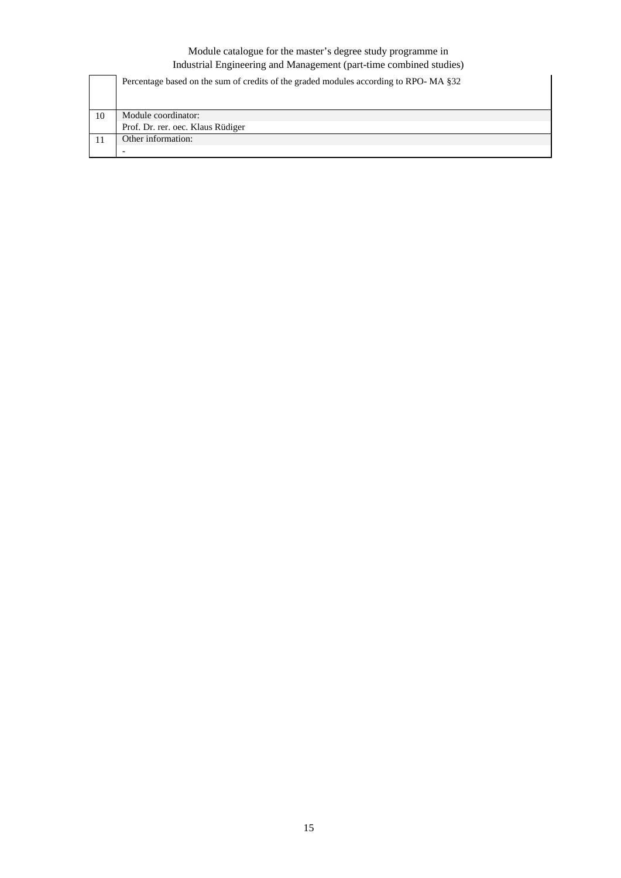|    | Percentage based on the sum of credits of the graded modules according to RPO-MA §32 |
|----|--------------------------------------------------------------------------------------|
| 10 | Module coordinator:                                                                  |
|    | Prof. Dr. rer. oec. Klaus Rüdiger                                                    |
|    | Other information:                                                                   |
|    |                                                                                      |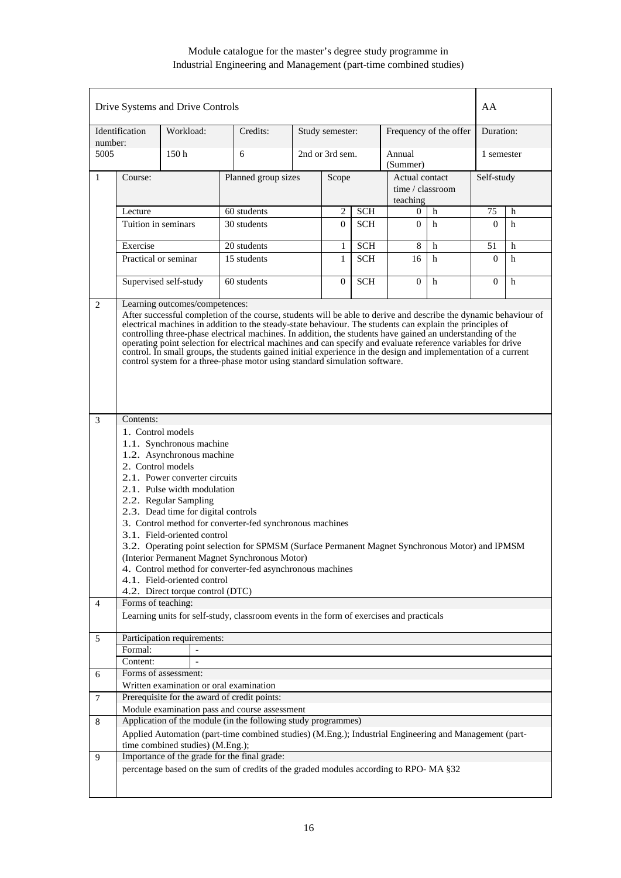|                | Drive Systems and Drive Controls                                                                                                                                                                                                                                                                                                                                                                                                                                                                                                                                                                                            |                                  |                                                                                                        |  |                                       |            |                                                |                        | AA         |   |  |
|----------------|-----------------------------------------------------------------------------------------------------------------------------------------------------------------------------------------------------------------------------------------------------------------------------------------------------------------------------------------------------------------------------------------------------------------------------------------------------------------------------------------------------------------------------------------------------------------------------------------------------------------------------|----------------------------------|--------------------------------------------------------------------------------------------------------|--|---------------------------------------|------------|------------------------------------------------|------------------------|------------|---|--|
| number:        | Identification                                                                                                                                                                                                                                                                                                                                                                                                                                                                                                                                                                                                              | Workload:                        | Credits:                                                                                               |  | Study semester:                       |            |                                                | Frequency of the offer | Duration:  |   |  |
| 5005           |                                                                                                                                                                                                                                                                                                                                                                                                                                                                                                                                                                                                                             | 150 <sub>h</sub>                 | 6                                                                                                      |  | 2nd or 3rd sem.<br>Annual<br>(Summer) |            |                                                |                        | 1 semester |   |  |
| $\mathbf{1}$   | Course:                                                                                                                                                                                                                                                                                                                                                                                                                                                                                                                                                                                                                     |                                  | Planned group sizes                                                                                    |  | Scope                                 |            | Actual contact<br>time / classroom<br>teaching |                        | Self-study |   |  |
|                | Lecture                                                                                                                                                                                                                                                                                                                                                                                                                                                                                                                                                                                                                     |                                  | 60 students                                                                                            |  | 2                                     | <b>SCH</b> | 0                                              | h                      | 75         | h |  |
|                | Tuition in seminars                                                                                                                                                                                                                                                                                                                                                                                                                                                                                                                                                                                                         |                                  | 30 students                                                                                            |  | $\overline{0}$                        | <b>SCH</b> | $\overline{0}$                                 | h                      | $\theta$   | h |  |
|                |                                                                                                                                                                                                                                                                                                                                                                                                                                                                                                                                                                                                                             |                                  |                                                                                                        |  |                                       |            |                                                |                        |            |   |  |
|                | Exercise                                                                                                                                                                                                                                                                                                                                                                                                                                                                                                                                                                                                                    |                                  | 20 students                                                                                            |  | 1                                     | <b>SCH</b> | 8                                              | h                      | 51         | h |  |
|                |                                                                                                                                                                                                                                                                                                                                                                                                                                                                                                                                                                                                                             | Practical or seminar             | 15 students                                                                                            |  | 1                                     | <b>SCH</b> | 16                                             | h                      | $\theta$   | h |  |
|                |                                                                                                                                                                                                                                                                                                                                                                                                                                                                                                                                                                                                                             | Supervised self-study            | 60 students                                                                                            |  | $\overline{0}$                        | <b>SCH</b> | $\overline{0}$                                 | h                      | $\Omega$   | h |  |
| 3              | electrical machines in addition to the steady-state behaviour. The students can explain the principles of<br>controlling three-phase electrical machines. In addition, the students have gained an understanding of the<br>operating point selection for electrical machines and can specify and evaluate reference variables for drive<br>control. In small groups, the students gained initial experience in the design and implementation of a current<br>control system for a three-phase motor using standard simulation software.                                                                                     |                                  |                                                                                                        |  |                                       |            |                                                |                        |            |   |  |
|                | Contents:<br>1. Control models<br>1.1. Synchronous machine<br>1.2. Asynchronous machine<br>2. Control models<br>2.1. Power converter circuits<br>2.1. Pulse width modulation<br>2.2. Regular Sampling<br>2.3. Dead time for digital controls<br>3. Control method for converter-fed synchronous machines<br>3.1. Field-oriented control<br>3.2. Operating point selection for SPMSM (Surface Permanent Magnet Synchronous Motor) and IPMSM<br>(Interior Permanent Magnet Synchronous Motor)<br>4. Control method for converter-fed asynchronous machines<br>4.1. Field-oriented control<br>4.2. Direct torque control (DTC) |                                  |                                                                                                        |  |                                       |            |                                                |                        |            |   |  |
| $\overline{4}$ | Forms of teaching:                                                                                                                                                                                                                                                                                                                                                                                                                                                                                                                                                                                                          |                                  | Learning units for self-study, classroom events in the form of exercises and practicals                |  |                                       |            |                                                |                        |            |   |  |
| 5              | Formal:<br>Content:                                                                                                                                                                                                                                                                                                                                                                                                                                                                                                                                                                                                         | Participation requirements:      |                                                                                                        |  |                                       |            |                                                |                        |            |   |  |
| 6              |                                                                                                                                                                                                                                                                                                                                                                                                                                                                                                                                                                                                                             | Forms of assessment:             |                                                                                                        |  |                                       |            |                                                |                        |            |   |  |
|                |                                                                                                                                                                                                                                                                                                                                                                                                                                                                                                                                                                                                                             |                                  | Written examination or oral examination                                                                |  |                                       |            |                                                |                        |            |   |  |
| 7              |                                                                                                                                                                                                                                                                                                                                                                                                                                                                                                                                                                                                                             |                                  | Prerequisite for the award of credit points:                                                           |  |                                       |            |                                                |                        |            |   |  |
|                |                                                                                                                                                                                                                                                                                                                                                                                                                                                                                                                                                                                                                             |                                  | Module examination pass and course assessment                                                          |  |                                       |            |                                                |                        |            |   |  |
| 8              |                                                                                                                                                                                                                                                                                                                                                                                                                                                                                                                                                                                                                             |                                  | Application of the module (in the following study programmes)                                          |  |                                       |            |                                                |                        |            |   |  |
|                |                                                                                                                                                                                                                                                                                                                                                                                                                                                                                                                                                                                                                             | time combined studies) (M.Eng.); | Applied Automation (part-time combined studies) (M.Eng.); Industrial Engineering and Management (part- |  |                                       |            |                                                |                        |            |   |  |
| 9              |                                                                                                                                                                                                                                                                                                                                                                                                                                                                                                                                                                                                                             |                                  | Importance of the grade for the final grade:                                                           |  |                                       |            |                                                |                        |            |   |  |
|                |                                                                                                                                                                                                                                                                                                                                                                                                                                                                                                                                                                                                                             |                                  | percentage based on the sum of credits of the graded modules according to RPO-MA §32                   |  |                                       |            |                                                |                        |            |   |  |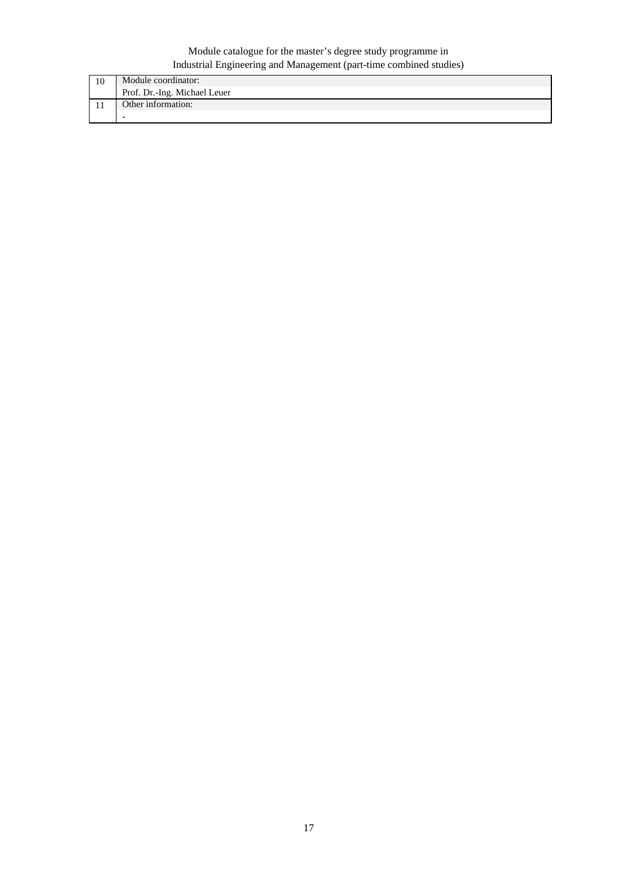| 10 | Module coordinator:          |
|----|------------------------------|
|    | Prof. Dr.-Ing. Michael Leuer |
|    | Other information:           |
|    |                              |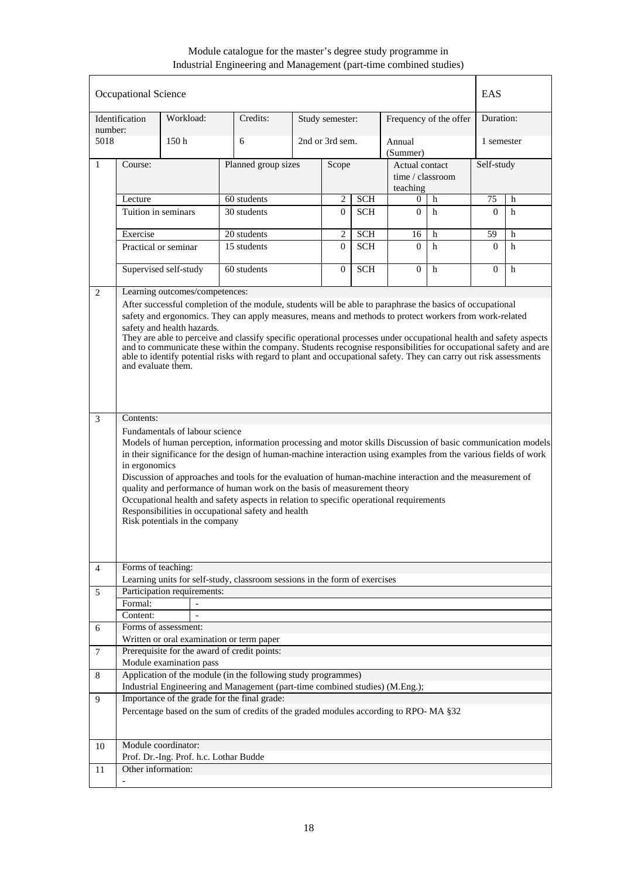|                | Occupational Science |                                        |                                                                                                                    |                                           |                 |            |                    |   | <b>EAS</b> |   |
|----------------|----------------------|----------------------------------------|--------------------------------------------------------------------------------------------------------------------|-------------------------------------------|-----------------|------------|--------------------|---|------------|---|
| number:        | Identification       | Workload:                              | Credits:                                                                                                           | Frequency of the offer<br>Study semester: |                 |            | Duration:          |   |            |   |
| 5018           |                      | 150 <sub>h</sub>                       | 6                                                                                                                  |                                           | 2nd or 3rd sem. |            | Annual<br>(Summer) |   | 1 semester |   |
| $\mathbf{1}$   | Course:              |                                        | Planned group sizes                                                                                                |                                           | Scope           |            | Actual contact     |   | Self-study |   |
|                |                      |                                        |                                                                                                                    |                                           |                 |            | time / classroom   |   |            |   |
|                |                      |                                        |                                                                                                                    |                                           |                 |            | teaching           |   |            |   |
|                | Lecture              |                                        | 60 students                                                                                                        |                                           | 2               | <b>SCH</b> | 0                  | h | 75         | h |
|                | Tuition in seminars  |                                        | 30 students                                                                                                        |                                           | $\Omega$        | <b>SCH</b> | $\Omega$           | h | $\Omega$   | h |
|                | Exercise             |                                        | $20$ students                                                                                                      |                                           | 2               | <b>SCH</b> | 16                 | h | 59         | h |
|                | Practical or seminar |                                        | 15 students                                                                                                        |                                           | 0               | <b>SCH</b> | $\Omega$           | h | $\Omega$   | h |
|                |                      |                                        |                                                                                                                    |                                           |                 |            |                    |   |            |   |
|                |                      | Supervised self-study                  | 60 students                                                                                                        |                                           | $\overline{0}$  | <b>SCH</b> | $\Omega$           | h | $\Omega$   | h |
| 2              |                      | Learning outcomes/competences:         |                                                                                                                    |                                           |                 |            |                    |   |            |   |
|                |                      |                                        | After successful completion of the module, students will be able to paraphrase the basics of occupational          |                                           |                 |            |                    |   |            |   |
|                |                      |                                        | safety and ergonomics. They can apply measures, means and methods to protect workers from work-related             |                                           |                 |            |                    |   |            |   |
|                |                      | safety and health hazards.             | They are able to perceive and classify specific operational processes under occupational health and safety aspects |                                           |                 |            |                    |   |            |   |
|                |                      |                                        | and to communicate these within the company. Students recognise responsibilities for occupational safety and are   |                                           |                 |            |                    |   |            |   |
|                | and evaluate them.   |                                        | able to identify potential risks with regard to plant and occupational safety. They can carry out risk assessments |                                           |                 |            |                    |   |            |   |
|                |                      |                                        |                                                                                                                    |                                           |                 |            |                    |   |            |   |
|                |                      |                                        |                                                                                                                    |                                           |                 |            |                    |   |            |   |
|                |                      |                                        |                                                                                                                    |                                           |                 |            |                    |   |            |   |
| 3              | Contents:            |                                        |                                                                                                                    |                                           |                 |            |                    |   |            |   |
|                |                      | Fundamentals of labour science         |                                                                                                                    |                                           |                 |            |                    |   |            |   |
|                |                      |                                        | Models of human perception, information processing and motor skills Discussion of basic communication models       |                                           |                 |            |                    |   |            |   |
|                |                      |                                        | in their significance for the design of human-machine interaction using examples from the various fields of work   |                                           |                 |            |                    |   |            |   |
|                | in ergonomics        |                                        | Discussion of approaches and tools for the evaluation of human-machine interaction and the measurement of          |                                           |                 |            |                    |   |            |   |
|                |                      |                                        | quality and performance of human work on the basis of measurement theory                                           |                                           |                 |            |                    |   |            |   |
|                |                      |                                        | Occupational health and safety aspects in relation to specific operational requirements                            |                                           |                 |            |                    |   |            |   |
|                |                      |                                        | Responsibilities in occupational safety and health                                                                 |                                           |                 |            |                    |   |            |   |
|                |                      | Risk potentials in the company         |                                                                                                                    |                                           |                 |            |                    |   |            |   |
|                |                      |                                        |                                                                                                                    |                                           |                 |            |                    |   |            |   |
|                |                      |                                        |                                                                                                                    |                                           |                 |            |                    |   |            |   |
| $\overline{4}$ | Forms of teaching:   |                                        |                                                                                                                    |                                           |                 |            |                    |   |            |   |
| 5              |                      | Participation requirements:            | Learning units for self-study, classroom sessions in the form of exercises                                         |                                           |                 |            |                    |   |            |   |
|                | Formal:              |                                        |                                                                                                                    |                                           |                 |            |                    |   |            |   |
|                | Content:             |                                        |                                                                                                                    |                                           |                 |            |                    |   |            |   |
| 6              |                      | Forms of assessment:                   |                                                                                                                    |                                           |                 |            |                    |   |            |   |
|                |                      |                                        | Written or oral examination or term paper                                                                          |                                           |                 |            |                    |   |            |   |
| 7              |                      | Module examination pass                | Prerequisite for the award of credit points:                                                                       |                                           |                 |            |                    |   |            |   |
|                |                      |                                        | Application of the module (in the following study programmes)                                                      |                                           |                 |            |                    |   |            |   |
| 8              |                      |                                        | Industrial Engineering and Management (part-time combined studies) (M.Eng.);                                       |                                           |                 |            |                    |   |            |   |
| 9              |                      |                                        | Importance of the grade for the final grade:                                                                       |                                           |                 |            |                    |   |            |   |
|                |                      |                                        | Percentage based on the sum of credits of the graded modules according to RPO-MA §32                               |                                           |                 |            |                    |   |            |   |
|                |                      |                                        |                                                                                                                    |                                           |                 |            |                    |   |            |   |
|                |                      | Module coordinator:                    |                                                                                                                    |                                           |                 |            |                    |   |            |   |
| 10             |                      | Prof. Dr.-Ing. Prof. h.c. Lothar Budde |                                                                                                                    |                                           |                 |            |                    |   |            |   |
| 11             | Other information:   |                                        |                                                                                                                    |                                           |                 |            |                    |   |            |   |
|                |                      |                                        |                                                                                                                    |                                           |                 |            |                    |   |            |   |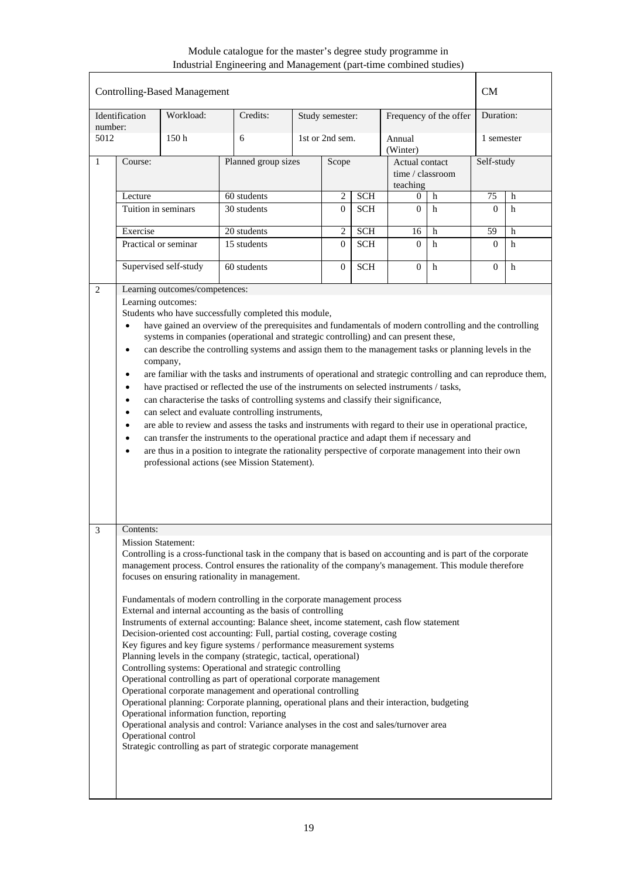| <b>Controlling-Based Management</b> |                                                                                                                                                                                                                                                                                                                                                                                                                                                                                                                                                                                                                                                                                                                                                                                                                                                                                                                                                                                                                                                                                                                                                                                                                                           |                                |                                                                                                                                                                                                                                                                                                                                                                                                                                                                                                                                                                                                                                                                                                                                                                                                                                                                                                                                                                                                                                                                                                                                                                                                                                                               |  |                 |            |                                                | <b>CM</b>              |              |            |  |
|-------------------------------------|-------------------------------------------------------------------------------------------------------------------------------------------------------------------------------------------------------------------------------------------------------------------------------------------------------------------------------------------------------------------------------------------------------------------------------------------------------------------------------------------------------------------------------------------------------------------------------------------------------------------------------------------------------------------------------------------------------------------------------------------------------------------------------------------------------------------------------------------------------------------------------------------------------------------------------------------------------------------------------------------------------------------------------------------------------------------------------------------------------------------------------------------------------------------------------------------------------------------------------------------|--------------------------------|---------------------------------------------------------------------------------------------------------------------------------------------------------------------------------------------------------------------------------------------------------------------------------------------------------------------------------------------------------------------------------------------------------------------------------------------------------------------------------------------------------------------------------------------------------------------------------------------------------------------------------------------------------------------------------------------------------------------------------------------------------------------------------------------------------------------------------------------------------------------------------------------------------------------------------------------------------------------------------------------------------------------------------------------------------------------------------------------------------------------------------------------------------------------------------------------------------------------------------------------------------------|--|-----------------|------------|------------------------------------------------|------------------------|--------------|------------|--|
| number:                             | Identification                                                                                                                                                                                                                                                                                                                                                                                                                                                                                                                                                                                                                                                                                                                                                                                                                                                                                                                                                                                                                                                                                                                                                                                                                            | Workload:                      | Credits:                                                                                                                                                                                                                                                                                                                                                                                                                                                                                                                                                                                                                                                                                                                                                                                                                                                                                                                                                                                                                                                                                                                                                                                                                                                      |  | Study semester: |            |                                                | Frequency of the offer |              | Duration:  |  |
| 5012                                |                                                                                                                                                                                                                                                                                                                                                                                                                                                                                                                                                                                                                                                                                                                                                                                                                                                                                                                                                                                                                                                                                                                                                                                                                                           | 150 <sub>h</sub>               | 6                                                                                                                                                                                                                                                                                                                                                                                                                                                                                                                                                                                                                                                                                                                                                                                                                                                                                                                                                                                                                                                                                                                                                                                                                                                             |  | 1st or 2nd sem. |            | Annual<br>(Winter)                             |                        |              | 1 semester |  |
| $\mathbf{1}$                        | Course:                                                                                                                                                                                                                                                                                                                                                                                                                                                                                                                                                                                                                                                                                                                                                                                                                                                                                                                                                                                                                                                                                                                                                                                                                                   |                                | Planned group sizes                                                                                                                                                                                                                                                                                                                                                                                                                                                                                                                                                                                                                                                                                                                                                                                                                                                                                                                                                                                                                                                                                                                                                                                                                                           |  | Scope           |            | Actual contact<br>time / classroom<br>teaching |                        | Self-study   |            |  |
|                                     | Lecture                                                                                                                                                                                                                                                                                                                                                                                                                                                                                                                                                                                                                                                                                                                                                                                                                                                                                                                                                                                                                                                                                                                                                                                                                                   |                                | 60 students                                                                                                                                                                                                                                                                                                                                                                                                                                                                                                                                                                                                                                                                                                                                                                                                                                                                                                                                                                                                                                                                                                                                                                                                                                                   |  | $\overline{2}$  | <b>SCH</b> | $\Omega$                                       | h                      | 75           | h          |  |
|                                     | Tuition in seminars                                                                                                                                                                                                                                                                                                                                                                                                                                                                                                                                                                                                                                                                                                                                                                                                                                                                                                                                                                                                                                                                                                                                                                                                                       |                                | 30 students<br>$\theta$                                                                                                                                                                                                                                                                                                                                                                                                                                                                                                                                                                                                                                                                                                                                                                                                                                                                                                                                                                                                                                                                                                                                                                                                                                       |  |                 | <b>SCH</b> | $\Omega$                                       | h                      | $\Omega$     | h          |  |
|                                     | Exercise                                                                                                                                                                                                                                                                                                                                                                                                                                                                                                                                                                                                                                                                                                                                                                                                                                                                                                                                                                                                                                                                                                                                                                                                                                  |                                | 20 students                                                                                                                                                                                                                                                                                                                                                                                                                                                                                                                                                                                                                                                                                                                                                                                                                                                                                                                                                                                                                                                                                                                                                                                                                                                   |  | 2               | <b>SCH</b> | 16                                             | h                      | 59           | h          |  |
|                                     | Practical or seminar                                                                                                                                                                                                                                                                                                                                                                                                                                                                                                                                                                                                                                                                                                                                                                                                                                                                                                                                                                                                                                                                                                                                                                                                                      |                                | 15 students                                                                                                                                                                                                                                                                                                                                                                                                                                                                                                                                                                                                                                                                                                                                                                                                                                                                                                                                                                                                                                                                                                                                                                                                                                                   |  | $\Omega$        | <b>SCH</b> | $\Omega$                                       | h                      | $\mathbf{0}$ | h          |  |
|                                     |                                                                                                                                                                                                                                                                                                                                                                                                                                                                                                                                                                                                                                                                                                                                                                                                                                                                                                                                                                                                                                                                                                                                                                                                                                           | Supervised self-study          | 60 students                                                                                                                                                                                                                                                                                                                                                                                                                                                                                                                                                                                                                                                                                                                                                                                                                                                                                                                                                                                                                                                                                                                                                                                                                                                   |  | $\theta$        | <b>SCH</b> | $\Omega$                                       | h                      | $\theta$     | h          |  |
| 2                                   |                                                                                                                                                                                                                                                                                                                                                                                                                                                                                                                                                                                                                                                                                                                                                                                                                                                                                                                                                                                                                                                                                                                                                                                                                                           | Learning outcomes/competences: |                                                                                                                                                                                                                                                                                                                                                                                                                                                                                                                                                                                                                                                                                                                                                                                                                                                                                                                                                                                                                                                                                                                                                                                                                                                               |  |                 |            |                                                |                        |              |            |  |
|                                     | Learning outcomes:<br>Students who have successfully completed this module,<br>have gained an overview of the prerequisites and fundamentals of modern controlling and the controlling<br>$\bullet$<br>systems in companies (operational and strategic controlling) and can present these,<br>can describe the controlling systems and assign them to the management tasks or planning levels in the<br>$\bullet$<br>company,<br>are familiar with the tasks and instruments of operational and strategic controlling and can reproduce them,<br>$\bullet$<br>have practised or reflected the use of the instruments on selected instruments / tasks,<br>$\bullet$<br>can characterise the tasks of controlling systems and classify their significance,<br>$\bullet$<br>can select and evaluate controlling instruments,<br>$\bullet$<br>are able to review and assess the tasks and instruments with regard to their use in operational practice,<br>$\bullet$<br>can transfer the instruments to the operational practice and adapt them if necessary and<br>$\bullet$<br>are thus in a position to integrate the rationality perspective of corporate management into their own<br>٠<br>professional actions (see Mission Statement). |                                |                                                                                                                                                                                                                                                                                                                                                                                                                                                                                                                                                                                                                                                                                                                                                                                                                                                                                                                                                                                                                                                                                                                                                                                                                                                               |  |                 |            |                                                |                        |              |            |  |
| 3                                   | Contents:                                                                                                                                                                                                                                                                                                                                                                                                                                                                                                                                                                                                                                                                                                                                                                                                                                                                                                                                                                                                                                                                                                                                                                                                                                 |                                |                                                                                                                                                                                                                                                                                                                                                                                                                                                                                                                                                                                                                                                                                                                                                                                                                                                                                                                                                                                                                                                                                                                                                                                                                                                               |  |                 |            |                                                |                        |              |            |  |
|                                     | <b>Mission Statement:</b><br>Operational control                                                                                                                                                                                                                                                                                                                                                                                                                                                                                                                                                                                                                                                                                                                                                                                                                                                                                                                                                                                                                                                                                                                                                                                          |                                | Controlling is a cross-functional task in the company that is based on accounting and is part of the corporate<br>management process. Control ensures the rationality of the company's management. This module therefore<br>focuses on ensuring rationality in management.<br>Fundamentals of modern controlling in the corporate management process<br>External and internal accounting as the basis of controlling<br>Instruments of external accounting: Balance sheet, income statement, cash flow statement<br>Decision-oriented cost accounting: Full, partial costing, coverage costing<br>Key figures and key figure systems / performance measurement systems<br>Planning levels in the company (strategic, tactical, operational)<br>Controlling systems: Operational and strategic controlling<br>Operational controlling as part of operational corporate management<br>Operational corporate management and operational controlling<br>Operational planning: Corporate planning, operational plans and their interaction, budgeting<br>Operational information function, reporting<br>Operational analysis and control: Variance analyses in the cost and sales/turnover area<br>Strategic controlling as part of strategic corporate management |  |                 |            |                                                |                        |              |            |  |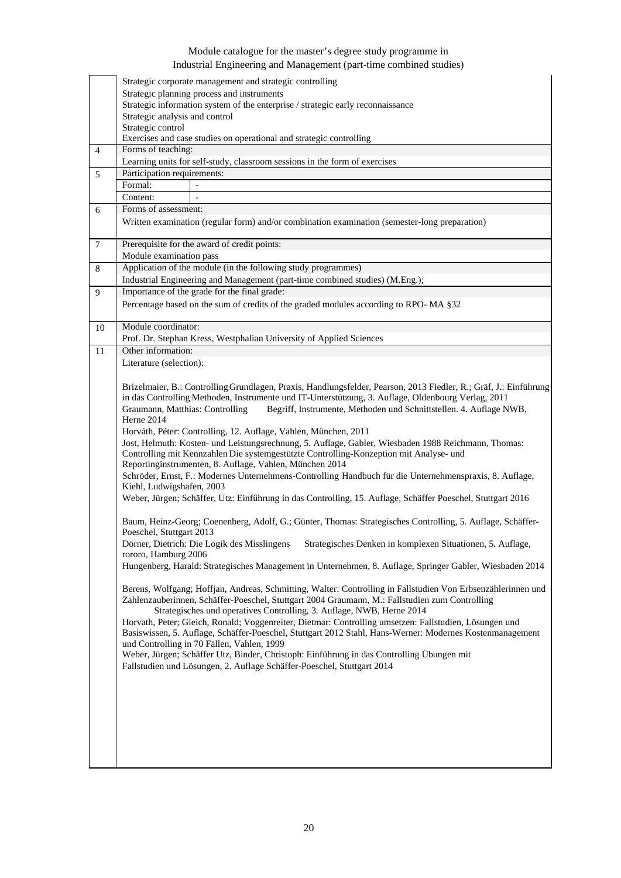|                | Strategic corporate management and strategic controlling                                                                               |
|----------------|----------------------------------------------------------------------------------------------------------------------------------------|
|                | Strategic planning process and instruments                                                                                             |
|                | Strategic information system of the enterprise / strategic early reconnaissance                                                        |
|                | Strategic analysis and control                                                                                                         |
|                | Strategic control                                                                                                                      |
|                | Exercises and case studies on operational and strategic controlling                                                                    |
| $\overline{4}$ | Forms of teaching:                                                                                                                     |
|                | Learning units for self-study, classroom sessions in the form of exercises                                                             |
| 5              | Participation requirements:                                                                                                            |
|                | Formal:<br>$\mathcal{L}$                                                                                                               |
|                | Content:<br>$\overline{\phantom{a}}$                                                                                                   |
| 6              | Forms of assessment:                                                                                                                   |
|                | Written examination (regular form) and/or combination examination (semester-long preparation)                                          |
|                |                                                                                                                                        |
| $\tau$         | Prerequisite for the award of credit points:                                                                                           |
|                | Module examination pass                                                                                                                |
| $\,8\,$        | Application of the module (in the following study programmes)                                                                          |
|                | Industrial Engineering and Management (part-time combined studies) (M.Eng.);                                                           |
| 9              | Importance of the grade for the final grade:                                                                                           |
|                | Percentage based on the sum of credits of the graded modules according to RPO-MA §32                                                   |
|                |                                                                                                                                        |
| 10             | Module coordinator:                                                                                                                    |
|                | Prof. Dr. Stephan Kress, Westphalian University of Applied Sciences                                                                    |
| 11             | Other information:                                                                                                                     |
|                | Literature (selection):                                                                                                                |
|                |                                                                                                                                        |
|                | Brizelmaier, B.: Controlling Grundlagen, Praxis, Handlungsfelder, Pearson, 2013 Fiedler, R.; Gräf, J.: Einführung                      |
|                | in das Controlling Methoden, Instrumente und IT-Unterstützung, 3. Auflage, Oldenbourg Verlag, 2011                                     |
|                | Begriff, Instrumente, Methoden und Schnittstellen. 4. Auflage NWB,<br>Graumann, Matthias: Controlling                                  |
|                | Herne 2014                                                                                                                             |
|                | Horváth, Péter: Controlling, 12. Auflage, Vahlen, München, 2011                                                                        |
|                | Jost, Helmuth: Kosten- und Leistungsrechnung, 5. Auflage, Gabler, Wiesbaden 1988 Reichmann, Thomas:                                    |
|                | Controlling mit Kennzahlen Die systemgestützte Controlling-Konzeption mit Analyse- und                                                 |
|                | Reportinginstrumenten, 8. Auflage, Vahlen, München 2014                                                                                |
|                | Schröder, Ernst, F.: Modernes Unternehmens-Controlling Handbuch für die Unternehmenspraxis, 8. Auflage,                                |
|                | Kiehl, Ludwigshafen, 2003                                                                                                              |
|                | Weber, Jürgen; Schäffer, Utz: Einführung in das Controlling, 15. Auflage, Schäffer Poeschel, Stuttgart 2016                            |
|                |                                                                                                                                        |
|                | Baum, Heinz-Georg; Coenenberg, Adolf, G.; Günter, Thomas: Strategisches Controlling, 5. Auflage, Schäffer-<br>Poeschel, Stuttgart 2013 |
|                | Dörner, Dietrich: Die Logik des Misslingens<br>Strategisches Denken in komplexen Situationen, 5. Auflage,                              |
|                | rororo, Hamburg 2006                                                                                                                   |
|                | Hungenberg, Harald: Strategisches Management in Unternehmen, 8. Auflage, Springer Gabler, Wiesbaden 2014                               |
|                |                                                                                                                                        |
|                | Berens, Wolfgang; Hoffjan, Andreas, Schmitting, Walter: Controlling in Fallstudien Von Erbsenzählerinnen und                           |
|                | Zahlenzauberinnen, Schäffer-Poeschel, Stuttgart 2004 Graumann, M.: Fallstudien zum Controlling                                         |
|                | Strategisches und operatives Controlling, 3. Auflage, NWB, Herne 2014                                                                  |
|                | Horvath, Peter; Gleich, Ronald; Voggenreiter, Dietmar: Controlling umsetzen: Fallstudien, Lösungen und                                 |
|                | Basiswissen, 5. Auflage, Schäffer-Poeschel, Stuttgart 2012 Stahl, Hans-Werner: Modernes Kostenmanagement                               |
|                | und Controlling in 70 Fällen, Vahlen, 1999                                                                                             |
|                | Weber, Jürgen; Schäffer Utz, Binder, Christoph: Einführung in das Controlling Übungen mit                                              |
|                | Fallstudien und Lösungen, 2. Auflage Schäffer-Poeschel, Stuttgart 2014                                                                 |
|                |                                                                                                                                        |
|                |                                                                                                                                        |
|                |                                                                                                                                        |
|                |                                                                                                                                        |
|                |                                                                                                                                        |
|                |                                                                                                                                        |
|                |                                                                                                                                        |
|                |                                                                                                                                        |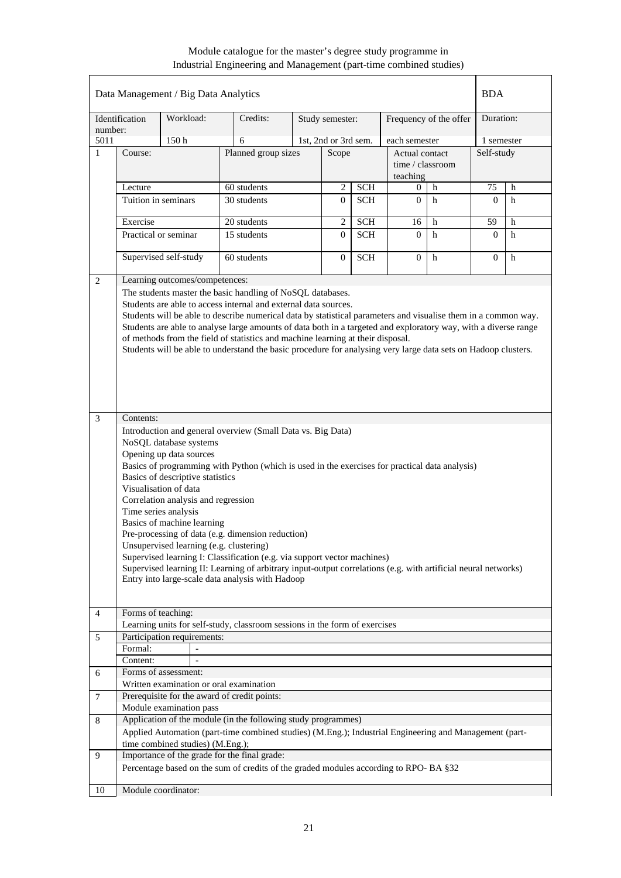|                |                     | Data Management / Big Data Analytics                                                                                                                                                                        |                                                                                                                                                                                                                                                                                                                                                                                                                                                                                                                                                                                                                                                                                                                                                                                                                                                                                                       |                      |            |                                    |                        | <b>BDA</b>     |   |
|----------------|---------------------|-------------------------------------------------------------------------------------------------------------------------------------------------------------------------------------------------------------|-------------------------------------------------------------------------------------------------------------------------------------------------------------------------------------------------------------------------------------------------------------------------------------------------------------------------------------------------------------------------------------------------------------------------------------------------------------------------------------------------------------------------------------------------------------------------------------------------------------------------------------------------------------------------------------------------------------------------------------------------------------------------------------------------------------------------------------------------------------------------------------------------------|----------------------|------------|------------------------------------|------------------------|----------------|---|
| number:        | Identification      | Workload:                                                                                                                                                                                                   | Credits:                                                                                                                                                                                                                                                                                                                                                                                                                                                                                                                                                                                                                                                                                                                                                                                                                                                                                              | Study semester:      |            |                                    | Frequency of the offer | Duration:      |   |
| 5011           |                     | 150h                                                                                                                                                                                                        | 6                                                                                                                                                                                                                                                                                                                                                                                                                                                                                                                                                                                                                                                                                                                                                                                                                                                                                                     | 1st, 2nd or 3rd sem. |            | each semester                      |                        | 1 semester     |   |
| $\mathbf{1}$   | Course:             |                                                                                                                                                                                                             | Planned group sizes                                                                                                                                                                                                                                                                                                                                                                                                                                                                                                                                                                                                                                                                                                                                                                                                                                                                                   | Scope                |            | Actual contact<br>time / classroom |                        | Self-study     |   |
|                | Lecture             |                                                                                                                                                                                                             | 60 students                                                                                                                                                                                                                                                                                                                                                                                                                                                                                                                                                                                                                                                                                                                                                                                                                                                                                           | $\overline{c}$       | <b>SCH</b> | teaching<br>0                      | h                      | 75             | h |
|                |                     |                                                                                                                                                                                                             |                                                                                                                                                                                                                                                                                                                                                                                                                                                                                                                                                                                                                                                                                                                                                                                                                                                                                                       | $\overline{0}$       |            |                                    |                        |                |   |
|                | Tuition in seminars |                                                                                                                                                                                                             | 30 students                                                                                                                                                                                                                                                                                                                                                                                                                                                                                                                                                                                                                                                                                                                                                                                                                                                                                           |                      | <b>SCH</b> | $\overline{0}$                     | h                      | $\Omega$       | h |
|                | Exercise            |                                                                                                                                                                                                             | 20 students                                                                                                                                                                                                                                                                                                                                                                                                                                                                                                                                                                                                                                                                                                                                                                                                                                                                                           | $\mathbf{2}$         | <b>SCH</b> | 16                                 | h                      | 59             | h |
|                |                     | Practical or seminar                                                                                                                                                                                        | 15 students                                                                                                                                                                                                                                                                                                                                                                                                                                                                                                                                                                                                                                                                                                                                                                                                                                                                                           | $\Omega$             | <b>SCH</b> | $\Omega$                           | h                      | $\overline{0}$ | h |
|                |                     | Supervised self-study                                                                                                                                                                                       | 60 students                                                                                                                                                                                                                                                                                                                                                                                                                                                                                                                                                                                                                                                                                                                                                                                                                                                                                           | $\overline{0}$       | <b>SCH</b> | $\overline{0}$                     | $\mathbf h$            | $\Omega$       | h |
| 2              |                     | Learning outcomes/competences:                                                                                                                                                                              |                                                                                                                                                                                                                                                                                                                                                                                                                                                                                                                                                                                                                                                                                                                                                                                                                                                                                                       |                      |            |                                    |                        |                |   |
| 3              | Contents:           | NoSQL database systems<br>Opening up data sources<br>Basics of descriptive statistics<br>Visualisation of data<br>Correlation analysis and regression<br>Time series analysis<br>Basics of machine learning | Students will be able to describe numerical data by statistical parameters and visualise them in a common way.<br>Students are able to analyse large amounts of data both in a targeted and exploratory way, with a diverse range<br>of methods from the field of statistics and machine learning at their disposal.<br>Students will be able to understand the basic procedure for analysing very large data sets on Hadoop clusters.<br>Introduction and general overview (Small Data vs. Big Data)<br>Basics of programming with Python (which is used in the exercises for practical data analysis)<br>Pre-processing of data (e.g. dimension reduction)<br>Unsupervised learning (e.g. clustering)<br>Supervised learning I: Classification (e.g. via support vector machines)<br>Supervised learning II: Learning of arbitrary input-output correlations (e.g. with artificial neural networks) |                      |            |                                    |                        |                |   |
|                |                     |                                                                                                                                                                                                             | Entry into large-scale data analysis with Hadoop                                                                                                                                                                                                                                                                                                                                                                                                                                                                                                                                                                                                                                                                                                                                                                                                                                                      |                      |            |                                    |                        |                |   |
| $\overline{4}$ | Forms of teaching:  |                                                                                                                                                                                                             | Learning units for self-study, classroom sessions in the form of exercises                                                                                                                                                                                                                                                                                                                                                                                                                                                                                                                                                                                                                                                                                                                                                                                                                            |                      |            |                                    |                        |                |   |
| 5              |                     | Participation requirements:                                                                                                                                                                                 |                                                                                                                                                                                                                                                                                                                                                                                                                                                                                                                                                                                                                                                                                                                                                                                                                                                                                                       |                      |            |                                    |                        |                |   |
|                | Formal:             |                                                                                                                                                                                                             |                                                                                                                                                                                                                                                                                                                                                                                                                                                                                                                                                                                                                                                                                                                                                                                                                                                                                                       |                      |            |                                    |                        |                |   |
|                | Content:            |                                                                                                                                                                                                             |                                                                                                                                                                                                                                                                                                                                                                                                                                                                                                                                                                                                                                                                                                                                                                                                                                                                                                       |                      |            |                                    |                        |                |   |
| 6              |                     | Forms of assessment:                                                                                                                                                                                        |                                                                                                                                                                                                                                                                                                                                                                                                                                                                                                                                                                                                                                                                                                                                                                                                                                                                                                       |                      |            |                                    |                        |                |   |
|                |                     |                                                                                                                                                                                                             | Written examination or oral examination                                                                                                                                                                                                                                                                                                                                                                                                                                                                                                                                                                                                                                                                                                                                                                                                                                                               |                      |            |                                    |                        |                |   |
| 7              |                     |                                                                                                                                                                                                             | Prerequisite for the award of credit points:                                                                                                                                                                                                                                                                                                                                                                                                                                                                                                                                                                                                                                                                                                                                                                                                                                                          |                      |            |                                    |                        |                |   |
|                |                     | Module examination pass                                                                                                                                                                                     |                                                                                                                                                                                                                                                                                                                                                                                                                                                                                                                                                                                                                                                                                                                                                                                                                                                                                                       |                      |            |                                    |                        |                |   |
| 8              |                     |                                                                                                                                                                                                             | Application of the module (in the following study programmes)                                                                                                                                                                                                                                                                                                                                                                                                                                                                                                                                                                                                                                                                                                                                                                                                                                         |                      |            |                                    |                        |                |   |
|                |                     |                                                                                                                                                                                                             | Applied Automation (part-time combined studies) (M.Eng.); Industrial Engineering and Management (part-                                                                                                                                                                                                                                                                                                                                                                                                                                                                                                                                                                                                                                                                                                                                                                                                |                      |            |                                    |                        |                |   |
|                |                     | time combined studies) (M.Eng.);                                                                                                                                                                            |                                                                                                                                                                                                                                                                                                                                                                                                                                                                                                                                                                                                                                                                                                                                                                                                                                                                                                       |                      |            |                                    |                        |                |   |
| 9              |                     |                                                                                                                                                                                                             | Importance of the grade for the final grade:<br>Percentage based on the sum of credits of the graded modules according to RPO-BA §32                                                                                                                                                                                                                                                                                                                                                                                                                                                                                                                                                                                                                                                                                                                                                                  |                      |            |                                    |                        |                |   |
| 10             |                     | Module coordinator:                                                                                                                                                                                         |                                                                                                                                                                                                                                                                                                                                                                                                                                                                                                                                                                                                                                                                                                                                                                                                                                                                                                       |                      |            |                                    |                        |                |   |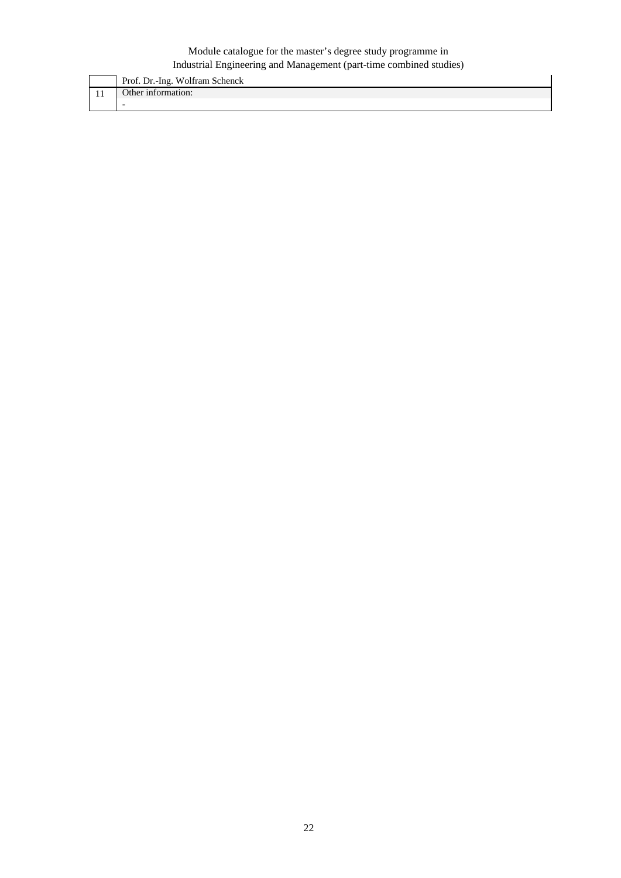| Prof. Dr.-Ing. Wolfram Schenck |
|--------------------------------|
| Other information:             |
| $\overline{\phantom{0}}$       |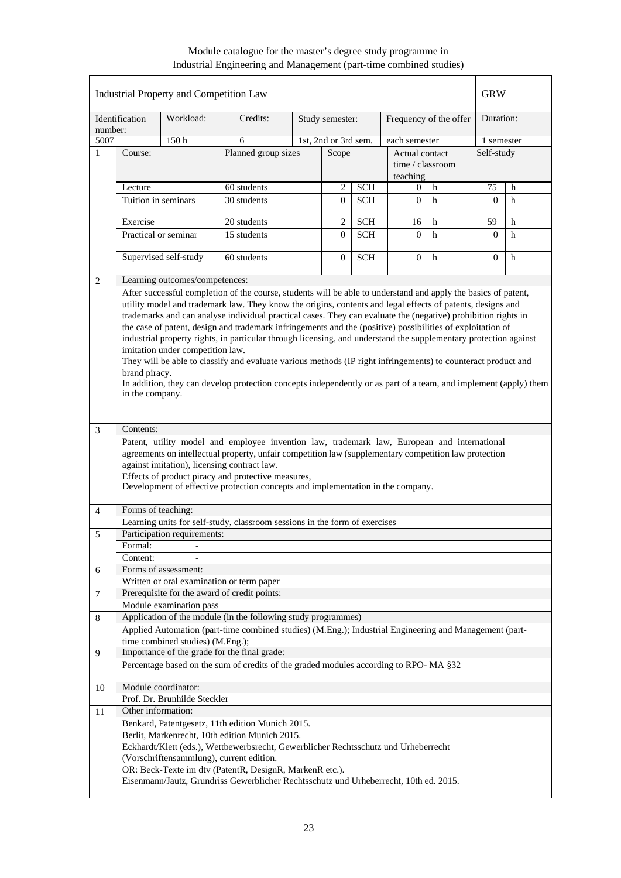|                |                     | Industrial Property and Competition Law |                                                                                                                  |                      |            |                  |                        | <b>GRW</b> |   |
|----------------|---------------------|-----------------------------------------|------------------------------------------------------------------------------------------------------------------|----------------------|------------|------------------|------------------------|------------|---|
| number:        | Identification      | Workload:                               | Credits:                                                                                                         | Study semester:      |            |                  | Frequency of the offer | Duration:  |   |
| 5007           |                     | 150 <sub>h</sub>                        | 6                                                                                                                | 1st, 2nd or 3rd sem. |            | each semester    |                        | 1 semester |   |
| 1              | Course:             |                                         | Planned group sizes                                                                                              | Scope                |            | Actual contact   |                        | Self-study |   |
|                |                     |                                         |                                                                                                                  |                      |            | time / classroom |                        |            |   |
|                |                     |                                         |                                                                                                                  |                      |            | teaching         |                        |            |   |
|                | Lecture             |                                         | 60 students                                                                                                      | 2                    | <b>SCH</b> | 0                | h                      | 75         | h |
|                | Tuition in seminars |                                         | 30 students                                                                                                      | $\overline{0}$       | <b>SCH</b> | $\theta$         | h                      | $\Omega$   | h |
|                | Exercise            |                                         | 20 students                                                                                                      | $\overline{c}$       | <b>SCH</b> | 16               | h                      | 59         | h |
|                |                     | Practical or seminar                    | 15 students                                                                                                      | $\Omega$             | <b>SCH</b> | $\Omega$         | h                      | $\Omega$   | h |
|                |                     |                                         |                                                                                                                  |                      |            |                  |                        |            |   |
|                |                     | Supervised self-study                   | 60 students                                                                                                      | $\overline{0}$       | <b>SCH</b> | $\mathbf{0}$     | $\mathbf h$            | $\Omega$   | h |
| 2              |                     | Learning outcomes/competences:          |                                                                                                                  |                      |            |                  |                        |            |   |
|                |                     |                                         | After successful completion of the course, students will be able to understand and apply the basics of patent,   |                      |            |                  |                        |            |   |
|                |                     |                                         | utility model and trademark law. They know the origins, contents and legal effects of patents, designs and       |                      |            |                  |                        |            |   |
|                |                     |                                         | trademarks and can analyse individual practical cases. They can evaluate the (negative) prohibition rights in    |                      |            |                  |                        |            |   |
|                |                     |                                         | the case of patent, design and trademark infringements and the (positive) possibilities of exploitation of       |                      |            |                  |                        |            |   |
|                |                     |                                         | industrial property rights, in particular through licensing, and understand the supplementary protection against |                      |            |                  |                        |            |   |
|                |                     | imitation under competition law.        |                                                                                                                  |                      |            |                  |                        |            |   |
|                |                     |                                         | They will be able to classify and evaluate various methods (IP right infringements) to counteract product and    |                      |            |                  |                        |            |   |
|                | brand piracy.       |                                         |                                                                                                                  |                      |            |                  |                        |            |   |
|                | in the company.     |                                         | In addition, they can develop protection concepts independently or as part of a team, and implement (apply) them |                      |            |                  |                        |            |   |
|                |                     |                                         |                                                                                                                  |                      |            |                  |                        |            |   |
|                |                     |                                         |                                                                                                                  |                      |            |                  |                        |            |   |
| 3              | Contents:           |                                         |                                                                                                                  |                      |            |                  |                        |            |   |
|                |                     |                                         | Patent, utility model and employee invention law, trademark law, European and international                      |                      |            |                  |                        |            |   |
|                |                     |                                         | agreements on intellectual property, unfair competition law (supplementary competition law protection            |                      |            |                  |                        |            |   |
|                |                     |                                         | against imitation), licensing contract law.<br>Effects of product piracy and protective measures,                |                      |            |                  |                        |            |   |
|                |                     |                                         | Development of effective protection concepts and implementation in the company.                                  |                      |            |                  |                        |            |   |
|                |                     |                                         |                                                                                                                  |                      |            |                  |                        |            |   |
| $\overline{4}$ | Forms of teaching:  |                                         |                                                                                                                  |                      |            |                  |                        |            |   |
|                |                     |                                         | Learning units for self-study, classroom sessions in the form of exercises                                       |                      |            |                  |                        |            |   |
| 5              |                     | Participation requirements:             |                                                                                                                  |                      |            |                  |                        |            |   |
|                | Formal:<br>Content: |                                         |                                                                                                                  |                      |            |                  |                        |            |   |
| 6              |                     | Forms of assessment:                    |                                                                                                                  |                      |            |                  |                        |            |   |
|                |                     |                                         | Written or oral examination or term paper                                                                        |                      |            |                  |                        |            |   |
| 7              |                     |                                         | Prerequisite for the award of credit points:                                                                     |                      |            |                  |                        |            |   |
|                |                     | Module examination pass                 |                                                                                                                  |                      |            |                  |                        |            |   |
| 8              |                     |                                         | Application of the module (in the following study programmes)                                                    |                      |            |                  |                        |            |   |
|                |                     |                                         | Applied Automation (part-time combined studies) (M.Eng.); Industrial Engineering and Management (part-           |                      |            |                  |                        |            |   |
|                |                     | time combined studies) (M.Eng.);        |                                                                                                                  |                      |            |                  |                        |            |   |
| 9              |                     |                                         | Importance of the grade for the final grade:                                                                     |                      |            |                  |                        |            |   |
|                |                     |                                         | Percentage based on the sum of credits of the graded modules according to RPO-MA §32                             |                      |            |                  |                        |            |   |
| 10             |                     | Module coordinator:                     |                                                                                                                  |                      |            |                  |                        |            |   |
|                |                     | Prof. Dr. Brunhilde Steckler            |                                                                                                                  |                      |            |                  |                        |            |   |
| 11             | Other information:  |                                         |                                                                                                                  |                      |            |                  |                        |            |   |
|                |                     |                                         | Benkard, Patentgesetz, 11th edition Munich 2015.                                                                 |                      |            |                  |                        |            |   |
|                |                     |                                         | Berlit, Markenrecht, 10th edition Munich 2015.                                                                   |                      |            |                  |                        |            |   |
|                |                     |                                         | Eckhardt/Klett (eds.), Wettbewerbsrecht, Gewerblicher Rechtsschutz und Urheberrecht                              |                      |            |                  |                        |            |   |
|                |                     |                                         | (Vorschriftensammlung), current edition.<br>OR: Beck-Texte im dtv (PatentR, DesignR, MarkenR etc.).              |                      |            |                  |                        |            |   |
|                |                     |                                         | Eisenmann/Jautz, Grundriss Gewerblicher Rechtsschutz und Urheberrecht, 10th ed. 2015.                            |                      |            |                  |                        |            |   |
|                |                     |                                         |                                                                                                                  |                      |            |                  |                        |            |   |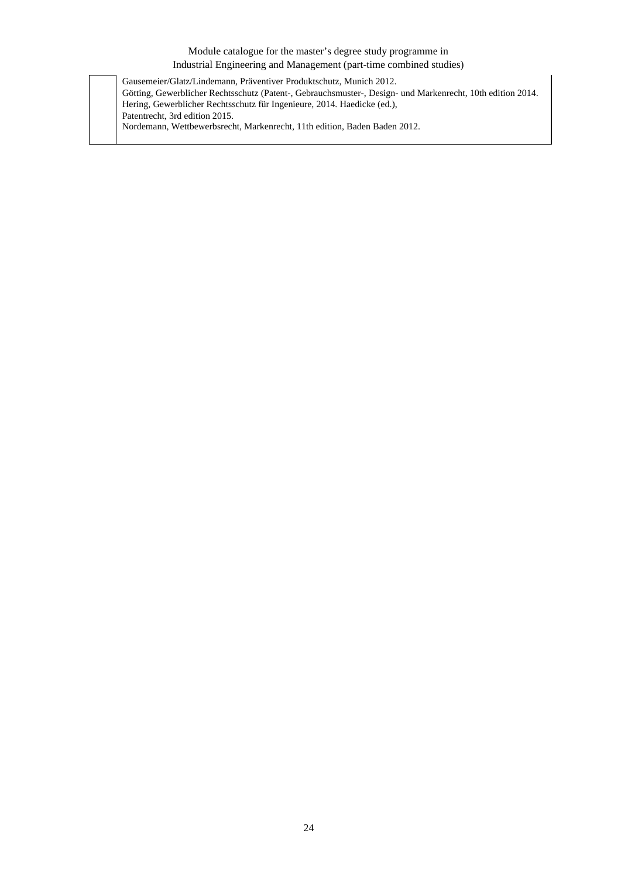Gausemeier/Glatz/Lindemann, Präventiver Produktschutz, Munich 2012. Götting, Gewerblicher Rechtsschutz (Patent-, Gebrauchsmuster-, Design- und Markenrecht, 10th edition 2014. Hering, Gewerblicher Rechtsschutz für Ingenieure, 2014. Haedicke (ed.), Patentrecht, 3rd edition 2015. Nordemann, Wettbewerbsrecht, Markenrecht, 11th edition, Baden Baden 2012.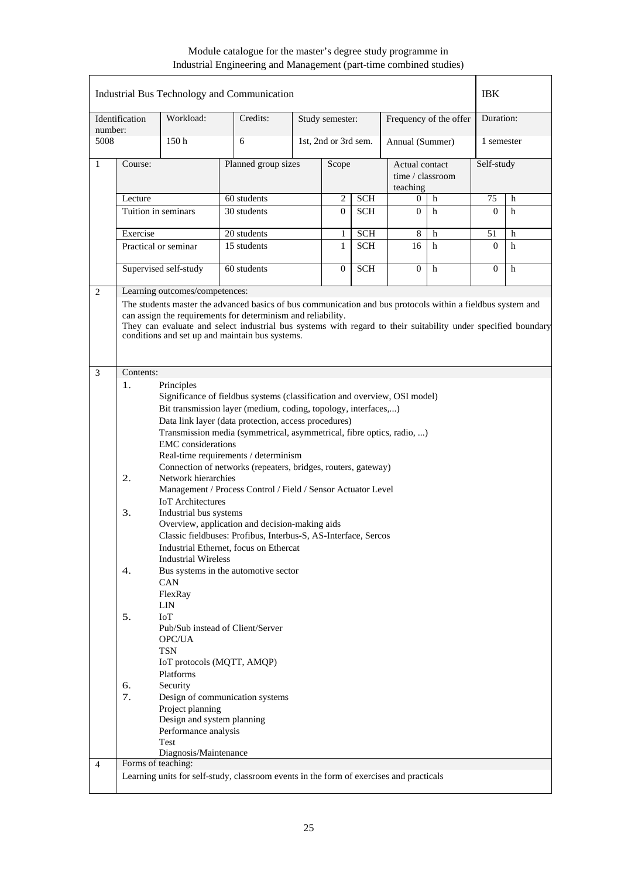| number:<br>5008<br>150 <sub>h</sub><br>6<br>1st, 2nd or 3rd sem.<br>Annual (Summer)<br>1 semester<br>Planned group sizes<br>Self-study<br>Course:<br>Scope<br>Actual contact<br>time / classroom<br>teaching<br>60 students<br>$\overline{c}$<br><b>SCH</b><br>75<br>Lecture<br>$\Omega$<br>h<br>h<br>30 students<br>Tuition in seminars<br><b>SCH</b><br>$\overline{0}$<br>$\Omega$<br>h<br>$\Omega$<br>h<br>Exercise<br>20 students<br>8<br>51<br>1<br><b>SCH</b><br>h<br>h<br>Practical or seminar<br>15 students<br>$\mathbf{1}$<br><b>SCH</b><br>16<br>$\Omega$<br>h<br>h<br>Supervised self-study<br>$\mathbf{0}$<br><b>SCH</b><br>$\Omega$<br>60 students<br>h<br>$\Omega$<br>h<br>Learning outcomes/competences:<br>The students master the advanced basics of bus communication and bus protocols within a fieldbus system and<br>can assign the requirements for determinism and reliability.<br>They can evaluate and select industrial bus systems with regard to their suitability under specified boundary<br>conditions and set up and maintain bus systems.<br>Contents:<br>Principles<br>1.<br>Significance of fieldbus systems (classification and overview, OSI model)<br>Bit transmission layer (medium, coding, topology, interfaces,)<br>Data link layer (data protection, access procedures)<br>Transmission media (symmetrical, asymmetrical, fibre optics, radio, )<br><b>EMC</b> considerations<br>Real-time requirements / determinism<br>Connection of networks (repeaters, bridges, routers, gateway)<br>Network hierarchies<br>2.<br>Management / Process Control / Field / Sensor Actuator Level<br><b>IoT</b> Architectures<br>3.<br>Industrial bus systems<br>Overview, application and decision-making aids<br>Classic fieldbuses: Profibus, Interbus-S, AS-Interface, Sercos<br>Industrial Ethernet, focus on Ethercat<br><b>Industrial Wireless</b><br>4.<br>Bus systems in the automotive sector<br>CAN<br>FlexRay<br><b>LIN</b><br>5.<br>IoT<br>Pub/Sub instead of Client/Server<br>OPC/UA<br><b>TSN</b><br>IoT protocols (MQTT, AMQP)<br>Platforms<br>Security<br>6.<br>7.<br>Design of communication systems<br>Project planning<br>Design and system planning | Identification | Workload: | Credits: |  | Study semester: |  |  | Frequency of the offer | Duration: |  |
|--------------------------------------------------------------------------------------------------------------------------------------------------------------------------------------------------------------------------------------------------------------------------------------------------------------------------------------------------------------------------------------------------------------------------------------------------------------------------------------------------------------------------------------------------------------------------------------------------------------------------------------------------------------------------------------------------------------------------------------------------------------------------------------------------------------------------------------------------------------------------------------------------------------------------------------------------------------------------------------------------------------------------------------------------------------------------------------------------------------------------------------------------------------------------------------------------------------------------------------------------------------------------------------------------------------------------------------------------------------------------------------------------------------------------------------------------------------------------------------------------------------------------------------------------------------------------------------------------------------------------------------------------------------------------------------------------------------------------------------------------------------------------------------------------------------------------------------------------------------------------------------------------------------------------------------------------------------------------------------------------------------------------------------------------------------------------------------------------------------------------------------------------------------------------------------------------------|----------------|-----------|----------|--|-----------------|--|--|------------------------|-----------|--|
| $\mathbf{1}$<br>2<br>3                                                                                                                                                                                                                                                                                                                                                                                                                                                                                                                                                                                                                                                                                                                                                                                                                                                                                                                                                                                                                                                                                                                                                                                                                                                                                                                                                                                                                                                                                                                                                                                                                                                                                                                                                                                                                                                                                                                                                                                                                                                                                                                                                                                 |                |           |          |  |                 |  |  |                        |           |  |
|                                                                                                                                                                                                                                                                                                                                                                                                                                                                                                                                                                                                                                                                                                                                                                                                                                                                                                                                                                                                                                                                                                                                                                                                                                                                                                                                                                                                                                                                                                                                                                                                                                                                                                                                                                                                                                                                                                                                                                                                                                                                                                                                                                                                        |                |           |          |  |                 |  |  |                        |           |  |
|                                                                                                                                                                                                                                                                                                                                                                                                                                                                                                                                                                                                                                                                                                                                                                                                                                                                                                                                                                                                                                                                                                                                                                                                                                                                                                                                                                                                                                                                                                                                                                                                                                                                                                                                                                                                                                                                                                                                                                                                                                                                                                                                                                                                        |                |           |          |  |                 |  |  |                        |           |  |
|                                                                                                                                                                                                                                                                                                                                                                                                                                                                                                                                                                                                                                                                                                                                                                                                                                                                                                                                                                                                                                                                                                                                                                                                                                                                                                                                                                                                                                                                                                                                                                                                                                                                                                                                                                                                                                                                                                                                                                                                                                                                                                                                                                                                        |                |           |          |  |                 |  |  |                        |           |  |
|                                                                                                                                                                                                                                                                                                                                                                                                                                                                                                                                                                                                                                                                                                                                                                                                                                                                                                                                                                                                                                                                                                                                                                                                                                                                                                                                                                                                                                                                                                                                                                                                                                                                                                                                                                                                                                                                                                                                                                                                                                                                                                                                                                                                        |                |           |          |  |                 |  |  |                        |           |  |
|                                                                                                                                                                                                                                                                                                                                                                                                                                                                                                                                                                                                                                                                                                                                                                                                                                                                                                                                                                                                                                                                                                                                                                                                                                                                                                                                                                                                                                                                                                                                                                                                                                                                                                                                                                                                                                                                                                                                                                                                                                                                                                                                                                                                        |                |           |          |  |                 |  |  |                        |           |  |
|                                                                                                                                                                                                                                                                                                                                                                                                                                                                                                                                                                                                                                                                                                                                                                                                                                                                                                                                                                                                                                                                                                                                                                                                                                                                                                                                                                                                                                                                                                                                                                                                                                                                                                                                                                                                                                                                                                                                                                                                                                                                                                                                                                                                        |                |           |          |  |                 |  |  |                        |           |  |
|                                                                                                                                                                                                                                                                                                                                                                                                                                                                                                                                                                                                                                                                                                                                                                                                                                                                                                                                                                                                                                                                                                                                                                                                                                                                                                                                                                                                                                                                                                                                                                                                                                                                                                                                                                                                                                                                                                                                                                                                                                                                                                                                                                                                        |                |           |          |  |                 |  |  |                        |           |  |
|                                                                                                                                                                                                                                                                                                                                                                                                                                                                                                                                                                                                                                                                                                                                                                                                                                                                                                                                                                                                                                                                                                                                                                                                                                                                                                                                                                                                                                                                                                                                                                                                                                                                                                                                                                                                                                                                                                                                                                                                                                                                                                                                                                                                        |                |           |          |  |                 |  |  |                        |           |  |
|                                                                                                                                                                                                                                                                                                                                                                                                                                                                                                                                                                                                                                                                                                                                                                                                                                                                                                                                                                                                                                                                                                                                                                                                                                                                                                                                                                                                                                                                                                                                                                                                                                                                                                                                                                                                                                                                                                                                                                                                                                                                                                                                                                                                        |                |           |          |  |                 |  |  |                        |           |  |
|                                                                                                                                                                                                                                                                                                                                                                                                                                                                                                                                                                                                                                                                                                                                                                                                                                                                                                                                                                                                                                                                                                                                                                                                                                                                                                                                                                                                                                                                                                                                                                                                                                                                                                                                                                                                                                                                                                                                                                                                                                                                                                                                                                                                        |                |           |          |  |                 |  |  |                        |           |  |
|                                                                                                                                                                                                                                                                                                                                                                                                                                                                                                                                                                                                                                                                                                                                                                                                                                                                                                                                                                                                                                                                                                                                                                                                                                                                                                                                                                                                                                                                                                                                                                                                                                                                                                                                                                                                                                                                                                                                                                                                                                                                                                                                                                                                        |                |           |          |  |                 |  |  |                        |           |  |
|                                                                                                                                                                                                                                                                                                                                                                                                                                                                                                                                                                                                                                                                                                                                                                                                                                                                                                                                                                                                                                                                                                                                                                                                                                                                                                                                                                                                                                                                                                                                                                                                                                                                                                                                                                                                                                                                                                                                                                                                                                                                                                                                                                                                        |                |           |          |  |                 |  |  |                        |           |  |
| Performance analysis                                                                                                                                                                                                                                                                                                                                                                                                                                                                                                                                                                                                                                                                                                                                                                                                                                                                                                                                                                                                                                                                                                                                                                                                                                                                                                                                                                                                                                                                                                                                                                                                                                                                                                                                                                                                                                                                                                                                                                                                                                                                                                                                                                                   |                |           |          |  |                 |  |  |                        |           |  |
| Test<br>Diagnosis/Maintenance                                                                                                                                                                                                                                                                                                                                                                                                                                                                                                                                                                                                                                                                                                                                                                                                                                                                                                                                                                                                                                                                                                                                                                                                                                                                                                                                                                                                                                                                                                                                                                                                                                                                                                                                                                                                                                                                                                                                                                                                                                                                                                                                                                          |                |           |          |  |                 |  |  |                        |           |  |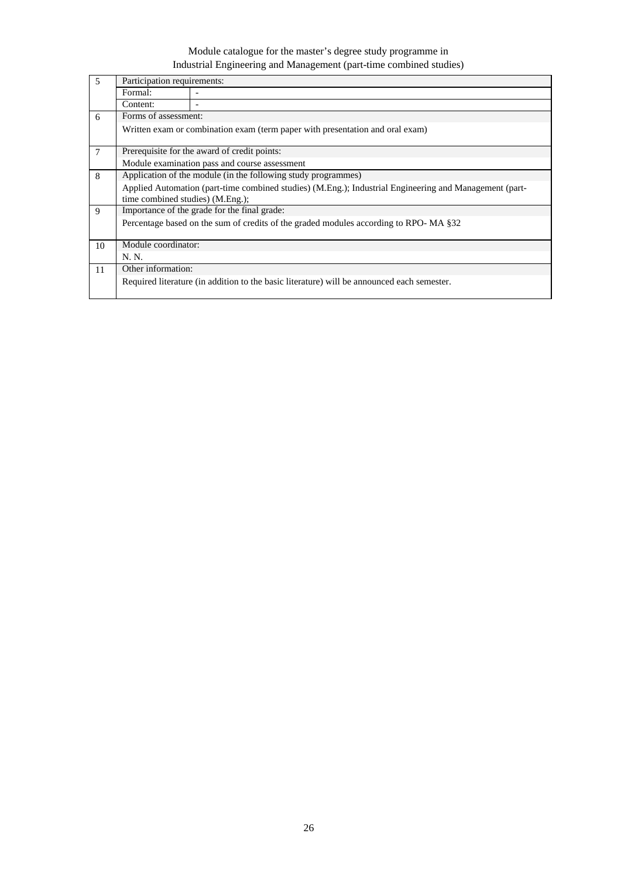| $\overline{5}$ | Participation requirements:      |                                                                                                        |  |  |  |  |  |  |  |
|----------------|----------------------------------|--------------------------------------------------------------------------------------------------------|--|--|--|--|--|--|--|
|                | Formal:                          |                                                                                                        |  |  |  |  |  |  |  |
|                | Content:                         | ۰                                                                                                      |  |  |  |  |  |  |  |
| 6              | Forms of assessment:             |                                                                                                        |  |  |  |  |  |  |  |
|                |                                  | Written exam or combination exam (term paper with presentation and oral exam)                          |  |  |  |  |  |  |  |
| $\overline{7}$ |                                  | Prerequisite for the award of credit points:                                                           |  |  |  |  |  |  |  |
|                |                                  | Module examination pass and course assessment                                                          |  |  |  |  |  |  |  |
| 8              |                                  | Application of the module (in the following study programmes)                                          |  |  |  |  |  |  |  |
|                |                                  | Applied Automation (part-time combined studies) (M.Eng.); Industrial Engineering and Management (part- |  |  |  |  |  |  |  |
|                | time combined studies) (M.Eng.); |                                                                                                        |  |  |  |  |  |  |  |
| 9              |                                  | Importance of the grade for the final grade:                                                           |  |  |  |  |  |  |  |
|                |                                  | Percentage based on the sum of credits of the graded modules according to RPO-MA §32                   |  |  |  |  |  |  |  |
| 10             | Module coordinator:              |                                                                                                        |  |  |  |  |  |  |  |
|                | N. N.                            |                                                                                                        |  |  |  |  |  |  |  |
| 11             | Other information:               |                                                                                                        |  |  |  |  |  |  |  |
|                |                                  | Required literature (in addition to the basic literature) will be announced each semester.             |  |  |  |  |  |  |  |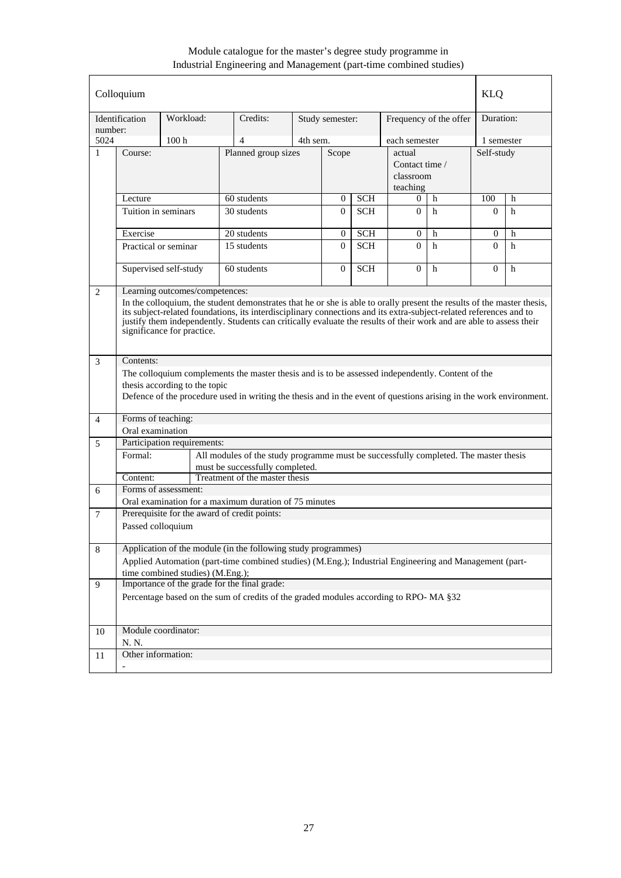|              | Colloquium                                                                                                                                                                                                                                                                                                                                                                                                                          |                                     |                                                                                                                         |                     |                 |            |                                                   |                        | <b>KLQ</b>   |   |
|--------------|-------------------------------------------------------------------------------------------------------------------------------------------------------------------------------------------------------------------------------------------------------------------------------------------------------------------------------------------------------------------------------------------------------------------------------------|-------------------------------------|-------------------------------------------------------------------------------------------------------------------------|---------------------|-----------------|------------|---------------------------------------------------|------------------------|--------------|---|
| number:      | Identification                                                                                                                                                                                                                                                                                                                                                                                                                      | Workload:                           | Credits:                                                                                                                |                     | Study semester: |            |                                                   | Frequency of the offer | Duration:    |   |
| 5024         |                                                                                                                                                                                                                                                                                                                                                                                                                                     | 100 <sub>h</sub>                    | $\overline{4}$                                                                                                          | 4th sem.            |                 |            | each semester                                     |                        | 1 semester   |   |
| $\mathbf{1}$ | Course:                                                                                                                                                                                                                                                                                                                                                                                                                             |                                     |                                                                                                                         | Planned group sizes |                 | Scope      | actual<br>Contact time /<br>classroom<br>teaching |                        | Self-study   |   |
|              | Lecture                                                                                                                                                                                                                                                                                                                                                                                                                             |                                     | 60 students                                                                                                             |                     | $\overline{0}$  | <b>SCH</b> | $\Omega$                                          | h                      | 100          | h |
|              | Tuition in seminars                                                                                                                                                                                                                                                                                                                                                                                                                 |                                     | 30 students                                                                                                             |                     | $\Omega$        | <b>SCH</b> | $\Omega$                                          | h                      | $\Omega$     | h |
|              | Exercise                                                                                                                                                                                                                                                                                                                                                                                                                            |                                     | 20 students                                                                                                             |                     | 0               | <b>SCH</b> | $\overline{0}$                                    | h                      | $\mathbf{0}$ | h |
|              |                                                                                                                                                                                                                                                                                                                                                                                                                                     | 15 students<br>Practical or seminar |                                                                                                                         |                     | $\Omega$        | <b>SCH</b> | $\Omega$                                          | h                      | $\Omega$     | h |
|              | Supervised self-study<br>$\Omega$<br>60 students<br><b>SCH</b><br>$\overline{0}$<br>h                                                                                                                                                                                                                                                                                                                                               |                                     |                                                                                                                         |                     |                 |            | $\Omega$                                          | h                      |              |   |
| 2            | Learning outcomes/competences:<br>In the colloquium, the student demonstrates that he or she is able to orally present the results of the master thesis,<br>its subject-related foundations, its interdisciplinary connections and its extra-subject-related references and to<br>justify them independently. Students can critically evaluate the results of their work and are able to assess their<br>significance for practice. |                                     |                                                                                                                         |                     |                 |            |                                                   |                        |              |   |
| 3            | Contents:                                                                                                                                                                                                                                                                                                                                                                                                                           |                                     |                                                                                                                         |                     |                 |            |                                                   |                        |              |   |
|              | The colloquium complements the master thesis and is to be assessed independently. Content of the<br>thesis according to the topic<br>Defence of the procedure used in writing the thesis and in the event of questions arising in the work environment.                                                                                                                                                                             |                                     |                                                                                                                         |                     |                 |            |                                                   |                        |              |   |
| 4            | Forms of teaching:                                                                                                                                                                                                                                                                                                                                                                                                                  |                                     |                                                                                                                         |                     |                 |            |                                                   |                        |              |   |
|              | Oral examination                                                                                                                                                                                                                                                                                                                                                                                                                    |                                     |                                                                                                                         |                     |                 |            |                                                   |                        |              |   |
| 5            |                                                                                                                                                                                                                                                                                                                                                                                                                                     | Participation requirements:         |                                                                                                                         |                     |                 |            |                                                   |                        |              |   |
|              | Formal:                                                                                                                                                                                                                                                                                                                                                                                                                             |                                     | All modules of the study programme must be successfully completed. The master thesis<br>must be successfully completed. |                     |                 |            |                                                   |                        |              |   |
|              | Content:                                                                                                                                                                                                                                                                                                                                                                                                                            |                                     | Treatment of the master thesis                                                                                          |                     |                 |            |                                                   |                        |              |   |
| 6            |                                                                                                                                                                                                                                                                                                                                                                                                                                     | Forms of assessment:                |                                                                                                                         |                     |                 |            |                                                   |                        |              |   |
|              |                                                                                                                                                                                                                                                                                                                                                                                                                                     |                                     | Oral examination for a maximum duration of 75 minutes                                                                   |                     |                 |            |                                                   |                        |              |   |
| 7            | Passed colloquium                                                                                                                                                                                                                                                                                                                                                                                                                   |                                     | Prerequisite for the award of credit points:                                                                            |                     |                 |            |                                                   |                        |              |   |
| $\,8\,$      |                                                                                                                                                                                                                                                                                                                                                                                                                                     |                                     | Application of the module (in the following study programmes)                                                           |                     |                 |            |                                                   |                        |              |   |
|              | Applied Automation (part-time combined studies) (M.Eng.); Industrial Engineering and Management (part-<br>time combined studies) (M.Eng.);                                                                                                                                                                                                                                                                                          |                                     |                                                                                                                         |                     |                 |            |                                                   |                        |              |   |
| 9            |                                                                                                                                                                                                                                                                                                                                                                                                                                     |                                     | Importance of the grade for the final grade:                                                                            |                     |                 |            |                                                   |                        |              |   |
|              | Percentage based on the sum of credits of the graded modules according to RPO-MA §32                                                                                                                                                                                                                                                                                                                                                |                                     |                                                                                                                         |                     |                 |            |                                                   |                        |              |   |
| 10           |                                                                                                                                                                                                                                                                                                                                                                                                                                     | Module coordinator:                 |                                                                                                                         |                     |                 |            |                                                   |                        |              |   |
|              | N. N.                                                                                                                                                                                                                                                                                                                                                                                                                               |                                     |                                                                                                                         |                     |                 |            |                                                   |                        |              |   |
| 11           | Other information:                                                                                                                                                                                                                                                                                                                                                                                                                  |                                     |                                                                                                                         |                     |                 |            |                                                   |                        |              |   |
|              |                                                                                                                                                                                                                                                                                                                                                                                                                                     |                                     |                                                                                                                         |                     |                 |            |                                                   |                        |              |   |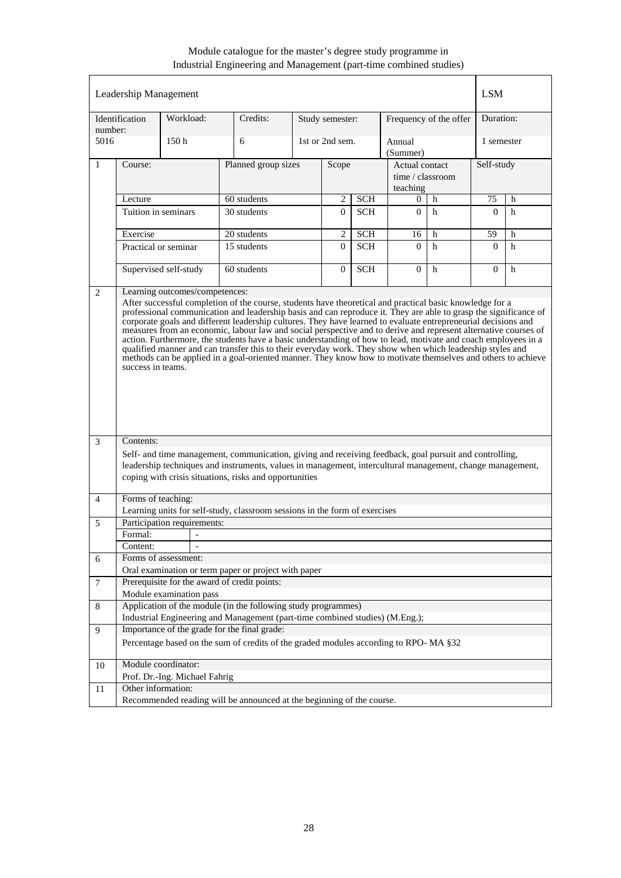|                | Leadership Management                                                                                                                                                                                                                                                                                                                                                                                                                                                                                                                                                                                                                                                                                                                  |                               |                                                                                                           |  |                 |            |                                    |                        | <b>LSM</b> |   |
|----------------|----------------------------------------------------------------------------------------------------------------------------------------------------------------------------------------------------------------------------------------------------------------------------------------------------------------------------------------------------------------------------------------------------------------------------------------------------------------------------------------------------------------------------------------------------------------------------------------------------------------------------------------------------------------------------------------------------------------------------------------|-------------------------------|-----------------------------------------------------------------------------------------------------------|--|-----------------|------------|------------------------------------|------------------------|------------|---|
| number:        | Identification                                                                                                                                                                                                                                                                                                                                                                                                                                                                                                                                                                                                                                                                                                                         | Workload:                     | Credits:                                                                                                  |  | Study semester: |            |                                    | Frequency of the offer | Duration:  |   |
| 5016           |                                                                                                                                                                                                                                                                                                                                                                                                                                                                                                                                                                                                                                                                                                                                        | 150 <sub>h</sub>              | 6                                                                                                         |  | 1st or 2nd sem. |            | Annual<br>(Summer)                 |                        | 1 semester |   |
| $\mathbf{1}$   | Course:                                                                                                                                                                                                                                                                                                                                                                                                                                                                                                                                                                                                                                                                                                                                |                               | Planned group sizes                                                                                       |  | Scope           |            | Actual contact<br>time / classroom |                        | Self-study |   |
|                |                                                                                                                                                                                                                                                                                                                                                                                                                                                                                                                                                                                                                                                                                                                                        |                               |                                                                                                           |  |                 |            | teaching                           |                        |            |   |
|                | Lecture                                                                                                                                                                                                                                                                                                                                                                                                                                                                                                                                                                                                                                                                                                                                |                               | 60 students                                                                                               |  | 2               | <b>SCH</b> | $\Omega$                           | h                      | 75         | h |
|                | Tuition in seminars                                                                                                                                                                                                                                                                                                                                                                                                                                                                                                                                                                                                                                                                                                                    |                               | 30 students                                                                                               |  |                 | <b>SCH</b> | $\theta$                           | h                      | $\Omega$   | h |
|                | Exercise                                                                                                                                                                                                                                                                                                                                                                                                                                                                                                                                                                                                                                                                                                                               |                               | 20 students                                                                                               |  | $\mathbf{2}$    | <b>SCH</b> | 16                                 | h                      | 59         | h |
|                |                                                                                                                                                                                                                                                                                                                                                                                                                                                                                                                                                                                                                                                                                                                                        | Practical or seminar          | 15 students                                                                                               |  | $\Omega$        | <b>SCH</b> | $\Omega$                           | h                      | $\Omega$   | h |
|                |                                                                                                                                                                                                                                                                                                                                                                                                                                                                                                                                                                                                                                                                                                                                        |                               |                                                                                                           |  |                 |            |                                    |                        |            |   |
|                |                                                                                                                                                                                                                                                                                                                                                                                                                                                                                                                                                                                                                                                                                                                                        | Supervised self-study         | 60 students                                                                                               |  | $\overline{0}$  | <b>SCH</b> | $\Omega$                           | h                      | $\Omega$   | h |
|                | professional communication and leadership basis and can reproduce it. They are able to grasp the significance of<br>corporate goals and different leadership cultures. They have learned to evaluate entrepreneurial decisions and<br>measures from an economic, labour law and social perspective and to derive and represent alternative courses of<br>action. Furthermore, the students have a basic understanding of how to lead, motivate and coach employees in a<br>qualified manner and can transfer this to their everyday work. They show when which leadership styles and<br>methods can be applied in a goal-oriented manner. They know how to motivate themselves and others to achieve<br>success in teams.<br>Contents: |                               |                                                                                                           |  |                 |            |                                    |                        |            |   |
| 3              |                                                                                                                                                                                                                                                                                                                                                                                                                                                                                                                                                                                                                                                                                                                                        |                               | Self- and time management, communication, giving and receiving feedback, goal pursuit and controlling,    |  |                 |            |                                    |                        |            |   |
|                |                                                                                                                                                                                                                                                                                                                                                                                                                                                                                                                                                                                                                                                                                                                                        |                               | leadership techniques and instruments, values in management, intercultural management, change management, |  |                 |            |                                    |                        |            |   |
|                |                                                                                                                                                                                                                                                                                                                                                                                                                                                                                                                                                                                                                                                                                                                                        |                               | coping with crisis situations, risks and opportunities                                                    |  |                 |            |                                    |                        |            |   |
|                |                                                                                                                                                                                                                                                                                                                                                                                                                                                                                                                                                                                                                                                                                                                                        |                               |                                                                                                           |  |                 |            |                                    |                        |            |   |
| $\overline{4}$ | Forms of teaching:                                                                                                                                                                                                                                                                                                                                                                                                                                                                                                                                                                                                                                                                                                                     |                               |                                                                                                           |  |                 |            |                                    |                        |            |   |
|                |                                                                                                                                                                                                                                                                                                                                                                                                                                                                                                                                                                                                                                                                                                                                        |                               | Learning units for self-study, classroom sessions in the form of exercises                                |  |                 |            |                                    |                        |            |   |
| 5              |                                                                                                                                                                                                                                                                                                                                                                                                                                                                                                                                                                                                                                                                                                                                        | Participation requirements:   |                                                                                                           |  |                 |            |                                    |                        |            |   |
|                | Formal:                                                                                                                                                                                                                                                                                                                                                                                                                                                                                                                                                                                                                                                                                                                                | $\overline{a}$                |                                                                                                           |  |                 |            |                                    |                        |            |   |
|                | Content:                                                                                                                                                                                                                                                                                                                                                                                                                                                                                                                                                                                                                                                                                                                               |                               |                                                                                                           |  |                 |            |                                    |                        |            |   |
| 6              |                                                                                                                                                                                                                                                                                                                                                                                                                                                                                                                                                                                                                                                                                                                                        | Forms of assessment:          |                                                                                                           |  |                 |            |                                    |                        |            |   |
|                |                                                                                                                                                                                                                                                                                                                                                                                                                                                                                                                                                                                                                                                                                                                                        |                               | Oral examination or term paper or project with paper<br>Prerequisite for the award of credit points:      |  |                 |            |                                    |                        |            |   |
| $\overline{7}$ |                                                                                                                                                                                                                                                                                                                                                                                                                                                                                                                                                                                                                                                                                                                                        | Module examination pass       |                                                                                                           |  |                 |            |                                    |                        |            |   |
| 8              |                                                                                                                                                                                                                                                                                                                                                                                                                                                                                                                                                                                                                                                                                                                                        |                               | Application of the module (in the following study programmes)                                             |  |                 |            |                                    |                        |            |   |
|                |                                                                                                                                                                                                                                                                                                                                                                                                                                                                                                                                                                                                                                                                                                                                        |                               |                                                                                                           |  |                 |            |                                    |                        |            |   |
| 9              | Industrial Engineering and Management (part-time combined studies) (M.Eng.);<br>Importance of the grade for the final grade:                                                                                                                                                                                                                                                                                                                                                                                                                                                                                                                                                                                                           |                               |                                                                                                           |  |                 |            |                                    |                        |            |   |
|                |                                                                                                                                                                                                                                                                                                                                                                                                                                                                                                                                                                                                                                                                                                                                        |                               | Percentage based on the sum of credits of the graded modules according to RPO-MA §32                      |  |                 |            |                                    |                        |            |   |
| 10             |                                                                                                                                                                                                                                                                                                                                                                                                                                                                                                                                                                                                                                                                                                                                        | Module coordinator:           |                                                                                                           |  |                 |            |                                    |                        |            |   |
|                |                                                                                                                                                                                                                                                                                                                                                                                                                                                                                                                                                                                                                                                                                                                                        | Prof. Dr.-Ing. Michael Fahrig |                                                                                                           |  |                 |            |                                    |                        |            |   |
| 11             | Other information:                                                                                                                                                                                                                                                                                                                                                                                                                                                                                                                                                                                                                                                                                                                     |                               |                                                                                                           |  |                 |            |                                    |                        |            |   |
|                |                                                                                                                                                                                                                                                                                                                                                                                                                                                                                                                                                                                                                                                                                                                                        |                               | Recommended reading will be announced at the beginning of the course.                                     |  |                 |            |                                    |                        |            |   |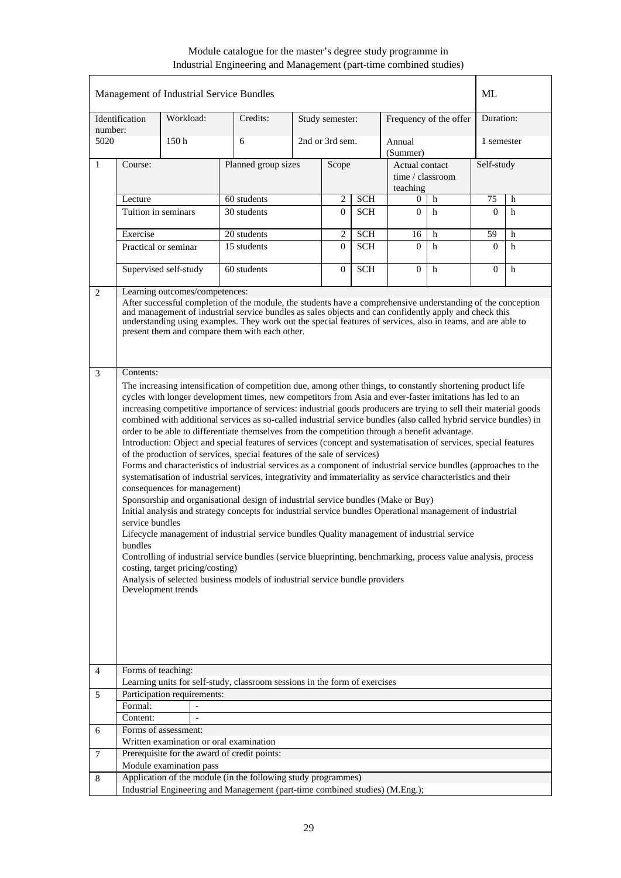|                |                                                                                                                                                                                                                                                                                                                                                                                                                                                                                                                                                                                                                                                                                                                                                                                                                                                                                                                                                                                                                                                                                                                                                                                                                                                                                                                                                                                                                                                                                                                                                                                                                                     |                             | Management of Industrial Service Bundles                                     |  |                 |                  |                                                |                        | ML         |   |
|----------------|-------------------------------------------------------------------------------------------------------------------------------------------------------------------------------------------------------------------------------------------------------------------------------------------------------------------------------------------------------------------------------------------------------------------------------------------------------------------------------------------------------------------------------------------------------------------------------------------------------------------------------------------------------------------------------------------------------------------------------------------------------------------------------------------------------------------------------------------------------------------------------------------------------------------------------------------------------------------------------------------------------------------------------------------------------------------------------------------------------------------------------------------------------------------------------------------------------------------------------------------------------------------------------------------------------------------------------------------------------------------------------------------------------------------------------------------------------------------------------------------------------------------------------------------------------------------------------------------------------------------------------------|-----------------------------|------------------------------------------------------------------------------|--|-----------------|------------------|------------------------------------------------|------------------------|------------|---|
| number:        | Identification                                                                                                                                                                                                                                                                                                                                                                                                                                                                                                                                                                                                                                                                                                                                                                                                                                                                                                                                                                                                                                                                                                                                                                                                                                                                                                                                                                                                                                                                                                                                                                                                                      | Workload:                   | Credits:                                                                     |  | Study semester: |                  |                                                | Frequency of the offer | Duration:  |   |
| 5020           |                                                                                                                                                                                                                                                                                                                                                                                                                                                                                                                                                                                                                                                                                                                                                                                                                                                                                                                                                                                                                                                                                                                                                                                                                                                                                                                                                                                                                                                                                                                                                                                                                                     | 150h                        | 6                                                                            |  | 2nd or 3rd sem. |                  | Annual<br>(Summer)                             |                        | 1 semester |   |
| $\mathbf{1}$   | Course:                                                                                                                                                                                                                                                                                                                                                                                                                                                                                                                                                                                                                                                                                                                                                                                                                                                                                                                                                                                                                                                                                                                                                                                                                                                                                                                                                                                                                                                                                                                                                                                                                             |                             | Planned group sizes                                                          |  | Scope           |                  | Actual contact<br>time / classroom<br>teaching |                        | Self-study |   |
|                | Lecture                                                                                                                                                                                                                                                                                                                                                                                                                                                                                                                                                                                                                                                                                                                                                                                                                                                                                                                                                                                                                                                                                                                                                                                                                                                                                                                                                                                                                                                                                                                                                                                                                             |                             | 60 students                                                                  |  | 2               | $\overline{SCH}$ | 0                                              | h                      | 75         | h |
|                | Tuition in seminars                                                                                                                                                                                                                                                                                                                                                                                                                                                                                                                                                                                                                                                                                                                                                                                                                                                                                                                                                                                                                                                                                                                                                                                                                                                                                                                                                                                                                                                                                                                                                                                                                 |                             | 30 students                                                                  |  | $\overline{0}$  | <b>SCH</b>       | $\overline{0}$                                 | h                      | $\theta$   | h |
|                | Exercise                                                                                                                                                                                                                                                                                                                                                                                                                                                                                                                                                                                                                                                                                                                                                                                                                                                                                                                                                                                                                                                                                                                                                                                                                                                                                                                                                                                                                                                                                                                                                                                                                            |                             | 20 students                                                                  |  | $\mathbf{2}$    | <b>SCH</b>       | 16                                             | h                      | 59         | h |
|                |                                                                                                                                                                                                                                                                                                                                                                                                                                                                                                                                                                                                                                                                                                                                                                                                                                                                                                                                                                                                                                                                                                                                                                                                                                                                                                                                                                                                                                                                                                                                                                                                                                     | Practical or seminar        | 15 students                                                                  |  | $\Omega$        | <b>SCH</b>       | $\Omega$                                       | h                      | $\theta$   | h |
|                |                                                                                                                                                                                                                                                                                                                                                                                                                                                                                                                                                                                                                                                                                                                                                                                                                                                                                                                                                                                                                                                                                                                                                                                                                                                                                                                                                                                                                                                                                                                                                                                                                                     | Supervised self-study       | 60 students                                                                  |  | $\overline{0}$  | <b>SCH</b>       | $\Omega$                                       | h                      | $\theta$   | h |
| 3              | After successful completion of the module, the students have a comprehensive understanding of the conception<br>and management of industrial service bundles as sales objects and can confidently apply and check this<br>understanding using examples. They work out the special features of services, also in teams, and are able to<br>present them and compare them with each other.<br>Contents:                                                                                                                                                                                                                                                                                                                                                                                                                                                                                                                                                                                                                                                                                                                                                                                                                                                                                                                                                                                                                                                                                                                                                                                                                               |                             |                                                                              |  |                 |                  |                                                |                        |            |   |
| $\overline{4}$ | The increasing intensification of competition due, among other things, to constantly shortening product life<br>cycles with longer development times, new competitors from Asia and ever-faster imitations has led to an<br>increasing competitive importance of services: industrial goods producers are trying to sell their material goods<br>combined with additional services as so-called industrial service bundles (also called hybrid service bundles) in<br>order to be able to differentiate themselves from the competition through a benefit advantage.<br>Introduction: Object and special features of services (concept and systematisation of services, special features<br>of the production of services, special features of the sale of services)<br>Forms and characteristics of industrial services as a component of industrial service bundles (approaches to the<br>systematisation of industrial services, integrativity and immateriality as service characteristics and their<br>consequences for management)<br>Sponsorship and organisational design of industrial service bundles (Make or Buy)<br>Initial analysis and strategy concepts for industrial service bundles Operational management of industrial<br>service bundles<br>Lifecycle management of industrial service bundles Quality management of industrial service<br>bundles<br>Controlling of industrial service bundles (service blueprinting, benchmarking, process value analysis, process<br>costing, target pricing/costing)<br>Analysis of selected business models of industrial service bundle providers<br>Development trends |                             |                                                                              |  |                 |                  |                                                |                        |            |   |
|                | Forms of teaching:                                                                                                                                                                                                                                                                                                                                                                                                                                                                                                                                                                                                                                                                                                                                                                                                                                                                                                                                                                                                                                                                                                                                                                                                                                                                                                                                                                                                                                                                                                                                                                                                                  |                             | Learning units for self-study, classroom sessions in the form of exercises   |  |                 |                  |                                                |                        |            |   |
| 5              |                                                                                                                                                                                                                                                                                                                                                                                                                                                                                                                                                                                                                                                                                                                                                                                                                                                                                                                                                                                                                                                                                                                                                                                                                                                                                                                                                                                                                                                                                                                                                                                                                                     | Participation requirements: |                                                                              |  |                 |                  |                                                |                        |            |   |
|                | Formal:                                                                                                                                                                                                                                                                                                                                                                                                                                                                                                                                                                                                                                                                                                                                                                                                                                                                                                                                                                                                                                                                                                                                                                                                                                                                                                                                                                                                                                                                                                                                                                                                                             |                             |                                                                              |  |                 |                  |                                                |                        |            |   |
|                | Content:                                                                                                                                                                                                                                                                                                                                                                                                                                                                                                                                                                                                                                                                                                                                                                                                                                                                                                                                                                                                                                                                                                                                                                                                                                                                                                                                                                                                                                                                                                                                                                                                                            | $\blacksquare$              |                                                                              |  |                 |                  |                                                |                        |            |   |
| 6              |                                                                                                                                                                                                                                                                                                                                                                                                                                                                                                                                                                                                                                                                                                                                                                                                                                                                                                                                                                                                                                                                                                                                                                                                                                                                                                                                                                                                                                                                                                                                                                                                                                     | Forms of assessment:        |                                                                              |  |                 |                  |                                                |                        |            |   |
|                |                                                                                                                                                                                                                                                                                                                                                                                                                                                                                                                                                                                                                                                                                                                                                                                                                                                                                                                                                                                                                                                                                                                                                                                                                                                                                                                                                                                                                                                                                                                                                                                                                                     |                             | Written examination or oral examination                                      |  |                 |                  |                                                |                        |            |   |
| $\tau$         |                                                                                                                                                                                                                                                                                                                                                                                                                                                                                                                                                                                                                                                                                                                                                                                                                                                                                                                                                                                                                                                                                                                                                                                                                                                                                                                                                                                                                                                                                                                                                                                                                                     |                             | Prerequisite for the award of credit points:                                 |  |                 |                  |                                                |                        |            |   |
|                |                                                                                                                                                                                                                                                                                                                                                                                                                                                                                                                                                                                                                                                                                                                                                                                                                                                                                                                                                                                                                                                                                                                                                                                                                                                                                                                                                                                                                                                                                                                                                                                                                                     | Module examination pass     |                                                                              |  |                 |                  |                                                |                        |            |   |
| 8              |                                                                                                                                                                                                                                                                                                                                                                                                                                                                                                                                                                                                                                                                                                                                                                                                                                                                                                                                                                                                                                                                                                                                                                                                                                                                                                                                                                                                                                                                                                                                                                                                                                     |                             | Application of the module (in the following study programmes)                |  |                 |                  |                                                |                        |            |   |
|                |                                                                                                                                                                                                                                                                                                                                                                                                                                                                                                                                                                                                                                                                                                                                                                                                                                                                                                                                                                                                                                                                                                                                                                                                                                                                                                                                                                                                                                                                                                                                                                                                                                     |                             | Industrial Engineering and Management (part-time combined studies) (M.Eng.); |  |                 |                  |                                                |                        |            |   |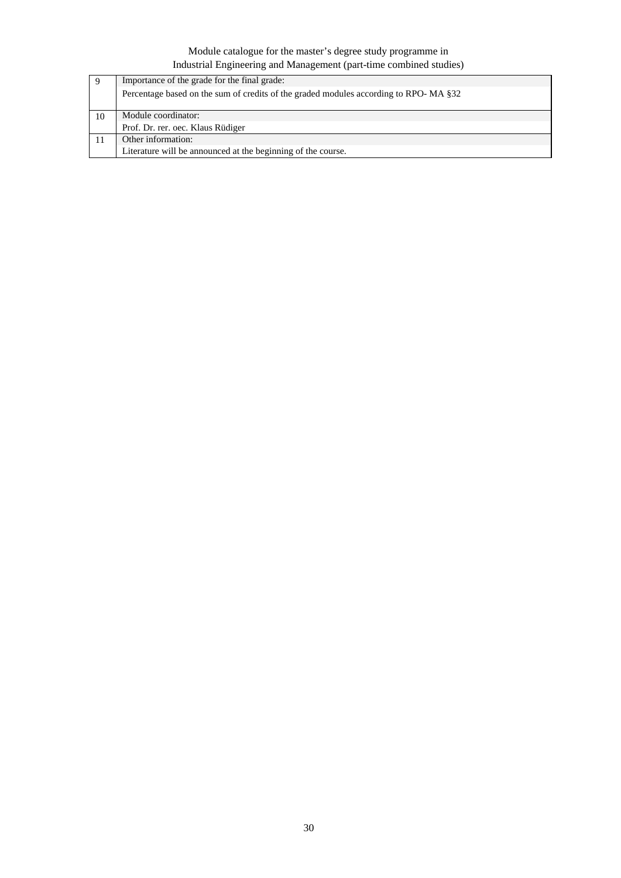|    | Importance of the grade for the final grade:                                         |
|----|--------------------------------------------------------------------------------------|
|    | Percentage based on the sum of credits of the graded modules according to RPO-MA §32 |
| 10 | Module coordinator:                                                                  |
|    | Prof. Dr. rer. oec. Klaus Rüdiger                                                    |
|    | Other information:                                                                   |
|    | Literature will be announced at the beginning of the course.                         |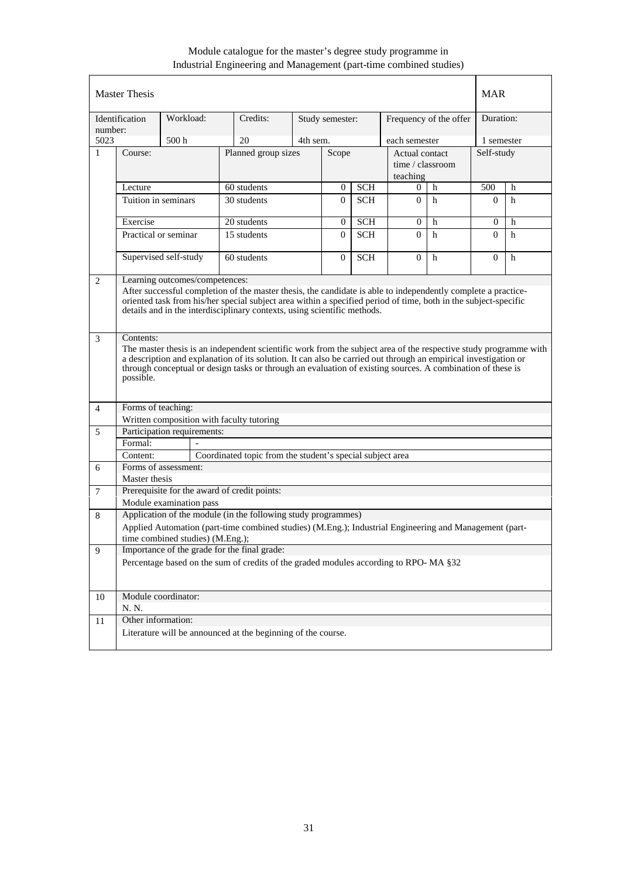|                | <b>Master Thesis</b>                                                                                                                                                                                                             |                                  |                                                                                                                  |          |                 |                  |                  |                        | MAR              |   |
|----------------|----------------------------------------------------------------------------------------------------------------------------------------------------------------------------------------------------------------------------------|----------------------------------|------------------------------------------------------------------------------------------------------------------|----------|-----------------|------------------|------------------|------------------------|------------------|---|
| number:        | Identification                                                                                                                                                                                                                   | Workload:                        | Credits:                                                                                                         |          | Study semester: |                  |                  | Frequency of the offer | Duration:        |   |
| 5023           |                                                                                                                                                                                                                                  | 500 <sub>h</sub>                 | 20                                                                                                               | 4th sem. |                 |                  | each semester    |                        | 1 semester       |   |
| $\mathbf{1}$   | Course:                                                                                                                                                                                                                          |                                  | Planned group sizes                                                                                              |          | Scope           |                  | Actual contact   |                        | Self-study       |   |
|                |                                                                                                                                                                                                                                  |                                  |                                                                                                                  |          |                 |                  | time / classroom |                        |                  |   |
|                |                                                                                                                                                                                                                                  |                                  |                                                                                                                  |          |                 |                  | teaching         |                        |                  |   |
|                | Lecture                                                                                                                                                                                                                          |                                  | 60 students                                                                                                      |          | $\mathbf{0}$    | $\overline{SCH}$ | $\Omega$         | h                      | 500              | h |
|                | Tuition in seminars                                                                                                                                                                                                              |                                  | 30 students                                                                                                      |          | $\Omega$        | <b>SCH</b>       | $\Omega$         | h                      | $\Omega$         | h |
|                | Exercise                                                                                                                                                                                                                         |                                  | 20 students                                                                                                      |          | $\mathbf{0}$    | <b>SCH</b>       | $\mathbf{0}$     | h                      | $\boldsymbol{0}$ | h |
|                |                                                                                                                                                                                                                                  | Practical or seminar             | 15 students                                                                                                      |          | $\Omega$        | <b>SCH</b>       | $\Omega$         | h                      | $\Omega$         | h |
|                |                                                                                                                                                                                                                                  |                                  |                                                                                                                  |          |                 |                  |                  |                        |                  |   |
|                | Supervised self-study<br>$\overline{0}$<br>$\Omega$<br>60 students<br><b>SCH</b><br>h                                                                                                                                            |                                  |                                                                                                                  |          |                 |                  | $\Omega$         | h                      |                  |   |
| 2              | Learning outcomes/competences:                                                                                                                                                                                                   |                                  |                                                                                                                  |          |                 |                  |                  |                        |                  |   |
|                | After successful completion of the master thesis, the candidate is able to independently complete a practice-<br>oriented task from his/her special subject area within a specified period of time, both in the subject-specific |                                  |                                                                                                                  |          |                 |                  |                  |                        |                  |   |
|                |                                                                                                                                                                                                                                  |                                  | details and in the interdisciplinary contexts, using scientific methods.                                         |          |                 |                  |                  |                        |                  |   |
|                |                                                                                                                                                                                                                                  |                                  |                                                                                                                  |          |                 |                  |                  |                        |                  |   |
|                |                                                                                                                                                                                                                                  |                                  |                                                                                                                  |          |                 |                  |                  |                        |                  |   |
| 3              | Contents:                                                                                                                                                                                                                        |                                  | The master thesis is an independent scientific work from the subject area of the respective study programme with |          |                 |                  |                  |                        |                  |   |
|                |                                                                                                                                                                                                                                  |                                  | a description and explanation of its solution. It can also be carried out through an empirical investigation or  |          |                 |                  |                  |                        |                  |   |
|                |                                                                                                                                                                                                                                  |                                  | through conceptual or design tasks or through an evaluation of existing sources. A combination of these is       |          |                 |                  |                  |                        |                  |   |
|                | possible.                                                                                                                                                                                                                        |                                  |                                                                                                                  |          |                 |                  |                  |                        |                  |   |
|                |                                                                                                                                                                                                                                  |                                  |                                                                                                                  |          |                 |                  |                  |                        |                  |   |
| $\overline{4}$ | Forms of teaching:                                                                                                                                                                                                               |                                  |                                                                                                                  |          |                 |                  |                  |                        |                  |   |
|                |                                                                                                                                                                                                                                  |                                  | Written composition with faculty tutoring                                                                        |          |                 |                  |                  |                        |                  |   |
| 5              |                                                                                                                                                                                                                                  | Participation requirements:      |                                                                                                                  |          |                 |                  |                  |                        |                  |   |
|                | Formal:                                                                                                                                                                                                                          |                                  |                                                                                                                  |          |                 |                  |                  |                        |                  |   |
|                | Content:                                                                                                                                                                                                                         |                                  | Coordinated topic from the student's special subject area                                                        |          |                 |                  |                  |                        |                  |   |
| 6              |                                                                                                                                                                                                                                  | Forms of assessment:             |                                                                                                                  |          |                 |                  |                  |                        |                  |   |
|                | Master thesis                                                                                                                                                                                                                    |                                  |                                                                                                                  |          |                 |                  |                  |                        |                  |   |
| 7              |                                                                                                                                                                                                                                  | Module examination pass          | Prerequisite for the award of credit points:                                                                     |          |                 |                  |                  |                        |                  |   |
| 8              |                                                                                                                                                                                                                                  |                                  | Application of the module (in the following study programmes)                                                    |          |                 |                  |                  |                        |                  |   |
|                |                                                                                                                                                                                                                                  |                                  | Applied Automation (part-time combined studies) (M.Eng.); Industrial Engineering and Management (part-           |          |                 |                  |                  |                        |                  |   |
|                |                                                                                                                                                                                                                                  | time combined studies) (M.Eng.); |                                                                                                                  |          |                 |                  |                  |                        |                  |   |
| 9              |                                                                                                                                                                                                                                  |                                  | Importance of the grade for the final grade:                                                                     |          |                 |                  |                  |                        |                  |   |
|                | Percentage based on the sum of credits of the graded modules according to RPO-MA §32                                                                                                                                             |                                  |                                                                                                                  |          |                 |                  |                  |                        |                  |   |
|                |                                                                                                                                                                                                                                  |                                  |                                                                                                                  |          |                 |                  |                  |                        |                  |   |
| 10             | Module coordinator:                                                                                                                                                                                                              |                                  |                                                                                                                  |          |                 |                  |                  |                        |                  |   |
|                | N. N.                                                                                                                                                                                                                            |                                  |                                                                                                                  |          |                 |                  |                  |                        |                  |   |
| 11             | Other information:                                                                                                                                                                                                               |                                  |                                                                                                                  |          |                 |                  |                  |                        |                  |   |
|                |                                                                                                                                                                                                                                  |                                  | Literature will be announced at the beginning of the course.                                                     |          |                 |                  |                  |                        |                  |   |
|                |                                                                                                                                                                                                                                  |                                  |                                                                                                                  |          |                 |                  |                  |                        |                  |   |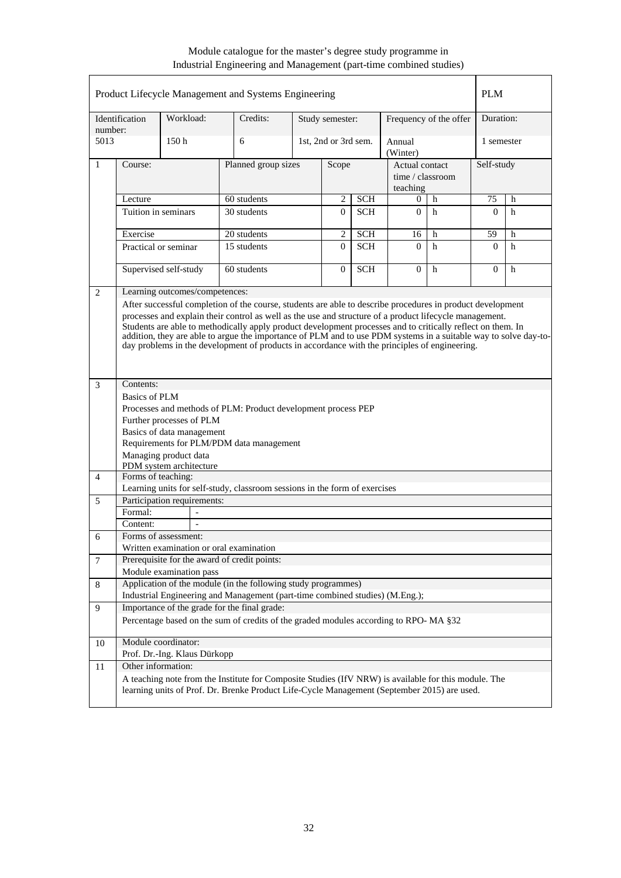|                |                                                                                                                                                                                                                                                                                                                                                                                                                                             |                                                  | Product Lifecycle Management and Systems Engineering                                                                                                                                                |                     |                      |            |                                                |                        | <b>PLM</b> |   |
|----------------|---------------------------------------------------------------------------------------------------------------------------------------------------------------------------------------------------------------------------------------------------------------------------------------------------------------------------------------------------------------------------------------------------------------------------------------------|--------------------------------------------------|-----------------------------------------------------------------------------------------------------------------------------------------------------------------------------------------------------|---------------------|----------------------|------------|------------------------------------------------|------------------------|------------|---|
| number:        | Identification                                                                                                                                                                                                                                                                                                                                                                                                                              | Workload:                                        | Credits:                                                                                                                                                                                            |                     | Study semester:      |            |                                                | Frequency of the offer | Duration:  |   |
| 5013           |                                                                                                                                                                                                                                                                                                                                                                                                                                             | 150 <sub>h</sub>                                 | 6                                                                                                                                                                                                   |                     | 1st, 2nd or 3rd sem. |            | Annual<br>(Winter)                             |                        | 1 semester |   |
| 1              | Course:                                                                                                                                                                                                                                                                                                                                                                                                                                     |                                                  |                                                                                                                                                                                                     | Planned group sizes |                      |            | Actual contact<br>time / classroom<br>teaching |                        | Self-study |   |
|                | Lecture                                                                                                                                                                                                                                                                                                                                                                                                                                     |                                                  | 60 students                                                                                                                                                                                         |                     | 2                    | <b>SCH</b> | 0                                              | h                      | 75         | h |
|                |                                                                                                                                                                                                                                                                                                                                                                                                                                             | Tuition in seminars                              | 30 students                                                                                                                                                                                         |                     | $\Omega$             | <b>SCH</b> | $\Omega$                                       | h                      | $\Omega$   | h |
|                | Exercise                                                                                                                                                                                                                                                                                                                                                                                                                                    |                                                  | 20 students                                                                                                                                                                                         |                     | $\overline{2}$       | <b>SCH</b> | 16                                             | h                      | 59         | h |
|                |                                                                                                                                                                                                                                                                                                                                                                                                                                             | Practical or seminar                             | 15 students                                                                                                                                                                                         |                     | $\Omega$             | <b>SCH</b> | $\Omega$                                       | h                      | $\Omega$   | h |
|                |                                                                                                                                                                                                                                                                                                                                                                                                                                             | Supervised self-study                            | 60 students                                                                                                                                                                                         |                     | $\Omega$             | <b>SCH</b> | $\Omega$                                       | h                      | $\Omega$   | h |
| 2              |                                                                                                                                                                                                                                                                                                                                                                                                                                             | Learning outcomes/competences:                   |                                                                                                                                                                                                     |                     |                      |            |                                                |                        |            |   |
|                | processes and explain their control as well as the use and structure of a product lifecycle management.<br>Students are able to methodically apply product development processes and to critically reflect on them. In<br>addition, they are able to argue the importance of PLM and to use PDM systems in a suitable way to solve day-to-<br>day problems in the development of products in accordance with the principles of engineering. |                                                  |                                                                                                                                                                                                     |                     |                      |            |                                                |                        |            |   |
| 3              | Contents:                                                                                                                                                                                                                                                                                                                                                                                                                                   |                                                  |                                                                                                                                                                                                     |                     |                      |            |                                                |                        |            |   |
|                | <b>Basics of PLM</b>                                                                                                                                                                                                                                                                                                                                                                                                                        |                                                  |                                                                                                                                                                                                     |                     |                      |            |                                                |                        |            |   |
|                |                                                                                                                                                                                                                                                                                                                                                                                                                                             |                                                  | Processes and methods of PLM: Product development process PEP                                                                                                                                       |                     |                      |            |                                                |                        |            |   |
|                |                                                                                                                                                                                                                                                                                                                                                                                                                                             | Further processes of PLM                         |                                                                                                                                                                                                     |                     |                      |            |                                                |                        |            |   |
|                |                                                                                                                                                                                                                                                                                                                                                                                                                                             | Basics of data management                        | Requirements for PLM/PDM data management                                                                                                                                                            |                     |                      |            |                                                |                        |            |   |
|                |                                                                                                                                                                                                                                                                                                                                                                                                                                             | Managing product data<br>PDM system architecture |                                                                                                                                                                                                     |                     |                      |            |                                                |                        |            |   |
| $\overline{4}$ | Forms of teaching:                                                                                                                                                                                                                                                                                                                                                                                                                          |                                                  |                                                                                                                                                                                                     |                     |                      |            |                                                |                        |            |   |
|                |                                                                                                                                                                                                                                                                                                                                                                                                                                             |                                                  | Learning units for self-study, classroom sessions in the form of exercises                                                                                                                          |                     |                      |            |                                                |                        |            |   |
| 5              |                                                                                                                                                                                                                                                                                                                                                                                                                                             | Participation requirements:<br>$\overline{a}$    |                                                                                                                                                                                                     |                     |                      |            |                                                |                        |            |   |
|                | Formal:<br>Content:                                                                                                                                                                                                                                                                                                                                                                                                                         | $\overline{\phantom{a}}$                         |                                                                                                                                                                                                     |                     |                      |            |                                                |                        |            |   |
| 6              |                                                                                                                                                                                                                                                                                                                                                                                                                                             | Forms of assessment:                             |                                                                                                                                                                                                     |                     |                      |            |                                                |                        |            |   |
|                |                                                                                                                                                                                                                                                                                                                                                                                                                                             |                                                  | Written examination or oral examination                                                                                                                                                             |                     |                      |            |                                                |                        |            |   |
| $\overline{7}$ |                                                                                                                                                                                                                                                                                                                                                                                                                                             |                                                  | Prerequisite for the award of credit points:                                                                                                                                                        |                     |                      |            |                                                |                        |            |   |
|                |                                                                                                                                                                                                                                                                                                                                                                                                                                             | Module examination pass                          |                                                                                                                                                                                                     |                     |                      |            |                                                |                        |            |   |
| 8              |                                                                                                                                                                                                                                                                                                                                                                                                                                             |                                                  | Application of the module (in the following study programmes)                                                                                                                                       |                     |                      |            |                                                |                        |            |   |
|                |                                                                                                                                                                                                                                                                                                                                                                                                                                             |                                                  | Industrial Engineering and Management (part-time combined studies) (M.Eng.);                                                                                                                        |                     |                      |            |                                                |                        |            |   |
| 9              |                                                                                                                                                                                                                                                                                                                                                                                                                                             |                                                  | Importance of the grade for the final grade:                                                                                                                                                        |                     |                      |            |                                                |                        |            |   |
|                |                                                                                                                                                                                                                                                                                                                                                                                                                                             |                                                  | Percentage based on the sum of credits of the graded modules according to RPO-MA §32                                                                                                                |                     |                      |            |                                                |                        |            |   |
| 10             |                                                                                                                                                                                                                                                                                                                                                                                                                                             | Module coordinator:                              |                                                                                                                                                                                                     |                     |                      |            |                                                |                        |            |   |
|                |                                                                                                                                                                                                                                                                                                                                                                                                                                             | Prof. Dr.-Ing. Klaus Dürkopp                     |                                                                                                                                                                                                     |                     |                      |            |                                                |                        |            |   |
| 11             | Other information:                                                                                                                                                                                                                                                                                                                                                                                                                          |                                                  |                                                                                                                                                                                                     |                     |                      |            |                                                |                        |            |   |
|                |                                                                                                                                                                                                                                                                                                                                                                                                                                             |                                                  | A teaching note from the Institute for Composite Studies (IfV NRW) is available for this module. The<br>learning units of Prof. Dr. Brenke Product Life-Cycle Management (September 2015) are used. |                     |                      |            |                                                |                        |            |   |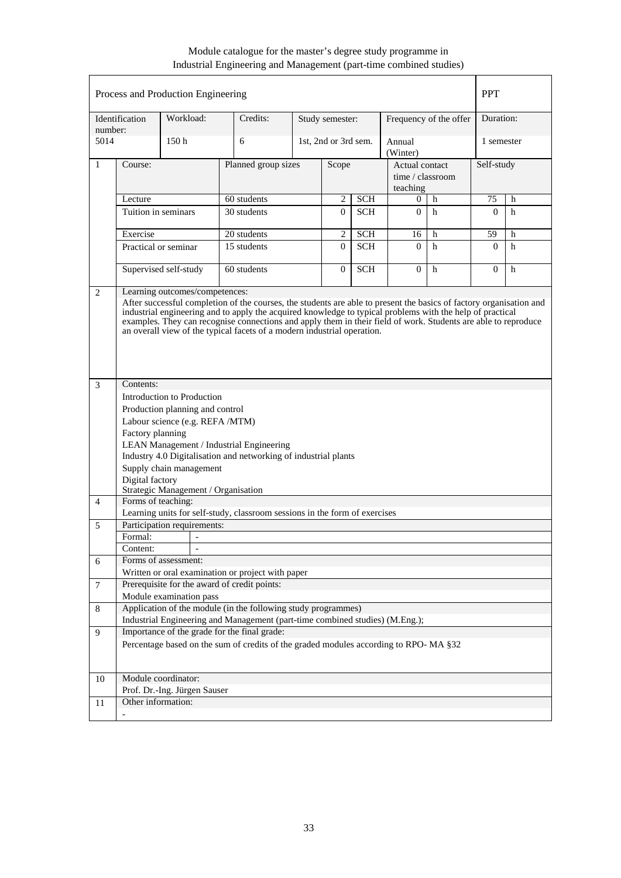|                |                                                                                                                                                                                                                                                                                                                                                                                                                                                                 | Process and Production Engineering |                                                                            |                     |                      |            |                                                |                        | <b>PPT</b>   |   |
|----------------|-----------------------------------------------------------------------------------------------------------------------------------------------------------------------------------------------------------------------------------------------------------------------------------------------------------------------------------------------------------------------------------------------------------------------------------------------------------------|------------------------------------|----------------------------------------------------------------------------|---------------------|----------------------|------------|------------------------------------------------|------------------------|--------------|---|
| number:        | Identification                                                                                                                                                                                                                                                                                                                                                                                                                                                  | Workload:                          | Credits:                                                                   |                     | Study semester:      |            |                                                | Frequency of the offer | Duration:    |   |
| 5014           |                                                                                                                                                                                                                                                                                                                                                                                                                                                                 | 150h                               | 6                                                                          |                     | 1st, 2nd or 3rd sem. |            | Annual<br>(Winter)                             |                        | 1 semester   |   |
| 1              | Course:                                                                                                                                                                                                                                                                                                                                                                                                                                                         |                                    |                                                                            | Planned group sizes |                      | Scope      | Actual contact<br>time / classroom<br>teaching |                        | Self-study   |   |
|                | Lecture                                                                                                                                                                                                                                                                                                                                                                                                                                                         |                                    | 60 students                                                                |                     | 2                    | <b>SCH</b> | $\overline{0}$                                 | h                      | 75           | h |
|                |                                                                                                                                                                                                                                                                                                                                                                                                                                                                 | Tuition in seminars                | 30 students                                                                |                     | $\Omega$             | <b>SCH</b> | $\Omega$                                       | h                      | $\Omega$     | h |
|                | Exercise                                                                                                                                                                                                                                                                                                                                                                                                                                                        |                                    | 20 students                                                                |                     | $\overline{c}$       | <b>SCH</b> | 16                                             | h                      | 59           | h |
|                |                                                                                                                                                                                                                                                                                                                                                                                                                                                                 | Practical or seminar               | 15 students                                                                |                     | $\Omega$             | <b>SCH</b> | $\Omega$                                       | h                      | $\Omega$     | h |
|                |                                                                                                                                                                                                                                                                                                                                                                                                                                                                 | Supervised self-study              | 60 students                                                                |                     | $\mathbf{0}$         | <b>SCH</b> | $\theta$                                       | h                      | $\mathbf{0}$ | h |
| 2              | Learning outcomes/competences:<br>After successful completion of the courses, the students are able to present the basics of factory organisation and<br>industrial engineering and to apply the acquired knowledge to typical problems with the help of practical<br>examples. They can recognise connections and apply them in their field of work. Students are able to reproduce<br>an overall view of the typical facets of a modern industrial operation. |                                    |                                                                            |                     |                      |            |                                                |                        |              |   |
| 3              | Contents:                                                                                                                                                                                                                                                                                                                                                                                                                                                       |                                    |                                                                            |                     |                      |            |                                                |                        |              |   |
|                | Introduction to Production<br>Production planning and control<br>Labour science (e.g. REFA /MTM)<br>Factory planning<br>LEAN Management / Industrial Engineering<br>Industry 4.0 Digitalisation and networking of industrial plants<br>Supply chain management<br>Digital factory<br>Strategic Management / Organisation                                                                                                                                        |                                    |                                                                            |                     |                      |            |                                                |                        |              |   |
| $\overline{4}$ | Forms of teaching:                                                                                                                                                                                                                                                                                                                                                                                                                                              |                                    |                                                                            |                     |                      |            |                                                |                        |              |   |
|                |                                                                                                                                                                                                                                                                                                                                                                                                                                                                 | Participation requirements:        | Learning units for self-study, classroom sessions in the form of exercises |                     |                      |            |                                                |                        |              |   |
| 5              | Formal:                                                                                                                                                                                                                                                                                                                                                                                                                                                         |                                    |                                                                            |                     |                      |            |                                                |                        |              |   |
|                | Content:                                                                                                                                                                                                                                                                                                                                                                                                                                                        |                                    |                                                                            |                     |                      |            |                                                |                        |              |   |
| 6              |                                                                                                                                                                                                                                                                                                                                                                                                                                                                 | Forms of assessment:               |                                                                            |                     |                      |            |                                                |                        |              |   |
|                |                                                                                                                                                                                                                                                                                                                                                                                                                                                                 |                                    | Written or oral examination or project with paper                          |                     |                      |            |                                                |                        |              |   |
| 7              |                                                                                                                                                                                                                                                                                                                                                                                                                                                                 |                                    | Prerequisite for the award of credit points:                               |                     |                      |            |                                                |                        |              |   |
|                |                                                                                                                                                                                                                                                                                                                                                                                                                                                                 | Module examination pass            |                                                                            |                     |                      |            |                                                |                        |              |   |
| 8              |                                                                                                                                                                                                                                                                                                                                                                                                                                                                 |                                    | Application of the module (in the following study programmes)              |                     |                      |            |                                                |                        |              |   |
|                | Industrial Engineering and Management (part-time combined studies) (M.Eng.);                                                                                                                                                                                                                                                                                                                                                                                    |                                    |                                                                            |                     |                      |            |                                                |                        |              |   |
| 9              |                                                                                                                                                                                                                                                                                                                                                                                                                                                                 |                                    | Importance of the grade for the final grade:                               |                     |                      |            |                                                |                        |              |   |
|                | Percentage based on the sum of credits of the graded modules according to RPO-MA §32                                                                                                                                                                                                                                                                                                                                                                            |                                    |                                                                            |                     |                      |            |                                                |                        |              |   |
| 10             |                                                                                                                                                                                                                                                                                                                                                                                                                                                                 | Module coordinator:                |                                                                            |                     |                      |            |                                                |                        |              |   |
|                |                                                                                                                                                                                                                                                                                                                                                                                                                                                                 | Prof. Dr.-Ing. Jürgen Sauser       |                                                                            |                     |                      |            |                                                |                        |              |   |
| 11             | Other information:                                                                                                                                                                                                                                                                                                                                                                                                                                              |                                    |                                                                            |                     |                      |            |                                                |                        |              |   |
|                | $\overline{\phantom{0}}$                                                                                                                                                                                                                                                                                                                                                                                                                                        |                                    |                                                                            |                     |                      |            |                                                |                        |              |   |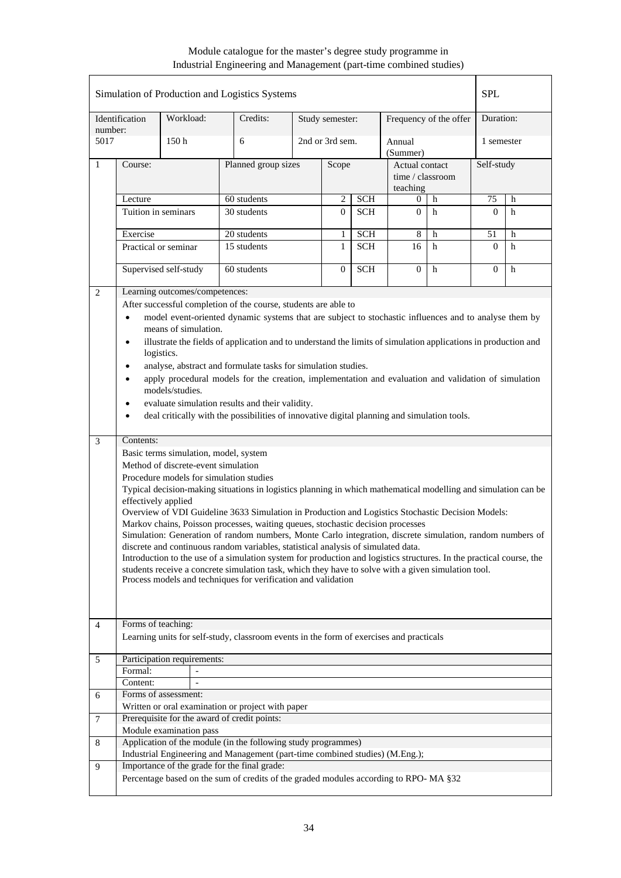|                |                                                                                                   |                                                                                                                                                                                  | Simulation of Production and Logistics Systems                                                                                                                                                                                                                                                                                                                                                                                                                                                                                                                                                                                                                                                                                                                                                                                                                                                                                                                                                                                               |                |                              |            |                                                |                        | <b>SPL</b> |            |  |
|----------------|---------------------------------------------------------------------------------------------------|----------------------------------------------------------------------------------------------------------------------------------------------------------------------------------|----------------------------------------------------------------------------------------------------------------------------------------------------------------------------------------------------------------------------------------------------------------------------------------------------------------------------------------------------------------------------------------------------------------------------------------------------------------------------------------------------------------------------------------------------------------------------------------------------------------------------------------------------------------------------------------------------------------------------------------------------------------------------------------------------------------------------------------------------------------------------------------------------------------------------------------------------------------------------------------------------------------------------------------------|----------------|------------------------------|------------|------------------------------------------------|------------------------|------------|------------|--|
| number:        | Identification                                                                                    | Workload:                                                                                                                                                                        | Credits:                                                                                                                                                                                                                                                                                                                                                                                                                                                                                                                                                                                                                                                                                                                                                                                                                                                                                                                                                                                                                                     |                | Study semester:              |            |                                                | Frequency of the offer | Duration:  |            |  |
| 5017           |                                                                                                   | 150h                                                                                                                                                                             | 6                                                                                                                                                                                                                                                                                                                                                                                                                                                                                                                                                                                                                                                                                                                                                                                                                                                                                                                                                                                                                                            |                | 2nd or 3rd sem.              |            | Annual<br>(Summer)                             |                        |            | 1 semester |  |
| $\mathbf{1}$   | Course:                                                                                           |                                                                                                                                                                                  | Planned group sizes                                                                                                                                                                                                                                                                                                                                                                                                                                                                                                                                                                                                                                                                                                                                                                                                                                                                                                                                                                                                                          |                | Scope                        |            | Actual contact<br>time / classroom<br>teaching |                        | Self-study |            |  |
|                | Lecture                                                                                           |                                                                                                                                                                                  | 60 students                                                                                                                                                                                                                                                                                                                                                                                                                                                                                                                                                                                                                                                                                                                                                                                                                                                                                                                                                                                                                                  |                | $\overline{2}$<br><b>SCH</b> |            | 0                                              | h                      | 75         | h          |  |
|                | Tuition in seminars                                                                               |                                                                                                                                                                                  | 30 students                                                                                                                                                                                                                                                                                                                                                                                                                                                                                                                                                                                                                                                                                                                                                                                                                                                                                                                                                                                                                                  | $\overline{0}$ | <b>SCH</b>                   | $\Omega$   | h                                              | $\Omega$               | h          |            |  |
|                | Exercise                                                                                          |                                                                                                                                                                                  | 20 students                                                                                                                                                                                                                                                                                                                                                                                                                                                                                                                                                                                                                                                                                                                                                                                                                                                                                                                                                                                                                                  |                | 1                            | <b>SCH</b> | 8                                              | h                      | 51         | h          |  |
|                | Practical or seminar                                                                              |                                                                                                                                                                                  | 15 students                                                                                                                                                                                                                                                                                                                                                                                                                                                                                                                                                                                                                                                                                                                                                                                                                                                                                                                                                                                                                                  |                |                              | <b>SCH</b> | 16                                             | h                      | $\Omega$   | h          |  |
|                |                                                                                                   | Supervised self-study                                                                                                                                                            | 60 students                                                                                                                                                                                                                                                                                                                                                                                                                                                                                                                                                                                                                                                                                                                                                                                                                                                                                                                                                                                                                                  |                | $\mathbf{0}$                 | <b>SCH</b> | $\overline{0}$                                 | $\mathbf h$            | $\Omega$   | h          |  |
| 2              |                                                                                                   | Learning outcomes/competences:                                                                                                                                                   |                                                                                                                                                                                                                                                                                                                                                                                                                                                                                                                                                                                                                                                                                                                                                                                                                                                                                                                                                                                                                                              |                |                              |            |                                                |                        |            |            |  |
| 3              | $\bullet$<br>$\bullet$<br>$\bullet$<br>$\bullet$<br>$\bullet$<br>Contents:<br>effectively applied | means of simulation.<br>logistics.<br>models/studies.<br>Basic terms simulation, model, system<br>Method of discrete-event simulation<br>Procedure models for simulation studies | After successful completion of the course, students are able to<br>model event-oriented dynamic systems that are subject to stochastic influences and to analyse them by<br>illustrate the fields of application and to understand the limits of simulation applications in production and<br>analyse, abstract and formulate tasks for simulation studies.<br>apply procedural models for the creation, implementation and evaluation and validation of simulation<br>evaluate simulation results and their validity.<br>deal critically with the possibilities of innovative digital planning and simulation tools.<br>Typical decision-making situations in logistics planning in which mathematical modelling and simulation can be<br>Overview of VDI Guideline 3633 Simulation in Production and Logistics Stochastic Decision Models:<br>Markov chains, Poisson processes, waiting queues, stochastic decision processes<br>Simulation: Generation of random numbers, Monte Carlo integration, discrete simulation, random numbers of |                |                              |            |                                                |                        |            |            |  |
|                |                                                                                                   |                                                                                                                                                                                  | discrete and continuous random variables, statistical analysis of simulated data.<br>Introduction to the use of a simulation system for production and logistics structures. In the practical course, the<br>students receive a concrete simulation task, which they have to solve with a given simulation tool.<br>Process models and techniques for verification and validation                                                                                                                                                                                                                                                                                                                                                                                                                                                                                                                                                                                                                                                            |                |                              |            |                                                |                        |            |            |  |
| $\overline{4}$ | Forms of teaching:                                                                                |                                                                                                                                                                                  |                                                                                                                                                                                                                                                                                                                                                                                                                                                                                                                                                                                                                                                                                                                                                                                                                                                                                                                                                                                                                                              |                |                              |            |                                                |                        |            |            |  |
|                |                                                                                                   |                                                                                                                                                                                  | Learning units for self-study, classroom events in the form of exercises and practicals                                                                                                                                                                                                                                                                                                                                                                                                                                                                                                                                                                                                                                                                                                                                                                                                                                                                                                                                                      |                |                              |            |                                                |                        |            |            |  |
| 5              |                                                                                                   | Participation requirements:                                                                                                                                                      |                                                                                                                                                                                                                                                                                                                                                                                                                                                                                                                                                                                                                                                                                                                                                                                                                                                                                                                                                                                                                                              |                |                              |            |                                                |                        |            |            |  |
|                | Formal:                                                                                           |                                                                                                                                                                                  |                                                                                                                                                                                                                                                                                                                                                                                                                                                                                                                                                                                                                                                                                                                                                                                                                                                                                                                                                                                                                                              |                |                              |            |                                                |                        |            |            |  |
|                | Content:                                                                                          |                                                                                                                                                                                  |                                                                                                                                                                                                                                                                                                                                                                                                                                                                                                                                                                                                                                                                                                                                                                                                                                                                                                                                                                                                                                              |                |                              |            |                                                |                        |            |            |  |
| 6              |                                                                                                   | Forms of assessment:                                                                                                                                                             |                                                                                                                                                                                                                                                                                                                                                                                                                                                                                                                                                                                                                                                                                                                                                                                                                                                                                                                                                                                                                                              |                |                              |            |                                                |                        |            |            |  |
|                |                                                                                                   |                                                                                                                                                                                  | Written or oral examination or project with paper                                                                                                                                                                                                                                                                                                                                                                                                                                                                                                                                                                                                                                                                                                                                                                                                                                                                                                                                                                                            |                |                              |            |                                                |                        |            |            |  |
| $\tau$         |                                                                                                   | Module examination pass                                                                                                                                                          | Prerequisite for the award of credit points:                                                                                                                                                                                                                                                                                                                                                                                                                                                                                                                                                                                                                                                                                                                                                                                                                                                                                                                                                                                                 |                |                              |            |                                                |                        |            |            |  |
| 8              |                                                                                                   |                                                                                                                                                                                  | Application of the module (in the following study programmes)                                                                                                                                                                                                                                                                                                                                                                                                                                                                                                                                                                                                                                                                                                                                                                                                                                                                                                                                                                                |                |                              |            |                                                |                        |            |            |  |
|                |                                                                                                   |                                                                                                                                                                                  | Industrial Engineering and Management (part-time combined studies) (M.Eng.);                                                                                                                                                                                                                                                                                                                                                                                                                                                                                                                                                                                                                                                                                                                                                                                                                                                                                                                                                                 |                |                              |            |                                                |                        |            |            |  |
| $\overline{9}$ |                                                                                                   |                                                                                                                                                                                  | Importance of the grade for the final grade:                                                                                                                                                                                                                                                                                                                                                                                                                                                                                                                                                                                                                                                                                                                                                                                                                                                                                                                                                                                                 |                |                              |            |                                                |                        |            |            |  |
|                |                                                                                                   |                                                                                                                                                                                  | Percentage based on the sum of credits of the graded modules according to RPO-MA §32                                                                                                                                                                                                                                                                                                                                                                                                                                                                                                                                                                                                                                                                                                                                                                                                                                                                                                                                                         |                |                              |            |                                                |                        |            |            |  |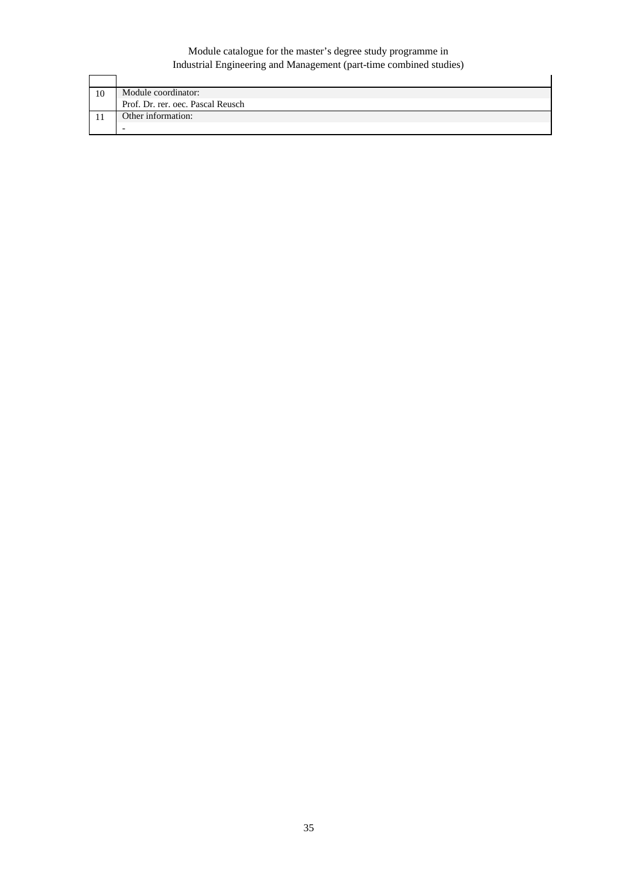| 10 | Module coordinator:               |
|----|-----------------------------------|
|    | Prof. Dr. rer. oec. Pascal Reusch |
|    | Other information:                |
|    |                                   |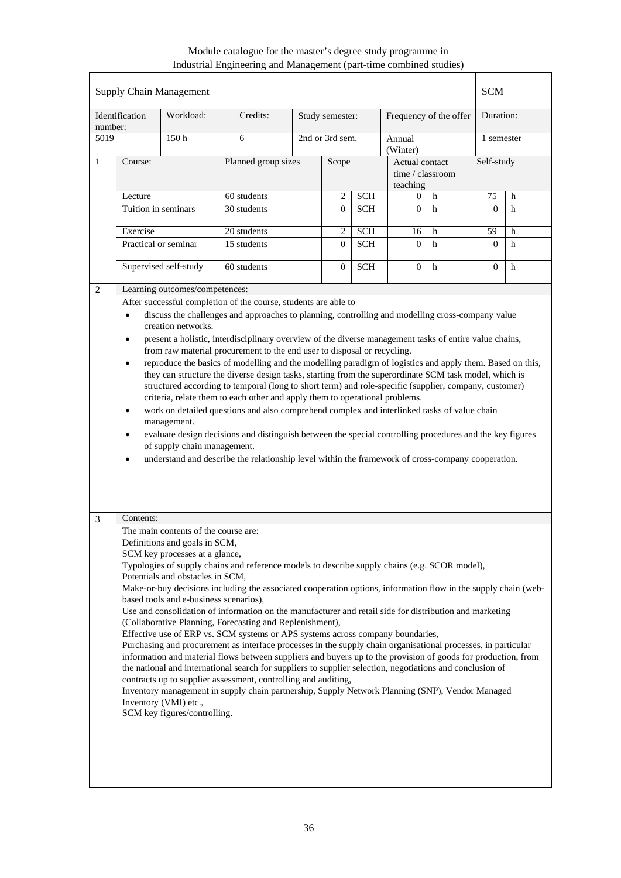| Workload:<br>Duration:<br>Identification<br>Credits:<br>Frequency of the offer<br>Study semester:<br>number:<br>150 <sub>h</sub><br>2nd or 3rd sem.<br>5019<br>6<br>1 semester<br>Annual<br>(Winter)<br>Planned group sizes<br>Self-study<br>1<br>Course:<br>Scope<br>Actual contact<br>time / classroom<br>teaching<br>60 students<br><b>SCH</b><br>2<br>75<br>Lecture<br>h<br>0<br>h<br>Tuition in seminars<br>$\overline{0}$<br><b>SCH</b><br>h<br>30 students<br>$\Omega$<br>$\Omega$<br>h<br>20 students<br>$\overline{c}$<br><b>SCH</b><br>59<br>Exercise<br>16<br>h<br>h<br>15 students<br>$\Omega$<br><b>SCH</b><br>$\Omega$<br>Practical or seminar<br>h<br>$\Omega$<br>h<br>Supervised self-study<br>60 students<br>$\overline{0}$<br>$\Omega$<br><b>SCH</b><br>h<br>$\Omega$<br>h<br>Learning outcomes/competences:<br>2<br>After successful completion of the course, students are able to<br>discuss the challenges and approaches to planning, controlling and modelling cross-company value<br>$\bullet$<br>creation networks.<br>present a holistic, interdisciplinary overview of the diverse management tasks of entire value chains,<br>$\bullet$<br>from raw material procurement to the end user to disposal or recycling.<br>reproduce the basics of modelling and the modelling paradigm of logistics and apply them. Based on this,<br>$\bullet$<br>they can structure the diverse design tasks, starting from the superordinate SCM task model, which is<br>structured according to temporal (long to short term) and role-specific (supplier, company, customer)<br>criteria, relate them to each other and apply them to operational problems.<br>work on detailed questions and also comprehend complex and interlinked tasks of value chain<br>$\bullet$<br>management.<br>evaluate design decisions and distinguish between the special controlling procedures and the key figures<br>$\bullet$<br>of supply chain management.<br>understand and describe the relationship level within the framework of cross-company cooperation.<br>٠<br>Contents:<br>3<br>The main contents of the course are:<br>Definitions and goals in SCM,<br>SCM key processes at a glance,<br>Typologies of supply chains and reference models to describe supply chains (e.g. SCOR model),<br>Potentials and obstacles in SCM,<br>Make-or-buy decisions including the associated cooperation options, information flow in the supply chain (web-<br>based tools and e-business scenarios),<br>Use and consolidation of information on the manufacturer and retail side for distribution and marketing<br>(Collaborative Planning, Forecasting and Replenishment),<br>Effective use of ERP vs. SCM systems or APS systems across company boundaries,<br>Purchasing and procurement as interface processes in the supply chain organisational processes, in particular<br>information and material flows between suppliers and buyers up to the provision of goods for production, from<br>the national and international search for suppliers to supplier selection, negotiations and conclusion of<br>contracts up to supplier assessment, controlling and auditing,<br>Inventory management in supply chain partnership, Supply Network Planning (SNP), Vendor Managed<br>Inventory (VMI) etc.,<br>SCM key figures/controlling. |  |  | <b>Supply Chain Management</b> |  |  |  |  |  |  | <b>SCM</b> |  |
|--------------------------------------------------------------------------------------------------------------------------------------------------------------------------------------------------------------------------------------------------------------------------------------------------------------------------------------------------------------------------------------------------------------------------------------------------------------------------------------------------------------------------------------------------------------------------------------------------------------------------------------------------------------------------------------------------------------------------------------------------------------------------------------------------------------------------------------------------------------------------------------------------------------------------------------------------------------------------------------------------------------------------------------------------------------------------------------------------------------------------------------------------------------------------------------------------------------------------------------------------------------------------------------------------------------------------------------------------------------------------------------------------------------------------------------------------------------------------------------------------------------------------------------------------------------------------------------------------------------------------------------------------------------------------------------------------------------------------------------------------------------------------------------------------------------------------------------------------------------------------------------------------------------------------------------------------------------------------------------------------------------------------------------------------------------------------------------------------------------------------------------------------------------------------------------------------------------------------------------------------------------------------------------------------------------------------------------------------------------------------------------------------------------------------------------------------------------------------------------------------------------------------------------------------------------------------------------------------------------------------------------------------------------------------------------------------------------------------------------------------------------------------------------------------------------------------------------------------------------------------------------------------------------------------------------------------------------------------------------------------------------------------------------------------------------------------------------------------------------------------------------------------------------------------------------------------------------------------------------------------------------------------------------------------------------------------------------------|--|--|--------------------------------|--|--|--|--|--|--|------------|--|
|                                                                                                                                                                                                                                                                                                                                                                                                                                                                                                                                                                                                                                                                                                                                                                                                                                                                                                                                                                                                                                                                                                                                                                                                                                                                                                                                                                                                                                                                                                                                                                                                                                                                                                                                                                                                                                                                                                                                                                                                                                                                                                                                                                                                                                                                                                                                                                                                                                                                                                                                                                                                                                                                                                                                                                                                                                                                                                                                                                                                                                                                                                                                                                                                                                                                                                                                            |  |  |                                |  |  |  |  |  |  |            |  |
|                                                                                                                                                                                                                                                                                                                                                                                                                                                                                                                                                                                                                                                                                                                                                                                                                                                                                                                                                                                                                                                                                                                                                                                                                                                                                                                                                                                                                                                                                                                                                                                                                                                                                                                                                                                                                                                                                                                                                                                                                                                                                                                                                                                                                                                                                                                                                                                                                                                                                                                                                                                                                                                                                                                                                                                                                                                                                                                                                                                                                                                                                                                                                                                                                                                                                                                                            |  |  |                                |  |  |  |  |  |  |            |  |
|                                                                                                                                                                                                                                                                                                                                                                                                                                                                                                                                                                                                                                                                                                                                                                                                                                                                                                                                                                                                                                                                                                                                                                                                                                                                                                                                                                                                                                                                                                                                                                                                                                                                                                                                                                                                                                                                                                                                                                                                                                                                                                                                                                                                                                                                                                                                                                                                                                                                                                                                                                                                                                                                                                                                                                                                                                                                                                                                                                                                                                                                                                                                                                                                                                                                                                                                            |  |  |                                |  |  |  |  |  |  |            |  |
|                                                                                                                                                                                                                                                                                                                                                                                                                                                                                                                                                                                                                                                                                                                                                                                                                                                                                                                                                                                                                                                                                                                                                                                                                                                                                                                                                                                                                                                                                                                                                                                                                                                                                                                                                                                                                                                                                                                                                                                                                                                                                                                                                                                                                                                                                                                                                                                                                                                                                                                                                                                                                                                                                                                                                                                                                                                                                                                                                                                                                                                                                                                                                                                                                                                                                                                                            |  |  |                                |  |  |  |  |  |  |            |  |
|                                                                                                                                                                                                                                                                                                                                                                                                                                                                                                                                                                                                                                                                                                                                                                                                                                                                                                                                                                                                                                                                                                                                                                                                                                                                                                                                                                                                                                                                                                                                                                                                                                                                                                                                                                                                                                                                                                                                                                                                                                                                                                                                                                                                                                                                                                                                                                                                                                                                                                                                                                                                                                                                                                                                                                                                                                                                                                                                                                                                                                                                                                                                                                                                                                                                                                                                            |  |  |                                |  |  |  |  |  |  |            |  |
|                                                                                                                                                                                                                                                                                                                                                                                                                                                                                                                                                                                                                                                                                                                                                                                                                                                                                                                                                                                                                                                                                                                                                                                                                                                                                                                                                                                                                                                                                                                                                                                                                                                                                                                                                                                                                                                                                                                                                                                                                                                                                                                                                                                                                                                                                                                                                                                                                                                                                                                                                                                                                                                                                                                                                                                                                                                                                                                                                                                                                                                                                                                                                                                                                                                                                                                                            |  |  |                                |  |  |  |  |  |  |            |  |
|                                                                                                                                                                                                                                                                                                                                                                                                                                                                                                                                                                                                                                                                                                                                                                                                                                                                                                                                                                                                                                                                                                                                                                                                                                                                                                                                                                                                                                                                                                                                                                                                                                                                                                                                                                                                                                                                                                                                                                                                                                                                                                                                                                                                                                                                                                                                                                                                                                                                                                                                                                                                                                                                                                                                                                                                                                                                                                                                                                                                                                                                                                                                                                                                                                                                                                                                            |  |  |                                |  |  |  |  |  |  |            |  |
|                                                                                                                                                                                                                                                                                                                                                                                                                                                                                                                                                                                                                                                                                                                                                                                                                                                                                                                                                                                                                                                                                                                                                                                                                                                                                                                                                                                                                                                                                                                                                                                                                                                                                                                                                                                                                                                                                                                                                                                                                                                                                                                                                                                                                                                                                                                                                                                                                                                                                                                                                                                                                                                                                                                                                                                                                                                                                                                                                                                                                                                                                                                                                                                                                                                                                                                                            |  |  |                                |  |  |  |  |  |  |            |  |
|                                                                                                                                                                                                                                                                                                                                                                                                                                                                                                                                                                                                                                                                                                                                                                                                                                                                                                                                                                                                                                                                                                                                                                                                                                                                                                                                                                                                                                                                                                                                                                                                                                                                                                                                                                                                                                                                                                                                                                                                                                                                                                                                                                                                                                                                                                                                                                                                                                                                                                                                                                                                                                                                                                                                                                                                                                                                                                                                                                                                                                                                                                                                                                                                                                                                                                                                            |  |  |                                |  |  |  |  |  |  |            |  |
|                                                                                                                                                                                                                                                                                                                                                                                                                                                                                                                                                                                                                                                                                                                                                                                                                                                                                                                                                                                                                                                                                                                                                                                                                                                                                                                                                                                                                                                                                                                                                                                                                                                                                                                                                                                                                                                                                                                                                                                                                                                                                                                                                                                                                                                                                                                                                                                                                                                                                                                                                                                                                                                                                                                                                                                                                                                                                                                                                                                                                                                                                                                                                                                                                                                                                                                                            |  |  |                                |  |  |  |  |  |  |            |  |
|                                                                                                                                                                                                                                                                                                                                                                                                                                                                                                                                                                                                                                                                                                                                                                                                                                                                                                                                                                                                                                                                                                                                                                                                                                                                                                                                                                                                                                                                                                                                                                                                                                                                                                                                                                                                                                                                                                                                                                                                                                                                                                                                                                                                                                                                                                                                                                                                                                                                                                                                                                                                                                                                                                                                                                                                                                                                                                                                                                                                                                                                                                                                                                                                                                                                                                                                            |  |  |                                |  |  |  |  |  |  |            |  |
|                                                                                                                                                                                                                                                                                                                                                                                                                                                                                                                                                                                                                                                                                                                                                                                                                                                                                                                                                                                                                                                                                                                                                                                                                                                                                                                                                                                                                                                                                                                                                                                                                                                                                                                                                                                                                                                                                                                                                                                                                                                                                                                                                                                                                                                                                                                                                                                                                                                                                                                                                                                                                                                                                                                                                                                                                                                                                                                                                                                                                                                                                                                                                                                                                                                                                                                                            |  |  |                                |  |  |  |  |  |  |            |  |
|                                                                                                                                                                                                                                                                                                                                                                                                                                                                                                                                                                                                                                                                                                                                                                                                                                                                                                                                                                                                                                                                                                                                                                                                                                                                                                                                                                                                                                                                                                                                                                                                                                                                                                                                                                                                                                                                                                                                                                                                                                                                                                                                                                                                                                                                                                                                                                                                                                                                                                                                                                                                                                                                                                                                                                                                                                                                                                                                                                                                                                                                                                                                                                                                                                                                                                                                            |  |  |                                |  |  |  |  |  |  |            |  |
|                                                                                                                                                                                                                                                                                                                                                                                                                                                                                                                                                                                                                                                                                                                                                                                                                                                                                                                                                                                                                                                                                                                                                                                                                                                                                                                                                                                                                                                                                                                                                                                                                                                                                                                                                                                                                                                                                                                                                                                                                                                                                                                                                                                                                                                                                                                                                                                                                                                                                                                                                                                                                                                                                                                                                                                                                                                                                                                                                                                                                                                                                                                                                                                                                                                                                                                                            |  |  |                                |  |  |  |  |  |  |            |  |
|                                                                                                                                                                                                                                                                                                                                                                                                                                                                                                                                                                                                                                                                                                                                                                                                                                                                                                                                                                                                                                                                                                                                                                                                                                                                                                                                                                                                                                                                                                                                                                                                                                                                                                                                                                                                                                                                                                                                                                                                                                                                                                                                                                                                                                                                                                                                                                                                                                                                                                                                                                                                                                                                                                                                                                                                                                                                                                                                                                                                                                                                                                                                                                                                                                                                                                                                            |  |  |                                |  |  |  |  |  |  |            |  |
|                                                                                                                                                                                                                                                                                                                                                                                                                                                                                                                                                                                                                                                                                                                                                                                                                                                                                                                                                                                                                                                                                                                                                                                                                                                                                                                                                                                                                                                                                                                                                                                                                                                                                                                                                                                                                                                                                                                                                                                                                                                                                                                                                                                                                                                                                                                                                                                                                                                                                                                                                                                                                                                                                                                                                                                                                                                                                                                                                                                                                                                                                                                                                                                                                                                                                                                                            |  |  |                                |  |  |  |  |  |  |            |  |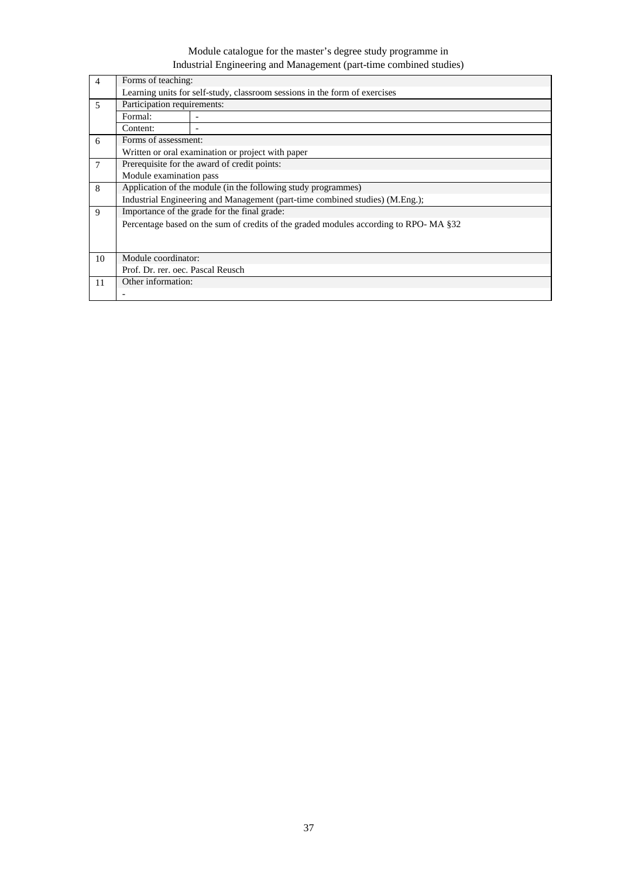| $\overline{4}$ | Forms of teaching:                |                                                                                      |  |  |  |  |  |  |  |
|----------------|-----------------------------------|--------------------------------------------------------------------------------------|--|--|--|--|--|--|--|
|                |                                   | Learning units for self-study, classroom sessions in the form of exercises           |  |  |  |  |  |  |  |
| 5              |                                   | Participation requirements:                                                          |  |  |  |  |  |  |  |
|                | Formal:                           |                                                                                      |  |  |  |  |  |  |  |
|                | Content:                          |                                                                                      |  |  |  |  |  |  |  |
| 6              | Forms of assessment:              |                                                                                      |  |  |  |  |  |  |  |
|                |                                   | Written or oral examination or project with paper                                    |  |  |  |  |  |  |  |
| 7              |                                   | Prerequisite for the award of credit points:                                         |  |  |  |  |  |  |  |
|                | Module examination pass           |                                                                                      |  |  |  |  |  |  |  |
| 8              |                                   | Application of the module (in the following study programmes)                        |  |  |  |  |  |  |  |
|                |                                   | Industrial Engineering and Management (part-time combined studies) (M.Eng.);         |  |  |  |  |  |  |  |
| 9              |                                   | Importance of the grade for the final grade:                                         |  |  |  |  |  |  |  |
|                |                                   | Percentage based on the sum of credits of the graded modules according to RPO-MA §32 |  |  |  |  |  |  |  |
|                |                                   |                                                                                      |  |  |  |  |  |  |  |
|                |                                   |                                                                                      |  |  |  |  |  |  |  |
| 10             | Module coordinator:               |                                                                                      |  |  |  |  |  |  |  |
|                | Prof. Dr. rer. oec. Pascal Reusch |                                                                                      |  |  |  |  |  |  |  |
| 11             | Other information:                |                                                                                      |  |  |  |  |  |  |  |
|                |                                   |                                                                                      |  |  |  |  |  |  |  |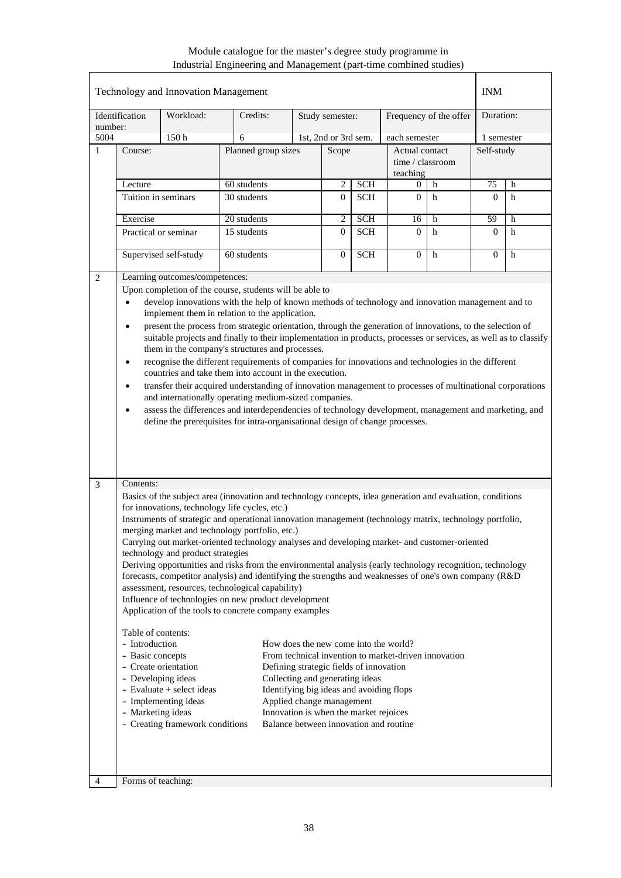| Identification<br>number:<br>5004<br>$\mathbf{1}$ | Course:<br>Lecture<br>Tuition in seminars                                                                                                                                                                                                                                                                                                                                                                                                                                                                                                                                                                                                                                                                                                                                                                                                                                                                                                                                                                                                                                                                                                                                                                                                                                                                                                                                                                                                      | Workload:<br>150h     | Credits:<br>6<br>Planned group sizes |                | Study semester:            |            |                                                |             |            |   |
|---------------------------------------------------|------------------------------------------------------------------------------------------------------------------------------------------------------------------------------------------------------------------------------------------------------------------------------------------------------------------------------------------------------------------------------------------------------------------------------------------------------------------------------------------------------------------------------------------------------------------------------------------------------------------------------------------------------------------------------------------------------------------------------------------------------------------------------------------------------------------------------------------------------------------------------------------------------------------------------------------------------------------------------------------------------------------------------------------------------------------------------------------------------------------------------------------------------------------------------------------------------------------------------------------------------------------------------------------------------------------------------------------------------------------------------------------------------------------------------------------------|-----------------------|--------------------------------------|----------------|----------------------------|------------|------------------------------------------------|-------------|------------|---|
|                                                   |                                                                                                                                                                                                                                                                                                                                                                                                                                                                                                                                                                                                                                                                                                                                                                                                                                                                                                                                                                                                                                                                                                                                                                                                                                                                                                                                                                                                                                                |                       |                                      |                |                            |            | Frequency of the offer                         |             | Duration:  |   |
|                                                   |                                                                                                                                                                                                                                                                                                                                                                                                                                                                                                                                                                                                                                                                                                                                                                                                                                                                                                                                                                                                                                                                                                                                                                                                                                                                                                                                                                                                                                                |                       |                                      |                | 1st, 2nd or 3rd sem.       |            | each semester                                  |             | 1 semester |   |
|                                                   |                                                                                                                                                                                                                                                                                                                                                                                                                                                                                                                                                                                                                                                                                                                                                                                                                                                                                                                                                                                                                                                                                                                                                                                                                                                                                                                                                                                                                                                |                       |                                      | Scope          |                            |            | Actual contact<br>time / classroom<br>teaching |             | Self-study |   |
|                                                   |                                                                                                                                                                                                                                                                                                                                                                                                                                                                                                                                                                                                                                                                                                                                                                                                                                                                                                                                                                                                                                                                                                                                                                                                                                                                                                                                                                                                                                                |                       | 60 students                          | $\overline{2}$ | <b>SCH</b>                 | h<br>0     |                                                | 75<br>h     |            |   |
|                                                   |                                                                                                                                                                                                                                                                                                                                                                                                                                                                                                                                                                                                                                                                                                                                                                                                                                                                                                                                                                                                                                                                                                                                                                                                                                                                                                                                                                                                                                                |                       | 30 students                          | $\overline{0}$ | <b>SCH</b>                 | $\Omega$   | h                                              | $\Omega$    | h          |   |
|                                                   |                                                                                                                                                                                                                                                                                                                                                                                                                                                                                                                                                                                                                                                                                                                                                                                                                                                                                                                                                                                                                                                                                                                                                                                                                                                                                                                                                                                                                                                | Exercise              |                                      | 20 students    |                            | <b>SCH</b> | 16                                             | h           | 59         | h |
|                                                   | Practical or seminar                                                                                                                                                                                                                                                                                                                                                                                                                                                                                                                                                                                                                                                                                                                                                                                                                                                                                                                                                                                                                                                                                                                                                                                                                                                                                                                                                                                                                           |                       | 15 students                          |                | $\overline{2}$<br>$\Omega$ | <b>SCH</b> | $\Omega$                                       | h           | $\Omega$   | h |
|                                                   |                                                                                                                                                                                                                                                                                                                                                                                                                                                                                                                                                                                                                                                                                                                                                                                                                                                                                                                                                                                                                                                                                                                                                                                                                                                                                                                                                                                                                                                | Supervised self-study | 60 students                          |                | $\overline{0}$             | <b>SCH</b> | $\overline{0}$                                 | $\mathbf h$ | $\Omega$   | h |
| 2                                                 | Learning outcomes/competences:<br>Upon completion of the course, students will be able to<br>develop innovations with the help of known methods of technology and innovation management and to<br>$\bullet$<br>implement them in relation to the application.<br>present the process from strategic orientation, through the generation of innovations, to the selection of<br>$\bullet$<br>suitable projects and finally to their implementation in products, processes or services, as well as to classify<br>them in the company's structures and processes.<br>recognise the different requirements of companies for innovations and technologies in the different<br>$\bullet$<br>countries and take them into account in the execution.<br>transfer their acquired understanding of innovation management to processes of multinational corporations<br>$\bullet$<br>and internationally operating medium-sized companies.<br>assess the differences and interdependencies of technology development, management and marketing, and<br>$\bullet$<br>define the prerequisites for intra-organisational design of change processes.                                                                                                                                                                                                                                                                                                        |                       |                                      |                |                            |            |                                                |             |            |   |
| 3                                                 | Contents:<br>Basics of the subject area (innovation and technology concepts, idea generation and evaluation, conditions<br>for innovations, technology life cycles, etc.)<br>Instruments of strategic and operational innovation management (technology matrix, technology portfolio,<br>merging market and technology portfolio, etc.)<br>Carrying out market-oriented technology analyses and developing market- and customer-oriented<br>technology and product strategies<br>Deriving opportunities and risks from the environmental analysis (early technology recognition, technology<br>forecasts, competitor analysis) and identifying the strengths and weaknesses of one's own company (R&D)<br>assessment, resources, technological capability)<br>Influence of technologies on new product development<br>Application of the tools to concrete company examples<br>Table of contents:<br>- Introduction<br>How does the new come into the world?<br>- Basic concepts<br>From technical invention to market-driven innovation<br>- Create orientation<br>Defining strategic fields of innovation<br>Collecting and generating ideas<br>- Developing ideas<br>- Evaluate + select ideas<br>Identifying big ideas and avoiding flops<br>- Implementing ideas<br>Applied change management<br>- Marketing ideas<br>Innovation is when the market rejoices<br>Balance between innovation and routine<br>- Creating framework conditions |                       |                                      |                |                            |            |                                                |             |            |   |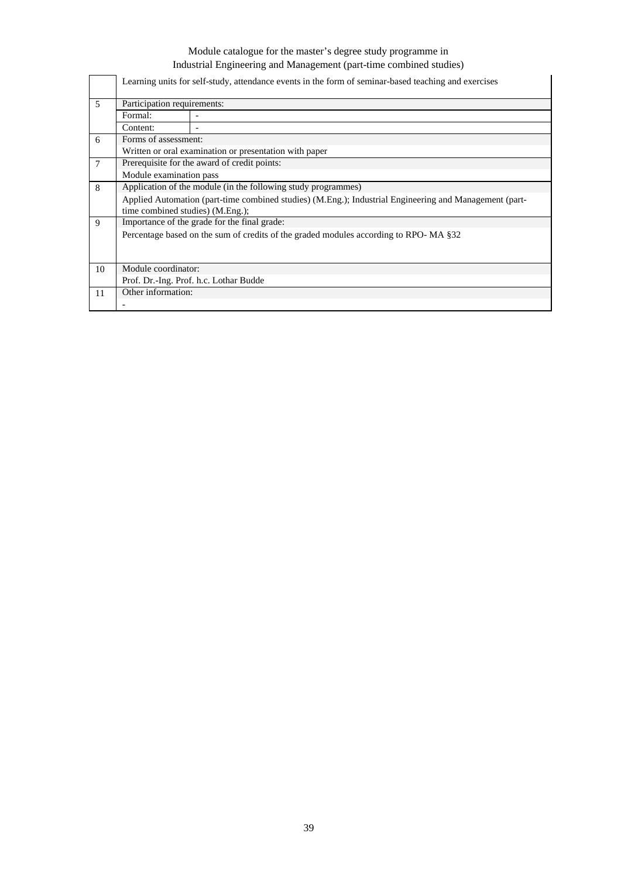|                |                                  | Learning units for self-study, attendance events in the form of seminar-based teaching and exercises   |  |  |  |  |  |  |  |  |  |
|----------------|----------------------------------|--------------------------------------------------------------------------------------------------------|--|--|--|--|--|--|--|--|--|
| $\overline{5}$ |                                  | Participation requirements:                                                                            |  |  |  |  |  |  |  |  |  |
|                | Formal:                          |                                                                                                        |  |  |  |  |  |  |  |  |  |
|                | Content:                         |                                                                                                        |  |  |  |  |  |  |  |  |  |
| 6              | Forms of assessment:             |                                                                                                        |  |  |  |  |  |  |  |  |  |
|                |                                  | Written or oral examination or presentation with paper                                                 |  |  |  |  |  |  |  |  |  |
| $\tau$         |                                  | Prerequisite for the award of credit points:                                                           |  |  |  |  |  |  |  |  |  |
|                | Module examination pass          |                                                                                                        |  |  |  |  |  |  |  |  |  |
| 8              |                                  | Application of the module (in the following study programmes)                                          |  |  |  |  |  |  |  |  |  |
|                |                                  | Applied Automation (part-time combined studies) (M.Eng.); Industrial Engineering and Management (part- |  |  |  |  |  |  |  |  |  |
|                | time combined studies) (M.Eng.); |                                                                                                        |  |  |  |  |  |  |  |  |  |
| 9              |                                  | Importance of the grade for the final grade:                                                           |  |  |  |  |  |  |  |  |  |
|                |                                  | Percentage based on the sum of credits of the graded modules according to RPO-MA §32                   |  |  |  |  |  |  |  |  |  |
|                |                                  |                                                                                                        |  |  |  |  |  |  |  |  |  |
|                |                                  |                                                                                                        |  |  |  |  |  |  |  |  |  |
| 10             | Module coordinator:              |                                                                                                        |  |  |  |  |  |  |  |  |  |
|                |                                  | Prof. Dr.-Ing. Prof. h.c. Lothar Budde                                                                 |  |  |  |  |  |  |  |  |  |
| 11             | Other information:               |                                                                                                        |  |  |  |  |  |  |  |  |  |
|                |                                  |                                                                                                        |  |  |  |  |  |  |  |  |  |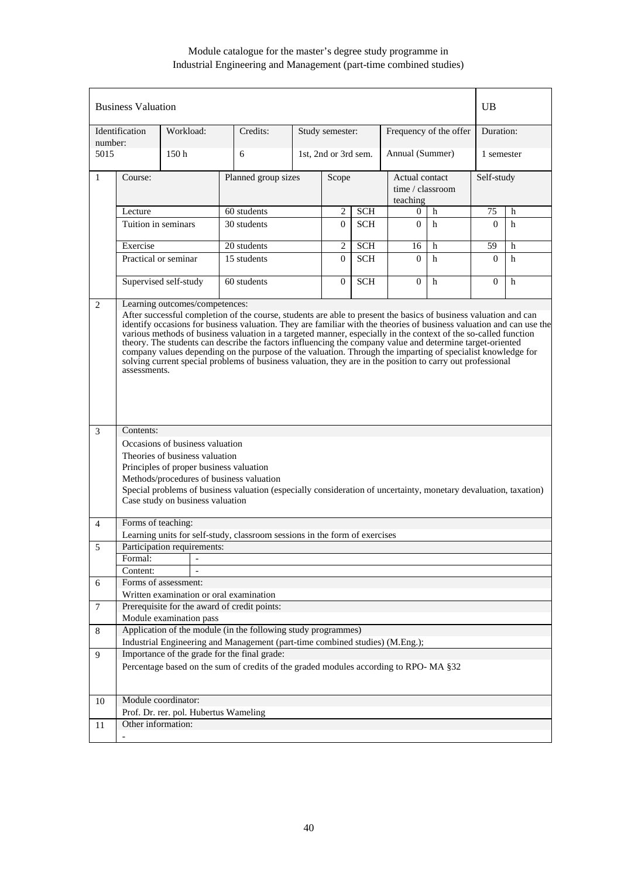|                | <b>Business Valuation</b><br>UB |                                                                                                                                                  |                                                                                                                                                                                                                                                                                                                                                                                                                                                                                                                                                                                   |   |                      |            |                        |                                    |            |            |  |
|----------------|---------------------------------|--------------------------------------------------------------------------------------------------------------------------------------------------|-----------------------------------------------------------------------------------------------------------------------------------------------------------------------------------------------------------------------------------------------------------------------------------------------------------------------------------------------------------------------------------------------------------------------------------------------------------------------------------------------------------------------------------------------------------------------------------|---|----------------------|------------|------------------------|------------------------------------|------------|------------|--|
| number:        | Identification                  | Workload:                                                                                                                                        | Credits:                                                                                                                                                                                                                                                                                                                                                                                                                                                                                                                                                                          |   | Study semester:      |            | Frequency of the offer |                                    | Duration:  |            |  |
| 5015           |                                 | 150 <sub>h</sub>                                                                                                                                 | 6                                                                                                                                                                                                                                                                                                                                                                                                                                                                                                                                                                                 |   | 1st, 2nd or 3rd sem. |            | Annual (Summer)        |                                    | 1 semester |            |  |
| 1              | Course:                         |                                                                                                                                                  | Planned group sizes                                                                                                                                                                                                                                                                                                                                                                                                                                                                                                                                                               |   | Scope                |            | teaching               | Actual contact<br>time / classroom |            | Self-study |  |
|                | Lecture                         |                                                                                                                                                  | 60 students                                                                                                                                                                                                                                                                                                                                                                                                                                                                                                                                                                       | 2 | <b>SCH</b>           | 0          | h                      | 75                                 | h          |            |  |
|                | Tuition in seminars             |                                                                                                                                                  | 30 students                                                                                                                                                                                                                                                                                                                                                                                                                                                                                                                                                                       |   | $\Omega$             | <b>SCH</b> | $\Omega$               | $\mathbf h$                        | $\Omega$   | h          |  |
|                | Exercise                        |                                                                                                                                                  | 20 students                                                                                                                                                                                                                                                                                                                                                                                                                                                                                                                                                                       |   | 2                    | <b>SCH</b> | 16                     | h                                  | 59         | h          |  |
|                | Practical or seminar            |                                                                                                                                                  | 15 students                                                                                                                                                                                                                                                                                                                                                                                                                                                                                                                                                                       |   | $\overline{0}$       | <b>SCH</b> | $\Omega$               | h                                  | $\Omega$   | h          |  |
|                |                                 | Supervised self-study                                                                                                                            | 60 students                                                                                                                                                                                                                                                                                                                                                                                                                                                                                                                                                                       |   | $\overline{0}$       | <b>SCH</b> | $\Omega$               | h                                  | $\Omega$   | h          |  |
| 3              | assessments.<br>Contents:       |                                                                                                                                                  | identify occasions for business valuation. They are familiar with the theories of business valuation and can use the<br>various methods of business valuation in a targeted manner, especially in the context of the so-called function<br>theory. The students can describe the factors influencing the company value and determine target-oriented<br>company values depending on the purpose of the valuation. Through the imparting of specialist knowledge for<br>solving current special problems of business valuation, they are in the position to carry out professional |   |                      |            |                        |                                    |            |            |  |
|                |                                 | Occasions of business valuation<br>Theories of business valuation<br>Principles of proper business valuation<br>Case study on business valuation | Methods/procedures of business valuation<br>Special problems of business valuation (especially consideration of uncertainty, monetary devaluation, taxation)                                                                                                                                                                                                                                                                                                                                                                                                                      |   |                      |            |                        |                                    |            |            |  |
| $\overline{4}$ | Forms of teaching:              |                                                                                                                                                  |                                                                                                                                                                                                                                                                                                                                                                                                                                                                                                                                                                                   |   |                      |            |                        |                                    |            |            |  |
|                |                                 |                                                                                                                                                  | Learning units for self-study, classroom sessions in the form of exercises                                                                                                                                                                                                                                                                                                                                                                                                                                                                                                        |   |                      |            |                        |                                    |            |            |  |
| 5              |                                 | Participation requirements:                                                                                                                      |                                                                                                                                                                                                                                                                                                                                                                                                                                                                                                                                                                                   |   |                      |            |                        |                                    |            |            |  |
|                | Formal:                         |                                                                                                                                                  |                                                                                                                                                                                                                                                                                                                                                                                                                                                                                                                                                                                   |   |                      |            |                        |                                    |            |            |  |
|                | Content:                        |                                                                                                                                                  |                                                                                                                                                                                                                                                                                                                                                                                                                                                                                                                                                                                   |   |                      |            |                        |                                    |            |            |  |
| 6              |                                 | Forms of assessment:                                                                                                                             |                                                                                                                                                                                                                                                                                                                                                                                                                                                                                                                                                                                   |   |                      |            |                        |                                    |            |            |  |
|                |                                 | Written examination or oral examination                                                                                                          |                                                                                                                                                                                                                                                                                                                                                                                                                                                                                                                                                                                   |   |                      |            |                        |                                    |            |            |  |
| $\overline{7}$ |                                 | Module examination pass                                                                                                                          | Prerequisite for the award of credit points:                                                                                                                                                                                                                                                                                                                                                                                                                                                                                                                                      |   |                      |            |                        |                                    |            |            |  |
| 8              |                                 |                                                                                                                                                  | Application of the module (in the following study programmes)                                                                                                                                                                                                                                                                                                                                                                                                                                                                                                                     |   |                      |            |                        |                                    |            |            |  |
|                |                                 |                                                                                                                                                  | Industrial Engineering and Management (part-time combined studies) (M.Eng.);                                                                                                                                                                                                                                                                                                                                                                                                                                                                                                      |   |                      |            |                        |                                    |            |            |  |
| 9              |                                 |                                                                                                                                                  | Importance of the grade for the final grade:                                                                                                                                                                                                                                                                                                                                                                                                                                                                                                                                      |   |                      |            |                        |                                    |            |            |  |
|                |                                 |                                                                                                                                                  | Percentage based on the sum of credits of the graded modules according to RPO-MA §32                                                                                                                                                                                                                                                                                                                                                                                                                                                                                              |   |                      |            |                        |                                    |            |            |  |
| 10             |                                 | Module coordinator:                                                                                                                              |                                                                                                                                                                                                                                                                                                                                                                                                                                                                                                                                                                                   |   |                      |            |                        |                                    |            |            |  |
|                |                                 | Prof. Dr. rer. pol. Hubertus Wameling                                                                                                            |                                                                                                                                                                                                                                                                                                                                                                                                                                                                                                                                                                                   |   |                      |            |                        |                                    |            |            |  |
| 11             | Other information:              |                                                                                                                                                  |                                                                                                                                                                                                                                                                                                                                                                                                                                                                                                                                                                                   |   |                      |            |                        |                                    |            |            |  |
|                |                                 |                                                                                                                                                  |                                                                                                                                                                                                                                                                                                                                                                                                                                                                                                                                                                                   |   |                      |            |                        |                                    |            |            |  |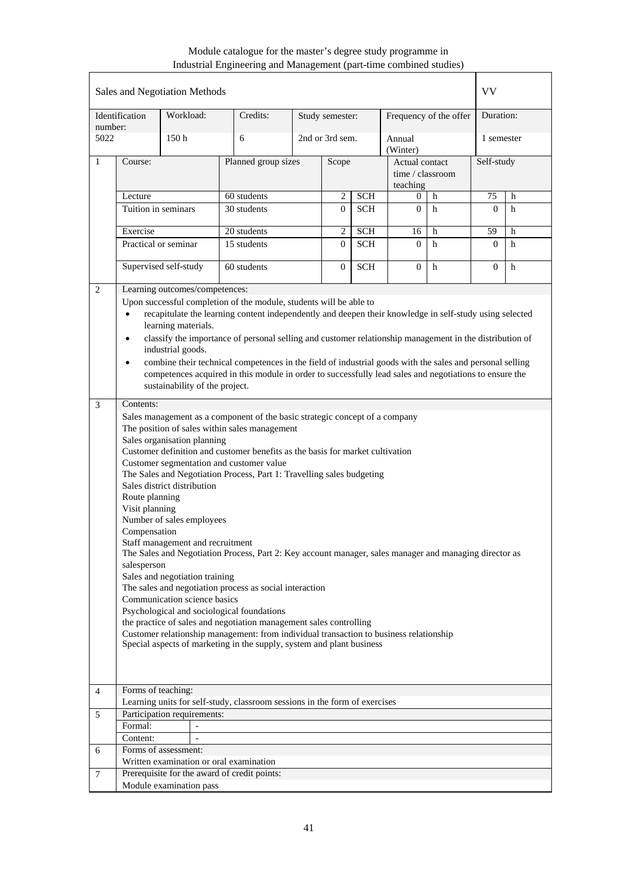|                |                                                                                                                                                                                                                                                                                                                                                                                                                                                                                                                                                                                                                                                                                                                                                                                                                                                                                                                                                                                                                                                                                 | Sales and Negotiation Methods  |                                                                                         |                 |                 |                                                |                    |                        | VV        |            |  |
|----------------|---------------------------------------------------------------------------------------------------------------------------------------------------------------------------------------------------------------------------------------------------------------------------------------------------------------------------------------------------------------------------------------------------------------------------------------------------------------------------------------------------------------------------------------------------------------------------------------------------------------------------------------------------------------------------------------------------------------------------------------------------------------------------------------------------------------------------------------------------------------------------------------------------------------------------------------------------------------------------------------------------------------------------------------------------------------------------------|--------------------------------|-----------------------------------------------------------------------------------------|-----------------|-----------------|------------------------------------------------|--------------------|------------------------|-----------|------------|--|
| number:        | Identification                                                                                                                                                                                                                                                                                                                                                                                                                                                                                                                                                                                                                                                                                                                                                                                                                                                                                                                                                                                                                                                                  | Workload:                      | Credits:                                                                                |                 | Study semester: |                                                |                    | Frequency of the offer | Duration: |            |  |
| 5022           |                                                                                                                                                                                                                                                                                                                                                                                                                                                                                                                                                                                                                                                                                                                                                                                                                                                                                                                                                                                                                                                                                 | 150 <sub>h</sub>               | 6                                                                                       |                 | 2nd or 3rd sem. |                                                | Annual<br>(Winter) |                        |           | 1 semester |  |
| 1              | Course:                                                                                                                                                                                                                                                                                                                                                                                                                                                                                                                                                                                                                                                                                                                                                                                                                                                                                                                                                                                                                                                                         |                                | Planned group sizes                                                                     | Scope           |                 | Actual contact<br>time / classroom<br>teaching |                    | Self-study             |           |            |  |
|                | Lecture                                                                                                                                                                                                                                                                                                                                                                                                                                                                                                                                                                                                                                                                                                                                                                                                                                                                                                                                                                                                                                                                         |                                | 60 students                                                                             | <b>SCH</b><br>2 |                 | h<br>0                                         |                    | 75                     | h         |            |  |
|                | Tuition in seminars                                                                                                                                                                                                                                                                                                                                                                                                                                                                                                                                                                                                                                                                                                                                                                                                                                                                                                                                                                                                                                                             |                                | 30 students                                                                             | $\overline{0}$  | <b>SCH</b>      | $\mathbf{0}$                                   | h                  | $\Omega$               | h         |            |  |
|                | Exercise                                                                                                                                                                                                                                                                                                                                                                                                                                                                                                                                                                                                                                                                                                                                                                                                                                                                                                                                                                                                                                                                        |                                | 20 students                                                                             | 2               | <b>SCH</b>      | 16                                             | h                  | 59                     | h         |            |  |
|                |                                                                                                                                                                                                                                                                                                                                                                                                                                                                                                                                                                                                                                                                                                                                                                                                                                                                                                                                                                                                                                                                                 | Practical or seminar           | 15 students                                                                             |                 | $\Omega$        | <b>SCH</b>                                     | $\Omega$           | h                      | $\Omega$  | h          |  |
|                |                                                                                                                                                                                                                                                                                                                                                                                                                                                                                                                                                                                                                                                                                                                                                                                                                                                                                                                                                                                                                                                                                 | Supervised self-study          | 60 students                                                                             |                 | $\overline{0}$  | <b>SCH</b>                                     | $\theta$           | $\mathbf h$            | $\Omega$  | h          |  |
| 2              |                                                                                                                                                                                                                                                                                                                                                                                                                                                                                                                                                                                                                                                                                                                                                                                                                                                                                                                                                                                                                                                                                 | Learning outcomes/competences: |                                                                                         |                 |                 |                                                |                    |                        |           |            |  |
|                | Upon successful completion of the module, students will be able to<br>recapitulate the learning content independently and deepen their knowledge in self-study using selected<br>$\bullet$<br>learning materials.<br>classify the importance of personal selling and customer relationship management in the distribution of<br>$\bullet$<br>industrial goods.<br>combine their technical competences in the field of industrial goods with the sales and personal selling<br>$\bullet$<br>competences acquired in this module in order to successfully lead sales and negotiations to ensure the<br>sustainability of the project.                                                                                                                                                                                                                                                                                                                                                                                                                                             |                                |                                                                                         |                 |                 |                                                |                    |                        |           |            |  |
|                | Contents:<br>Sales management as a component of the basic strategic concept of a company<br>The position of sales within sales management<br>Sales organisation planning<br>Customer definition and customer benefits as the basis for market cultivation<br>Customer segmentation and customer value<br>The Sales and Negotiation Process, Part 1: Travelling sales budgeting<br>Sales district distribution<br>Route planning<br>Visit planning<br>Number of sales employees<br>Compensation<br>Staff management and recruitment<br>The Sales and Negotiation Process, Part 2: Key account manager, sales manager and managing director as<br>salesperson<br>Sales and negotiation training<br>The sales and negotiation process as social interaction<br>Communication science basics<br>Psychological and sociological foundations<br>the practice of sales and negotiation management sales controlling<br>Customer relationship management: from individual transaction to business relationship<br>Special aspects of marketing in the supply, system and plant business |                                |                                                                                         |                 |                 |                                                |                    |                        |           |            |  |
|                |                                                                                                                                                                                                                                                                                                                                                                                                                                                                                                                                                                                                                                                                                                                                                                                                                                                                                                                                                                                                                                                                                 |                                |                                                                                         |                 |                 |                                                |                    |                        |           |            |  |
| $\overline{4}$ | Forms of teaching:                                                                                                                                                                                                                                                                                                                                                                                                                                                                                                                                                                                                                                                                                                                                                                                                                                                                                                                                                                                                                                                              |                                |                                                                                         |                 |                 |                                                |                    |                        |           |            |  |
|                |                                                                                                                                                                                                                                                                                                                                                                                                                                                                                                                                                                                                                                                                                                                                                                                                                                                                                                                                                                                                                                                                                 |                                | Learning units for self-study, classroom sessions in the form of exercises              |                 |                 |                                                |                    |                        |           |            |  |
| 5              |                                                                                                                                                                                                                                                                                                                                                                                                                                                                                                                                                                                                                                                                                                                                                                                                                                                                                                                                                                                                                                                                                 | Participation requirements:    |                                                                                         |                 |                 |                                                |                    |                        |           |            |  |
|                | Formal:                                                                                                                                                                                                                                                                                                                                                                                                                                                                                                                                                                                                                                                                                                                                                                                                                                                                                                                                                                                                                                                                         |                                |                                                                                         |                 |                 |                                                |                    |                        |           |            |  |
|                | Content:                                                                                                                                                                                                                                                                                                                                                                                                                                                                                                                                                                                                                                                                                                                                                                                                                                                                                                                                                                                                                                                                        | $\overline{\phantom{0}}$       |                                                                                         |                 |                 |                                                |                    |                        |           |            |  |
| 6              |                                                                                                                                                                                                                                                                                                                                                                                                                                                                                                                                                                                                                                                                                                                                                                                                                                                                                                                                                                                                                                                                                 | Forms of assessment:           |                                                                                         |                 |                 |                                                |                    |                        |           |            |  |
| $\overline{7}$ |                                                                                                                                                                                                                                                                                                                                                                                                                                                                                                                                                                                                                                                                                                                                                                                                                                                                                                                                                                                                                                                                                 |                                | Written examination or oral examination<br>Prerequisite for the award of credit points: |                 |                 |                                                |                    |                        |           |            |  |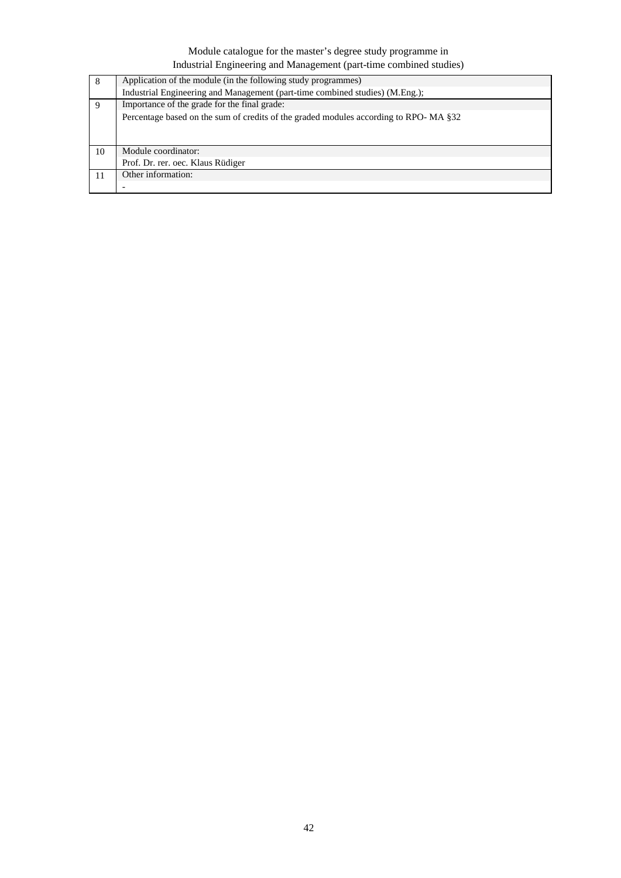| 8  | Application of the module (in the following study programmes)                        |  |  |  |  |  |  |  |
|----|--------------------------------------------------------------------------------------|--|--|--|--|--|--|--|
|    | Industrial Engineering and Management (part-time combined studies) (M.Eng.);         |  |  |  |  |  |  |  |
| -9 | Importance of the grade for the final grade:                                         |  |  |  |  |  |  |  |
|    | Percentage based on the sum of credits of the graded modules according to RPO-MA §32 |  |  |  |  |  |  |  |
|    |                                                                                      |  |  |  |  |  |  |  |
|    |                                                                                      |  |  |  |  |  |  |  |
| 10 | Module coordinator:                                                                  |  |  |  |  |  |  |  |
|    | Prof. Dr. rer. oec. Klaus Rüdiger                                                    |  |  |  |  |  |  |  |
|    | Other information:                                                                   |  |  |  |  |  |  |  |
|    |                                                                                      |  |  |  |  |  |  |  |